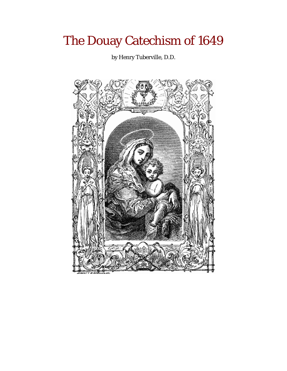# The Douay Catechism of 1649

by Henry Tuberville, D.D.

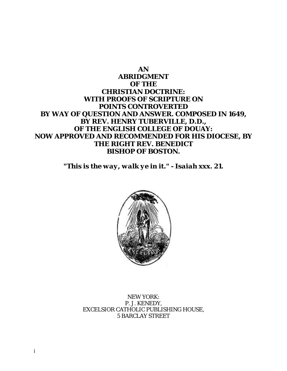# **AN ABRIDGMENT OF THE CHRISTIAN DOCTRINE: WITH PROOFS OF SCRIPTURE ON POINTS CONTROVERTED BY WAY OF QUESTION AND ANSWER. COMPOSED IN 1649, BY REV. HENRY TUBERVILLE, D.D., OF THE ENGLISH COLLEGE OF DOUAY: NOW APPROVED AND RECOMMENDED FOR HIS DIOCESE, BY THE RIGHT REV. BENEDICT BISHOP OF BOSTON.**

*"This is the way, walk ye in it." - Isaiah xxx. 21***.** 



NEW YORK: P. J. KENEDY, EXCELSIOR CATHOLIC PUBLISHING HOUSE, 5 BARCLAY STREET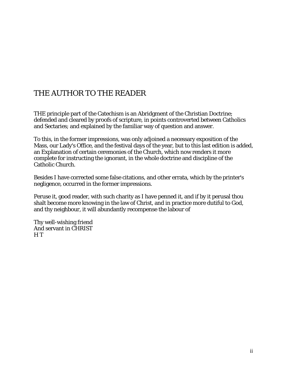# THE AUTHOR TO THE READER

THE principle part of the Catechism is an Abridgment of the Christian Doctrine; defended and cleared by proofs of scripture, in points controverted between Catholics and Sectaries; and explained by the familiar way of question and answer.

To this, in the former impressions, was only adjoined a necessary exposition of the Mass, our Lady's Office, and the festival days of the year, but to this last edition is added, an Explanation of certain ceremonies of the Church, which now renders it more complete for instructing the ignorant, in the whole doctrine and discipline of the Catholic Church.

Besides I have corrected some false citations, and other errata, which by the printer's negligence, occurred in the former impressions.

Peruse it, good reader, with such charity as I have penned it, and if by it perusal thou shalt become more knowing in the law of Christ, and in practice more dutiful to God, and thy neighbour, it will abundantly recompense the labour of

Thy well-wishing friend And servant in CHRIST H T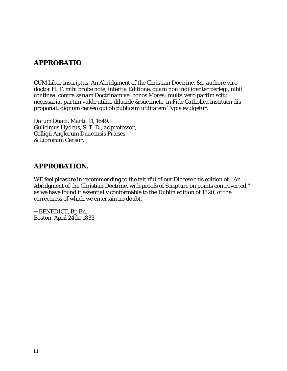# *APPROBATIO*

*CUM Liber inscriptus, An Abridgment of the Christian Doctrine, &c. authore viro doctor H. T. mihi probe note, intertia Editione, quam non indiligenter perlegi, nihil continea contra sanam Doctrinam vel bonos Mores; multa vero partim scitu necessaria, partim valde utilia, dilucide & succincte, in Fide Catholica instituen dis proponat, dignum censeo qui ob publicam utilitatem Typis evulgetur.* 

*Datum Duaci, Martii 11, 1649. Gulielmus Hydeus, S. T. D., ac professor, Colligii Anglorum Duacensis Præses & Librorum Censor.* 

# **APPROBATION.**

WE feel pleasure in recommending to the faithful of our Diocese this edition of "An Abridgment of the Christian Doctrine, with proofs of Scripture on points controverted," as we have found it essentially conformable to the Dublin edition of 1820, of the correctness of which we entertain no doubt.

+ BENEDICT, Bp Bn. Boston, April 24th, 1833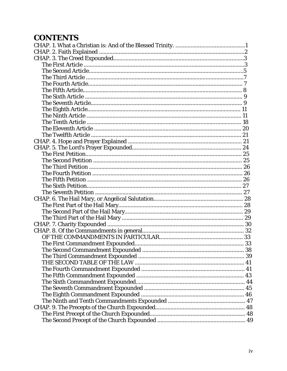# **CONTENTS**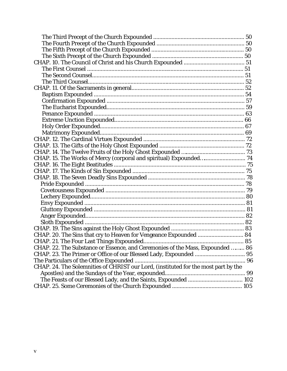| CHAP. 15. The Works of Mercy (corporal and spiritual) Expounded 74                 |  |
|------------------------------------------------------------------------------------|--|
|                                                                                    |  |
|                                                                                    |  |
|                                                                                    |  |
|                                                                                    |  |
|                                                                                    |  |
|                                                                                    |  |
|                                                                                    |  |
|                                                                                    |  |
|                                                                                    |  |
|                                                                                    |  |
|                                                                                    |  |
| CHAP. 20. The Sins that cry to Heaven for Vengeance Expounded  84                  |  |
|                                                                                    |  |
| CHAP. 22. The Substance or Essence, and Ceremonies of the Mass, Expounded  86      |  |
| CHAP. 23. The Primer or Office of our Blessed Lady, Expounded  95                  |  |
|                                                                                    |  |
| CHAP. 24. The Solemnities of CHRIST our Lord, (instituted for the most part by the |  |
|                                                                                    |  |
|                                                                                    |  |
|                                                                                    |  |
|                                                                                    |  |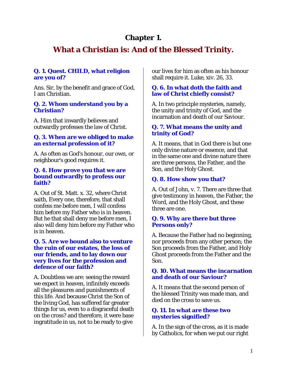# **Chapter 1.**

# **What a Christian is: And of the Blessed Trinity.**

#### **Q. 1. Quest. CHILD, what religion are you of?**

Ans. Sir, by the benefit and grace of God, I am Christian.

#### **Q. 2. Whom understand you by a Christian?**

A. Him that inwardly believes and outwardly professes the law of Christ.

## **Q. 3. When are we obliged to make an external profession of it?**

A. As often as God's honour, our own, or neighbour's good requires it.

#### **Q. 4. How prove you that we are bound outwardly to profess our faith?**

A. Out of St. Matt. x. 32, where Christ saith, Every one, therefore, that shall confess me before men, I will confess him before my Father who is in heaven. But he that shall deny me before men, I also will deny him before my Father who is in heaven.

#### **Q. 5. Are we bound also to venture the ruin of our estates, the loss of our friends, and to lay down our very lives for the profession and defence of our faith?**

A. Doubtless we are: seeing the reward we expect in heaven, infinitely exceeds all the pleasures and punishments of this life. And because Christ the Son of the living God, has suffered far greater things for us, even to a disgraceful death on the cross? and therefore, it were base ingratitude in us, not to be ready to give

our lives for him as often as his honour shall require it. Luke, xiv. 26, 33.

#### **Q. 6. In what doth the faith and law of Christ chiefly consist?**

A. In two principle mysteries, namely, the unity and trinity of God, and the incarnation and death of our Saviour.

#### **Q. 7. What means the unity and trinity of God?**

A. It means, that in God there is but one only divine nature or essence, and that in the same one and divine nature there are three persons, the Father, and the Son, and the Holy Ghost.

# **Q. 8. How show you that?**

A. Out of John, v. 7. There are three that give testimony in heaven, the Father, the Word, and the Holy Ghost, and these three are one.

#### **Q. 9. Why are there but three Persons only?**

A. Because the Father had no beginning, nor proceeds from any other person; the Son proceeds from the Father, and Holy Ghost proceeds from the Father and the Son.

#### **Q. 10. What means the incarnation and death of our Saviour?**

A. It means that the second person of the blessed Trinity was made man, and died on the cross to save us.

#### **Q. 11. In what are these two mysteries signified?**

A. In the sign of the cross, as it is made by Catholics, for when we put our right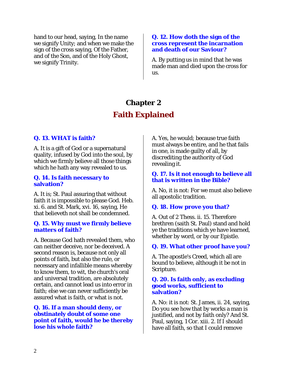hand to our head, saying, In the name we signify Unity; and when we make the sign of the cross saying, Of the Father, and of the Son, and of the Holy Ghost, we signify Trinity.

#### **Q. 12. How doth the sign of the cross represent the incarnation and death of our Saviour?**

A. By putting us in mind that he was made man and died upon the cross for us.

# **Chapter 2 Faith Explained**

## **Q. 13. WHAT is faith?**

A. It is a gift of God or a supernatural quality, infused by God into the soul, by which we firmly believe all those things which he hath any way revealed to us.

#### **Q. 14. Is faith necessary to salvation?**

A. It is; St. Paul assuring that without faith it is impossible to please God. Heb. xi. 6. and St. Mark, xvi. 16, saying, He that believeth not shall be condemned.

#### **Q. 15. Why must we firmly believe matters of faith?**

A. Because God hath revealed them, who can neither deceive, nor be deceived. A second reason is, because not only all points of faith, but also the rule, or necessary and infallible means whereby to know them, to wit, the church's oral and universal tradition, are absolutely certain, and cannot lead us into error in faith; else we can never sufficiently be assured what is faith, or what is not.

#### **Q. 16. If a man should deny, or obstinately doubt of some one point of faith, would he be thereby lose his whole faith?**

A. Yes, he would; because true faith must always be entire, and he that fails in one, is made guilty of all, by discrediting the authority of God revealing it.

#### **Q. 17. Is it not enough to believe all that is written in the Bible?**

A. No, it is not: For we must also believe all apostolic tradition.

#### **Q. 18. How prove you that?**

A. Out of 2 Thess. ii. 15. Therefore brethren (saith St. Paul) stand and hold ye the traditions which ye have learned, whether by word, or by our Epistle.

#### **Q. 19. What other proof have you?**

A. The apostle's Creed, which all are bound to believe, although it be not in Scripture.

#### **Q. 20. Is faith only, as excluding good works, sufficient to salvation?**

A. No: it is not: St. James, ii. 24, saying, Do you see how that by works a man is justified, and not by faith only? And St. Paul, saying, 1 Cor. xiii. 2. If I should have all faith, so that I could remove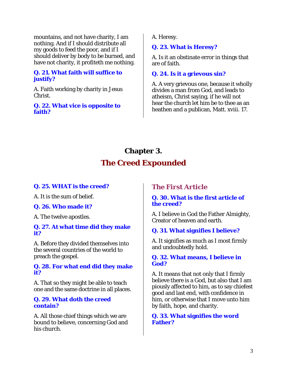mountains, and not have charity, I am nothing. And if I should distribute all my goods to feed the poor, and if I should deliver by body to be burned, and have not charity, it profiteth me nothing.

## **Q. 21. What faith will suffice to justify?**

A. Faith working by charity in Jesus Christ.

#### **Q. 22. What vice is opposite to faith?**

A. Heresy.

# **Q. 23. What is Heresy?**

A. Is it an obstinate error in things that are of faith.

# **Q. 24. Is it a grievous sin?**

A. A very grievous one, because it wholly divides a man from God, and leads to atheism, Christ saying, if he will not hear the church let him be to thee as an heathen and a publican, Matt. xviii. 17.

# **Chapter 3. The Creed Expounded**

# **Q. 25. WHAT is the creed?**

A. It is the sum of belief.

# **Q. 26. Who made it?**

A. The twelve apostles.

#### **Q. 27. At what time did they make it?**

A. Before they divided themselves into the several countries of the world to preach the gospel.

## **Q. 28. For what end did they make it?**

A. That so they might be able to teach one and the same doctrine in all places.

## **Q. 29. What doth the creed contain?**

A. All those chief things which we are bound to believe, concerning God and his church.

# *The First Article*

# **Q. 30. What is the first article of the creed?**

A. I believe in God the Father Almighty, Creator of heaven and earth.

# **Q. 31. What signifies I believe?**

A. It signifies as much as I most firmly and undoubtedly hold.

## **Q. 32. What means, I believe in God?**

A. It means that not only that I firmly believe there is a God, but also that I am piously affected to him, as to say chiefest good and last end, with confidence in him, or otherwise that I move unto him by faith, hope, and charity.

#### **Q. 33. What signifies the word Father?**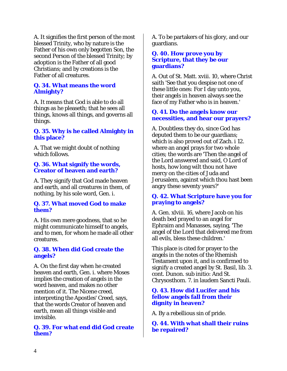A. It signifies the first person of the most blessed Trinity, who by nature is the Father of his own only begotten Son, the second Person of the blessed Trinity; by adoption is the Father of all good Christians; and by creations is the Father of all creatures.

#### **Q. 34. What means the word Almighty?**

A. It means that God is able to do all things as he pleaseth; that he sees all things, knows all things, and governs all things.

## **Q. 35. Why is he called Almighty in this place?**

A. That we might doubt of nothing which follows.

## **Q. 36. What signify the words, Creator of heaven and earth?**

A. They signify that God made heaven and earth, and all creatures in them, of nothing, by his sole word, Gen. i.

## **Q. 37. What moved God to make them?**

A. His own mere goodness, that so he might communicate himself to angels, and to men, for whom he made all other creatures.

#### **Q. 38. When did God create the angels?**

A. On the first day when he created heaven and earth, Gen. i. where Moses implies the creation of angels in the word heaven, and makes no other mention of it. The Nicene creed, interpreting the Apostles' Creed, says, that the words Creator of heaven and earth, mean all things visible and invisible.

## **Q. 39. For what end did God create them?**

A. To be partakers of his glory, and our guardians.

#### **Q. 40. How prove you by Scripture, that they be our guardians?**

A. Out of St. Matt. xviii. 10, where Christ saith 'See that you despise not one of these little ones: For I day unto you, their angels in heaven always see the face of my Father who is in heaven.'

## **Q. 41. Do the angels know our necessities, and hear our prayers?**

A. Doubtless they do, since God has deputed them to be our guardians; which is also proved out of Zach. i 12. where an angel prays for two whole cities; the words are 'Then the angel of the Lord answered and said, O Lord of hosts, how long wilt thou not have mercy on the cities of Juda and Jerusalem, against which thou hast been angry these seventy years?'

#### **Q. 42. What Scripture have you for praying to angels?**

A. Gen. xlviii. 16, where Jacob on his death bed prayed to an angel for Ephraim and Manasses, saying, 'The angel of the Lord that delivered me from all evils, bless these children.'

This place is cited for prayer to the angels in the notes of the Rhemish Testament upon it, and is confirmed to signify a created angel by St. Basil, lib. 3. cont. Dunon. sub initio: And St. Chrysosthom. 7. in laudem Sancti Pauli.

## **Q. 43. How did Lucifer and his fellow angels fall from their dignity in heaven?**

A. By a rebellious sin of pride.

**Q. 44. With what shall their ruins be repaired?**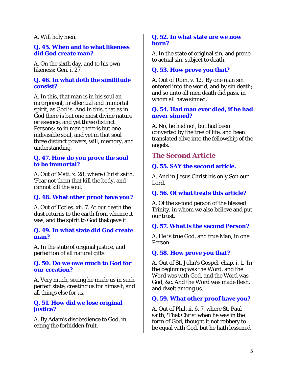#### A. Will holy men.

#### **Q. 45. When and to what likeness did God create man?**

A. On the sixth day, and to his own likeness: Gen. i. 27.

#### **Q. 46. In what doth the similitude consist?**

A. In this, that man is in his soul an incorporeal, intellectual and immortal spirit, as God is. And in this, that as in God there is but one most divine nature or essence, and yet three distinct Persons; so in man there is but one indivisible soul, and yet in that soul three distinct powers, will, memory, and understanding.

#### **Q. 47. How do you prove the soul to be immortal?**

A. Out of Matt. x. 28, where Christ saith, 'Fear not them that kill the body, and cannot kill the soul.'

# **Q. 48. What other proof have you?**

A. Out of Eccles. xii. 7. At our death the dust returns to the earth from whence it was, and the spirit to God that gave it.

#### **Q. 49. In what state did God create man?**

A. In the state of original justice, and perfection of all natural gifts.

#### **Q. 50. Do we owe much to God for our creation?**

A. Very much, seeing he made us in such perfect state, creating us for himself, and all things else for us.

#### **Q. 51. How did we lose original justice?**

A. By Adam's disobedience to God, in eating the forbidden fruit.

#### **Q. 52. In what state are we now born?**

A. In the state of original sin, and prone to actual sin, subject to death.

#### **Q. 53. How prove you that?**

A. Out of Rom. v. 12. 'By one man sin entered into the world, and by sin death; and so unto all men death did pass, in whom all have sinned.'

#### **Q. 54. Had man ever died, if he had never sinned?**

A. No, he had not, but had been converted by the tree of life, and been translated alive into the fellowship of the angels.

# *The Second Article*

#### **Q. 55. SAY the second article.**

A. And in Jesus Christ his only Son our Lord.

#### **Q. 56. Of what treats this article?**

A. Of the second person of the blessed Trinity, in whom we also believe and put our trust.

#### **Q. 57. What is the second Person?**

A. He is true God, and true Man, in one Person.

#### **Q. 58. How prove you that?**

A. Out of St. John's Gospel, chap. i. 1. 'In the beginning was the Word, and the Word was with God, and the Word was God, &c. And the Word was made flesh, and dwelt among us.'

#### **Q. 59. What other proof have you?**

A. Out of Phil. ii. 6, 7, where St. Paul saith, 'That Christ when he was in the form of God, thought it not robbery to be equal with God, but he hath lessened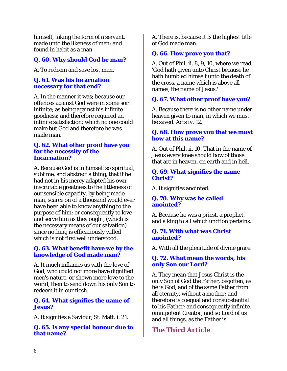himself, taking the form of a servant, made unto the likeness of men; and found in habit as a man.

# **Q. 60. Why should God be man?**

A. To redeem and save lost man.

## **Q. 61. Was his incarnation necessary for that end?**

A. In the manner it was; because our offences against God were in some sort infinite; as being against his infinite goodness; and therefore required an infinite satisfaction; which no one could make but God and therefore he was made man.

#### **Q. 62. What other proof have you for the necessity of the Incarnation?**

A. Because God is in himself so spiritual, sublime, and abstract a thing, that if he had not in his mercy adapted his own inscrutable greatness to the littleness of our sensible capacity, by being made man, scarce on of a thousand would ever have been able to know anything to the purpose of him; or consequently to love and serve him as they ought, (which is the necessary means of our salvation) since nothing is efficaciously willed which is not first well understood.

## **Q. 63. What benefit have we by the knowledge of God made man?**

A. It much inflames us with the love of God, who could not more have dignified men's nature, or shown more love to the world, then to send down his only Son to redeem it in our flesh.

## **Q. 64. What signifies the name of Jesus?**

A. It signifies a Saviour, St. Matt. i. 21.

**Q. 65. Is any special honour due to that name?** 

A. There is, because it is the highest title of God made man.

# **Q. 66. How prove you that?**

A. Out of Phil. ii. 8, 9, 10, where we read, 'God hath given unto Christ because he hath humbled himself unto the death of the cross, a name which is above all names, the name of Jesus.'

# **Q. 67. What other proof have you?**

A. Because there is no other name under heaven given to man, in which we must be saved. Acts iv. 12.

#### **Q. 68. How prove you that we must bow at this name?**

A. Out of Phil. ii. 10. That in the name of Jesus every knee should bow of those that are in heaven, on earth and in hell.

#### **Q. 69. What signifies the name Christ?**

A. It signifies anointed.

## **Q. 70. Why was he called anointed?**

A. Because he was a priest, a prophet, and a king to all which unction pertains.

## **Q. 71. With what was Christ anointed?**

A. With all the plenitude of divine grace.

## **Q. 72. What mean the words, his only Son our Lord?**

A. They mean that Jesus Christ is the only Son of God the Father, begotten, as he is God, and of the same Father from all eternity, without a mother; and therefore is coequal and consubstantial to his Father; and consequently infinite, omnipotent Creator, and so Lord of us and all things, as the Father is.

# *The Third Article*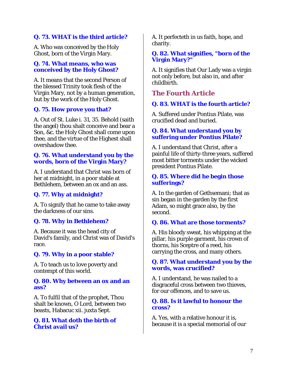# **Q. 73. WHAT is the third article?**

A. Who was conceived by the Holy Ghost, born of the Virgin Mary.

## **Q. 74. What means, who was conceived by the Holy Ghost?**

A. It means that the second Person of the blessed Trinity took flesh of the Virgin Mary, not by a human generation, but by the work of the Holy Ghost.

# **Q. 75. How prove you that?**

A. Out of St. Luke i. 31, 35. Behold (saith the angel) thou shalt conceive and bear a Son, &c. the Holy Ghost shall come upon thee, and the virtue of the Highest shall overshadow thee.

#### **Q. 76. What understand you by the words, born of the Virgin Mary?**

A. I understand that Christ was born of her at midnight, in a poor stable at Bethlehem, between an ox and an ass.

# **Q. 77. Why at midnight?**

A. To signify that he came to take away the darkness of our sins.

# **Q. 78. Why in Bethlehem?**

A. Because it was the head city of David's family, and Christ was of David's race.

# **Q. 79. Why in a poor stable?**

A. To teach us to love poverty and contempt of this world.

#### **Q. 80. Why between an ox and an ass?**

A. To fulfil that of the prophet, Thou shalt be known, O Lord, between two beasts, Habacuc xii. juxta Sept.

## **Q. 81. What doth the birth of Christ avail us?**

A. It perfecteth in us faith, hope, and charity.

#### **Q. 82. What signifies, "born of the Virgin Mary?"**

A. It signifies that Our Lady was a virgin not only before, but also in, and after childbirth.

# *The Fourth Article*

# **Q. 83. WHAT is the fourth article?**

A. Suffered under Pontius Pilate, was crucified dead and buried.

## **Q. 84. What understand you by suffering under Pontius Pilate?**

A. I understand that Christ, after a painful life of thirty-three years, suffered most bitter torments under the wicked president Pontius Pilate.

## **Q. 85. Where did he begin those sufferings?**

A. In the garden of Gethsemani; that as sin began in the garden by the first Adam, so might grace also, by the second.

# **Q. 86. What are those torments?**

A. His bloody sweat, his whipping at the pillar, his purple garment, his crown of thorns, his Sceptre of a reed, his carrying the cross, and many others.

#### **Q. 87. What understand you by the words, was crucified?**

A. I understand, he was nailed to a disgraceful cross between two thieves, for our offences, and to save us.

## **Q. 88. Is it lawful to honour the cross?**

A. Yes, with a relative honour it is, because it is a special memorial of our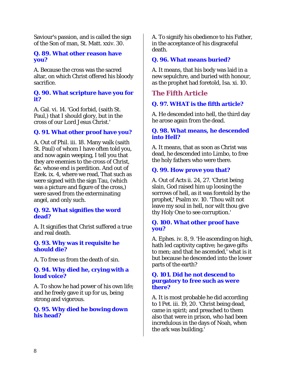Saviour's passion, and is called the sign of the Son of man, St. Matt. xxiv. 30.

#### **Q. 89. What other reason have you?**

A. Because the cross was the sacred altar, on which Christ offered his bloody sacrifice.

#### **Q. 90. What scripture have you for it?**

A. Gal. vi. 14. 'God forbid, (saith St. Paul,) that I should glory, but in the cross of our Lord Jesus Christ.'

# **Q. 91. What other proof have you?**

A. Out of Phil. iii. 18. Many walk (saith St. Paul) of whom I have often told you, and now again weeping, I tell you that they are enemies to the cross of Christ, &c. whose end is perdition. And out of Ezek. ix. 4, where we read, That such as were signed with the sign Tau, (which was a picture and figure of the cross,) were saved from the exterminating angel, and only such.

#### **Q. 92. What signifies the word dead?**

A. It signifies that Christ suffered a true and real death.

#### **Q. 93. Why was it requisite he should die?**

A. To free us from the death of sin.

## **Q. 94. Why died he, crying with a loud voice?**

A. To show he had power of his own life; and he freely gave it up for us, being strong and vigorous.

#### **Q. 95. Why died he bowing down his head?**

A. To signify his obedience to his Father, in the acceptance of his disgraceful death.

## **Q. 96. What means buried?**

A. It means, that his body was laid in a new sepulchre, and buried with honour, as the prophet had foretold, Isa. xi. 10.

# *The Fifth Article*

# **Q. 97. WHAT is the fifth article?**

A. He descended into hell, the third day he arose again from the dead.

#### **Q. 98. What means, he descended into Hell?**

A. It means, that as soon as Christ was dead, he descended into Limbo, to free the holy fathers who were there.

# **Q. 99. How prove you that?**

A. Out of Acts ii. 24, 27. 'Christ being slain, God raised him up loosing the sorrows of hell, as it was foretold by the prophet,' Psalm xv. 10. 'Thou wilt not leave my soul in hell, nor wilt thou give thy Holy One to see corruption.'

#### **Q. 100. What other proof have you?**

A. Ephes. iv. 8, 9. 'He ascending on high, hath led captivity captive; he gave gifts to men; and that he ascended,' what is it but because he descended into the lower parts of the earth?

#### **Q. 101. Did he not descend to purgatory to free such as were there?**

A. It is most probable he did according to 1 Pet. iii. 19, 20. 'Christ being dead, came in spirit; and preached to them also that were in prison, who had been incredulous in the days of Noah, when the ark was building.'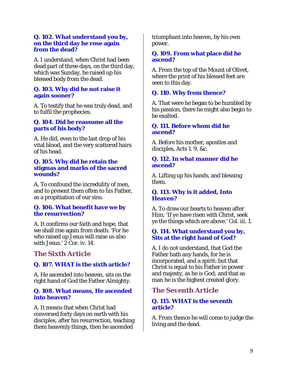#### **Q. 102. What understand you by, on the third day he rose again from the dead?**

A. I understand, when Christ had been dead part of three days, on the third day, which was Sunday, he raised up his blessed body from the dead.

#### **Q. 103. Why did he not raise it again sooner?**

A. To testify that he was truly dead, and to fulfil the prophecies.

## **Q. 104. Did he reassume all the parts of his body?**

A. He did, even to the last drop of his vital blood, and the very scattered hairs of his head.

#### **Q. 105. Why did he retain the stigmas and marks of the sacred wounds?**

A. To confound the incredulity of men, and to present them often to his Father, as a propitiation of our sins.

## **Q. 106. What benefit have we by the resurrection?**

A. It confirms our faith and hope, that we shall rise again from death: 'For he who raised up Jesus will raise us also with Jesus.'  $2$  Cor. iv. 14.

# *The Sixth Article*

# **Q. 107. WHAT is the sixth article?**

A. He ascended into heaven, sits on the right hand of God the Father Almighty.

## **Q. 108. What means, He ascended into heaven?**

A. It means that when Christ had conversed forty days on earth with his disciples, after his resurrection, teaching them heavenly things, then he ascended

triumphant into heaven, by his own power.

#### **Q. 109. From what place did he ascend?**

A. From the top of the Mount of Olivet, where the print of his blessed feet are seen to this day.

# **Q. 110. Why from thence?**

A. That were he began to be humbled by his passion, there he might also begin to be exalted.

#### **Q. 111. Before whom did he ascend?**

A. Before his mother, apostles and disciples, Acts 1. 9, &c.

## **Q. 112. In what manner did he ascend?**

A. Lifting up his hands, and blessing them.

## **Q. 113. Why is it added, Into Heaven?**

A. To draw our hearts to heaven after Him; 'If ye have risen with Christ, seek ye the things which are above.' Col. iii. 1.

# **Q. 114. What understand you by, Sits at the right hand of God?**

A. I do not understand, that God the Father hath any hands, for he is incorporated, and a spirit: but that Christ is equal to his Father in power and majesty, as he is God; and that as man he is the highest created glory.

# *The Seventh Article*

# **Q. 115. WHAT is the seventh article?**

A. From thence he will come to judge the living and the dead.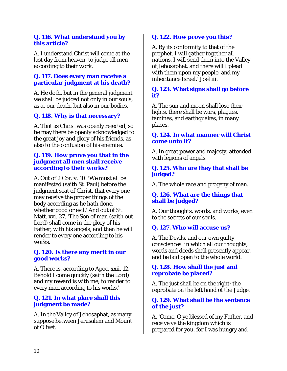#### **Q. 116. What understand you by this article?**

A. I understand Christ will come at the last day from heaven, to judge all men according to their work.

## **Q. 117. Does every man receive a particular judgment at his death?**

A. He doth, but in the general judgment we shall be judged not only in our souls, as at our death, but also in our bodies.

# **Q. 118. Why is that necessary?**

A. That as Christ was openly rejected, so he may there be openly acknowledged to the great joy and glory of his friends, as also to the confusion of his enemies.

#### **Q. 119. How prove you that in the judgment all men shall receive according to their works?**

A. Out of 2 Cor. v. 10. 'We must all be manifested (saith St. Paul) before the judgment seat of Christ, that every one may receive the proper things of the body according as he hath done, whether good or evil.' And out of St. Matt. xvi. 27. 'The Son of man (saith out Lord) shall come in the glory of his Father, with his angels, and then he will render to every one according to his works.'

#### **Q. 120. Is there any merit in our good works?**

A. There is, according to Apoc. xxii. 12. Behold I come quickly (saith the Lord) and my reward is with me; to render to every man according to his works.'

## **Q. 121. In what place shall this judgment be made?**

A. In the Valley of Jehosaphat, as many suppose between Jerusalem and Mount of Olivet.

# **Q. 122. How prove you this?**

A. By its conformity to that of the prophet. I will gather together all nations, I will send them into the Valley of Jehosaphat, and there will I plead with them upon my people, and my inheritance Israel,' Joel iii.

## **Q. 123. What signs shall go before it?**

A. The sun and moon shall lose their lights, there shall be wars, plagues, famines, and earthquakes, in many places.

#### **Q. 124. In what manner will Christ come unto it?**

A. In great power and majesty, attended with legions of angels.

#### **Q. 125. Who are they that shall be judged?**

A. The whole race and progeny of man.

## **Q. 126. What are the things that shall be judged?**

A. Our thoughts, words, and works, even to the secrets of our souls.

#### **Q. 127. Who will accuse us?**

A. The Devils, and our own guilty consciences: in which all our thoughts, words and deeds shall presently appear, and be laid open to the whole world.

#### **Q. 128. How shall the just and reprobate be placed?**

A. The just shall be on the right; the reprobate on the left hand of the Judge.

#### **Q. 129. What shall be the sentence of the just?**

A. 'Come, O ye blessed of my Father, and receive ye the kingdom which is prepared for you, for I was hungry and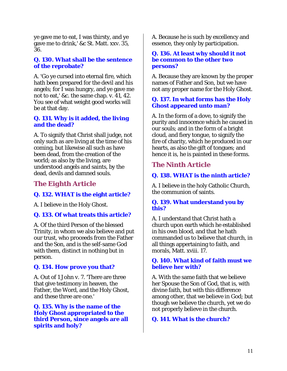ye gave me to eat, I was thirsty, and ye gave me to drink,' &c St. Matt. xxv. 35, 36.

## **Q. 130. What shall be the sentence of the reprobate?**

A. 'Go ye cursed into eternal fire, which hath been prepared for the devil and his angels; for I was hungry, and ye gave me not to eat,' &c. the same chap. v. 41, 42. You see of what weight good works will be at that day.

#### **Q. 131. Why is it added, the living and the dead?**

A. To signify that Christ shall judge, not only such as are living at the time of his coming, but likewise all such as have been dead, from the creation of the world; as also by the living, are understood angels and saints, by the dead, devils and damned souls.

# *The Eighth Article*

# **Q. 132. WHAT is the eight article?**

A. I believe in the Holy Ghost.

# **Q. 133. Of what treats this article?**

A. Of the third Person of the blessed Trinity, in whom we also believe and put our trust, who proceeds from the Father and the Son, and is the self-same God with them, distinct in nothing but in person.

# **Q. 134. How prove you that?**

A. Out of 1 John v. 7. 'There are three that give testimony in heaven, the Father, the Word, and the Holy Ghost, and these three are one.'

**Q. 135. Why is the name of the Holy Ghost appropriated to the third Person, since angels are all spirits and holy?** 

A. Because he is such by excellency and essence, they only by participation.

#### **Q. 136. At least why should it not be common to the other two persons?**

A. Because they are known by the proper names of Father and Son, but we have not any proper name for the Holy Ghost.

## **Q. 137. In what forms has the Holy Ghost appeared unto man?**

A. In the form of a dove, to signify the purity and innocence which he caused in our souls; and in the form of a bright cloud, and fiery tongue, to signify the fire of charity, which he produced in our hearts, as also the gift of tongues; and hence it is, he is painted in these forms.

# *The Ninth Article*

# **Q. 138. WHAT is the ninth article?**

A. I believe in the holy Catholic Church, the communion of saints.

## **Q. 139. What understand you by this?**

A. I understand that Christ hath a church upon earth which he established in his own blood, and that he hath commanded us to believe that church, in all things appertaining to faith, and morals, Matt. xviii. 17.

## **Q. 140. What kind of faith must we believe her with?**

A. With the same faith that we believe her Spouse the Son of God, that is, with divine faith, but with this difference among other, that we believe in God; but though we believe the church, yet we do not properly believe in the church.

# **Q. 141. What is the church?**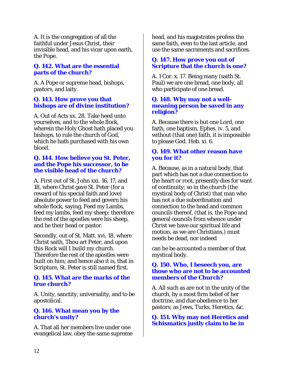A. It is the congregation of all the faithful under Jesus Christ, their invisible head, and his vicar upon earth, the Pope.

## **Q. 142. What are the essential parts of the church?**

A. A Pope or supreme head, bishops, pastors, and laity.

## **Q. 143. How prove you that bishops are of divine institution?**

A. Out of Acts xx. 28. Take heed unto yourselves, and to the whole flock, wherein the Holy Ghost hath placed you bishops, to rule the church of God, which he hath purchased with his own blood.

#### **Q. 144. How believe you St. Peter, and the Pope his successor, to be the visible head of the church?**

A. First out of St. John xxi. 16, 17, and 18, where Christ gave St. Peter (for a reward of his special faith and love) absolute power to feed and govern his whole flock, saying, Feed my Lambs, feed my lambs, feed my sheep; therefore the rest of the apostles were his sheep, and he their head or pastor.

Secondly, out of St. Matt. xvi. 18, where Christ saith, Thou art Peter, and upon this Rock will I build my church. Therefore the rest of the apostles were built on him; and hence also it is, that in Scripture, St. Peter is still named first.

#### **Q. 145. What are the marks of the true church?**

A. Unity, sanctity, universality, and to be apostolical.

#### **Q. 146. What mean you by the church's unity?**

A. That all her members live under one evangelical law, obey the same supreme

head, and his magistrates profess the same faith, even to the last article, and use the same sacraments and sacrifices.

## **Q. 147. How prove you out of Scripture that the church is one?**

A. 1 Cor. x. 17. Being many (saith St. Paul) we are one bread, one body, all who participate of one bread.

#### **Q. 148. Why may not a wellmeaning person be saved in any religion?**

A. Because there is but one Lord, one faith, one baptism, Ephes. iv. 5, and without (that one) faith, it is impossible to please God. Heb. xi. 6.

## **Q. 149. What other reason have you for it?**

A. Because, as in a natural body, that part which has not a due connection to the heart or root, presently dies for want of continuity; so in the church (the mystical body of Christ) that man who has not a due subordination and connection to the head and common councils thereof, (that is, the Pope and general councils from whence under Christ we have our spiritual life and motion, as we are Christians,) must needs be dead, nor indeed

can he be accounted a member of that mystical body.

#### **Q. 150. Who, I beseech you, are those who are not to be accounted members of the Church?**

A. All such as are not in the unity of the church, by a most firm belief of her doctrine, and due obedience to her pastors; as Jews, Turks, Heretics, &c.

**Q. 151. Why may not Heretics and Schismatics justly claim to be in**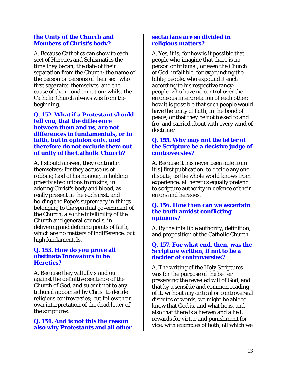#### **the Unity of the Church and Members of Christ's body?**

A. Because Catholics can show to each sect of Heretics and Schismatics the time they began; the date of their separation from the Church: the name of the person or persons of their sect who first separated themselves, and the cause of their condemnation; whilst the Catholic Church always was from the beginning.

#### **Q. 152. What if a Protestant should tell you, that the difference between them and us, are not differences in fundamentals, or in faith, but in opinion only, and therefore do not exclude them out of unity of the Catholic Church?**

A. I should answer, they contradict themselves; for they accuse us of robbing God of his honour, in holding priestly absolutions from sins; in adoring Christ's body and blood, as really present in the eucharist, and holding the Pope's supremacy in things belonging to the spiritual government of the Church, also the infallibility of the Church and general councils, in delivering and defining points of faith, which are no matters of indifference, but high fundamentals.

#### **Q. 153. How do you prove all obstinate Innovators to be Heretics?**

A. Because they wilfully stand out against the definitive sentence of the Church of God, and submit not to any tribunal appointed by Christ to decide religious controversies; but follow their own interpretation of the dead letter of the scriptures.

#### **Q. 154. And is not this the reason also why Protestants and all other**

#### **sectarians are so divided in religious matters?**

A. Yes, it is; for how is it possible that people who imagine that there is no person or tribunal, or even the Church of God, infallible, for expounding the bible; people, who expound it each according to his respective fancy; people, who have no control over the erroneous interpretation of each other; how it is possible that such people would have the unity of faith, in the bond of peace; or that they be not tossed to and fro, and carried about with every wind of doctrine?

#### **Q. 155. Why may not the letter of the Scripture be a decisive judge of controversies?**

A. Because it has never been able from it[s] first publication, to decide any one dispute; as the whole world knows from experience: all heretics equally pretend to scripture authority in defence of their errors and heresies.

#### **Q. 156. How then can we ascertain the truth amidst conflicting opinions?**

A. By the infallible authority, definition, and proposition of the Catholic Church.

#### **Q. 157. For what end, then, was the Scripture written, if not to be a decider of controversies?**

A. The writing of the Holy Scriptures was for the purpose of the better preserving the revealed will of God, and that by a sensible and common reading of it, without any critical or controversial disputes of words, we might be able to know that God is, and what he is, and also that there is a heaven and a hell, rewards for virtue and punishment for vice, with examples of both, all which we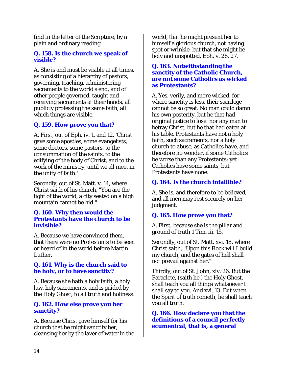find in the letter of the Scripture, by a plain and ordinary reading.

## **Q. 158. Is the church we speak of visible?**

A. She is and must be visible at all times, as consisting of a hierarchy of pastors, governing, teaching, administering sacraments to the world's end, and of other people governed, taught and receiving sacraments at their hands, all publicly professing the same faith, all which things are visible.

# **Q. 159. How prove you that?**

A. First, out of Eph. iv. 1, and 12. 'Christ gave some apostles, some evangelists, some doctors, some pastors, to the consummation of the saints, to the edifying of the body of Christ, and to the work of the ministry, until we all meet in the unity of faith.'

Secondly, out of St. Matt. v. 14, where Christ saith of his church, "You are the light of the world, a city seated on a high mountain cannot be hid."

#### **Q. 160. Why then would the Protestants have the church to be invisible?**

A. Because we have convinced them, that there were no Protestants to be seen or heard of in the world before Martin Luther.

## **Q. 161. Why is the church said to be holy, or to have sanctity?**

A. Because she hath a holy faith, a holy law, holy sacraments, and is guided by the Holy Ghost, to all truth and holiness.

#### **Q. 162. How else prove you her sanctity?**

A. Because Christ gave himself for his church that he might sanctify her, cleansing her by the laver of water in the world, that he might present her to himself a glorious church, not having spot or wrinkle, but that she might be holy and unspotted. Eph. v. 26, 27.

#### **Q. 163. Notwithstanding the sanctity of the Catholic Church, are not some Catholics as wicked as Protestants?**

A. Yes, verily, and more wicked, for where sanctity is less, their sacrilege cannot be so great. No man could damn his own posterity, but he that had original justice to lose: nor any man to betray Christ, but he that had eaten at his table. Protestants have not a holy faith, such sacraments, nor a holy church to abuse, as Catholics have, and therefore no wonder, if some Catholics be worse than any Protestants; yet Catholics have some saints, but Protestants have none.

# **Q. 164. Is the church infallible?**

A. She is, and therefore to be believed, and all men may rest securely on her judgment.

# **Q. 165. How prove you that?**

A. First, because she is the pillar and ground of truth 1 Tim. iii. 15.

Secondly, out of St. Matt. xvi. 18, where Christ saith, "Upon this Rock will I build my church, and the gates of hell shall not prevail against her."

Thirdly, out of St. John, xiv. 26. But the Paraclete, (saith he,) the Holy Ghost, shall teach you all things whatsoever I shall say to you. And xvi. 13. But when the Spirit of truth cometh, he shall teach you all truth.

**Q. 166. How declare you that the definitions of a council perfectly ecumenical, that is, a general**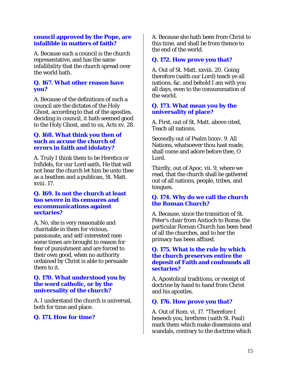#### **council approved by the Pope, are infallible in matters of faith?**

A. Because such a council is the church representative, and has the same infallibility that the church spread over the world hath.

#### **Q. 167. What other reason have you?**

A. Because of the definitions of such a council are the dictates of the Holy Ghost, according to that of the apostles, deciding in council, it hath seemed good to the Holy Ghost, and to us, Acts xv. 28.

#### **Q. 168. What think you then of such as accuse the church of errors in faith and idolatry?**

A. Truly I think them to be Heretics or Infidels, for our Lord saith, He that will not hear the church let him be unto thee as a heathen and a publican, St. Matt. xviii. 17.

#### **Q. 169. Is not the church at least too severe in its censures and excommunications against sectaries?**

A. No, she is very reasonable and charitable in them for vicious, passionate, and self-interested men some times are brought to reason for fear of punishment and are forced to their own good, when no authority ordained by Christ is able to persuade them to it.

#### **Q. 170. What understood you by the word catholic, or by the universality of the church?**

A. I understand the church is universal, both for time and place.

# **Q. 171. How for time?**

A. Because she hath been from Christ to this time, and shall be from thence to the end of the world.

# **Q. 172. How prove you that?**

A. Out of St. Matt. xxviii. 20. Going therefore (saith our Lord) teach ye all nations, &c. and behold I am with you all days, even to the consummation of the world.

#### **Q. 173. What mean you by the universality of place?**

A. First, out of St. Matt. above cited, Teach all nations.

Secondly out of Psalm lxxxv. 9. All Nations, whatsoever thou hast made, shall come and adore before thee, O Lord.

Thirdly, out of Apoc. vii. 9, where we read, that the church shall be gathered out of all nations, people, tribes, and tongues.

#### **Q. 174. Why do we call the church the Roman Church?**

A. Because, since the transition of St. Peter's chair from Antioch to Rome, the particular Roman Church has been head of all the churches, and to her the primacy has been affixed.

#### **Q. 175. What is the rule by which the church preserves entire the deposit of Faith and confounds all sectaries?**

A. Apostolical traditions, or receipt of doctrine by hand to hand from Christ and his apostles.

# **Q. 176. How prove you that?**

A. Out of Rom. vi. 17. "Therefore I beseech you, brethren (saith St. Paul) mark them which make dissensions and scandals, contrary to the doctrine which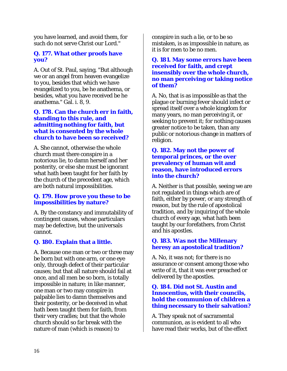you have learned, and avoid them, for such do not serve Christ our Lord."

## **Q. 177. What other proofs have you?**

A. Out of St. Paul, saying, "But although we or an angel from heaven evangelize to you, besides that which we have evangelized to you, be he anathema, or besides, what you have received be he anathema." Gal. i. 8, 9.

#### **Q. 178. Can the church err in faith, standing to this rule, and admitting nothing for faith, but what is consented by the whole church to have been so received?**

A. She cannot, otherwise the whole church must there conspire in a notorious lie, to damn herself and her posterity, or else she must be ignorant what hath been taught for her faith by the church of the precedent age, which are both natural impossibilities.

#### **Q. 179. How prove you these to be impossibilities by nature?**

A. By the constancy and immutability of contingent causes, whose particulars may be defective, but the universals cannot.

# **Q. 180. Explain that a little.**

A. Because one man or two or three may be born but with one arm, or one eye only, through defect of their particular causes; but that all nature should fail at once, and all men be so born, is totally impossible in nature; in like manner, one man or two may conspire in palpable lies to damn themselves and their posterity, or be deceived in what hath been taught them for faith, from their very cradles; but that the whole church should so far break with the nature of man (which is reason) to

conspire in such a lie, or to be so mistaken, is as impossible in nature, as it is for men to be no men.

#### **Q. 181. May some errors have been received for faith, and crept insensibly over the whole church, no man perceiving or taking notice of them?**

A. No, that is as impossible as that the plague or burning fever should infect or spread itself over a whole kingdom for many years, no man perceiving it, or seeking to prevent it; for nothing causes greater notice to be taken, than any public or notorious change in matters of religion.

#### **Q. 182. May not the power of temporal princes, or the over prevalency of human wit and reason, have introduced errors into the church?**

A. Neither is that possible, seeing we are not regulated in things which are of faith, either by power, or any strength of reason, but by the rule of apostolical tradition, and by inquiring of the whole church of every age, what hath been taught by our forefathers, from Christ and his apostles.

## **Q. 183. Was not the Millenary heresy an apostolical tradition?**

A. No, it was not; for there is no assurance or consent among those who write of it, that it was ever preached or delivered by the apostles.

#### **Q. 184. Did not St. Austin and Innocentius, with their councils, hold the communion of children a thing necessary to their salvation?**

A. They speak not of sacramental communion, as is evident to all who have read their works, but of the effect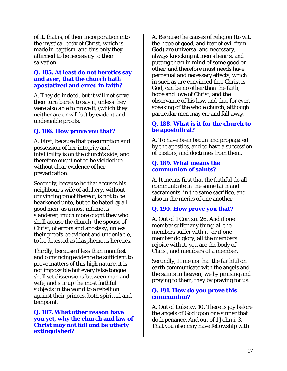of it, that is, of their incorporation into the mystical body of Christ, which is made in baptism, and this only they affirmed to be necessary to their salvation.

#### **Q. 185. At least do not heretics say and aver, that the church hath apostatized and erred in faith?**

A. They do indeed, but it will not serve their turn barely to say it, unless they were also able to prove it, (which they neither are or will be) by evident and undeniable proofs.

# **Q. 186. How prove you that?**

A. First, because that presumption and possession of her integrity and infallibility is on the church's side; and therefore ought not to be yielded up, without clear evidence of her prevarication.

Secondly, because he that accuses his neighbour's wife of adultery, without convincing proof thereof, is not to be hearkened unto, but to be hated by all good men, as a most infamous slanderer; much more ought they who shall accuse the church, the spouse of Christ, of errors and apostasy, unless their proofs be evident and undeniable, to be detested as blasphemous heretics.

Thirdly, because if less than manifest and convincing evidence be sufficient to prove matters of this high nature, it is not impossible but every false tongue shall set dissensions between man and wife, and stir up the most faithful subjects in the world to a rebellion against their princes, both spiritual and temporal.

#### **Q. 187. What other reason have you yet, why the church and law of Christ may not fail and be utterly extinguished?**

A. Because the causes of religion (to wit, the hope of good, and fear of evil from God) are universal and necessary, always knocking at men's hearts, and putting them in mind of some good or other, and therefore must needs have perpetual and necessary effects, which in such as are convinced that Christ is God, can be no other than the faith, hope and love of Christ, and the observance of his law, and that for ever, speaking of the whole church, although particular men may err and fall away.

## **Q. 188. What is it for the church to be apostolical?**

A. To have been begun and propagated by the apostles, and to have a succession of pastors, and doctrines from them.

#### **Q. 189. What means the communion of saints?**

A. It means first that the faithful do all communicate in the same faith and sacraments, in the same sacrifice, and also in the merits of one another.

# **Q. 190. How prove you that?**

A. Out of 1 Cor. xii. 26. And if one member suffer any thing, all the members suffer with it; or if one member do glory, all the members rejoice with it, you are the body of Christ, and members of a member.

Secondly, It means that the faithful on earth communicate with the angels and the saints in heaven; we by praising and praying to them, they by praying for us.

## **Q. 191. How do you prove this communion?**

A. Out of Luke xv. 10. There is joy before the angels of God upon one sinner that doth penance. And out of 1 John i. 3, That you also may have fellowship with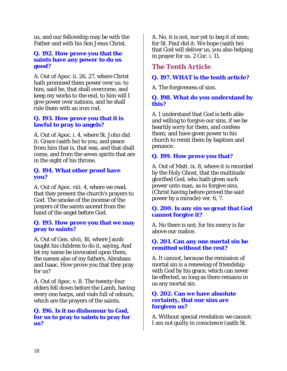us, and our fellowship may be with the Father and with his Son Jesus Christ.

#### **Q. 192. How prove you that the saints have any power to do us good?**

A. Out of Apoc. ii. 26, 27, where Christ hath promised them power over us: to him, said he, that shall overcome, and keep my works to the end, to him will I give power over nations, and he shall rule them with an iron rod.

## **Q. 193. How prove you that it is lawful to pray to angels?**

A. Out of Apoc. i. 4, where St. John did it: Grace (saith he) to you, and peace from him that is, that was, and that shall come, and from the seven spirits that are in the sight of his throne.

## **Q. 194. What other proof have you?**

A. Out of Apoc. viii. 4, where we read, that they present the church's prayers to God. The smoke of the incense of the prayers of the saints ascend from the hand of the angel before God.

#### **Q. 195. How prove you that we may pray to saints?**

A. Out of Gen. xlvii, 16, where Jacob taught his children to do it, saying, And let my name be invocated upon them, the names also of my fathers, Abraham and Isaac. How prove you that they pray for us?

A. Out of Apoc. v. 8. The twenty-four elders fell down before the Lamb, having every one harps, and vials full of odours, which are the prayers of the saints.

#### **Q. 196. Is it no dishonour to God, for us to pray to saints to pray for us?**

A. No, it is not, nor yet to beg it of men; for St. Paul did it: We hope (saith he) that God will deliver us, you also helping in prayer for us. 2 Cor. i. 11.

# *The Tenth Article*

# **Q. 197. WHAT is the tenth article?**

A. The forgiveness of sins.

## **Q. 198. What do you understand by this?**

A. I understand that God is both able and willing to forgive our sins, if we be heartily sorry for them, and confess them; and have given power to his church to remit them by baptism and penance.

# **Q. 199. How prove you that?**

A. Out of Matt. ix. 8, where it is recorded by the Holy Ghost, that the multitude glorified God, who hath given such power unto man, as to forgive sins, (Christ having before proved the said power by a miracle) ver. 6, 7.

## **Q. 200. Is any sin so great that God cannot forgive it?**

A. No there is not; for his mercy is far above our malice.

#### **Q. 201. Can any one mortal sin be remitted without the rest?**

A. It cannot, because the remission of mortal sin is a renewing of friendship with God by his grace, which can never be effected, so long as there remains in us any mortal sin.

#### **Q. 202. Can we have absolute certainty, that our sins are forgiven us?**

A. Without special revelation we cannot: I am not guilty in conscience (saith St.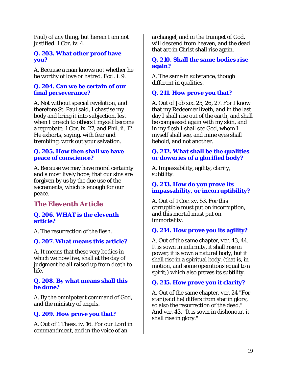Paul) of any thing, but herein I am not justified. 1 Cor. iv. 4.

## **Q. 203. What other proof have you?**

A. Because a man knows not whether he be worthy of love or hatred. Eccl. i. 9.

#### **Q. 204. Can we be certain of our final perseverance?**

A. Not without special revelation, and therefore St. Paul said, I chastise my body and bring it into subjection, lest when I preach to others I myself become a reprobate, 1 Cor. ix. 27, and Phil. ii. 12. He exhorts, saying, with fear and trembling, work out your salvation.

#### **Q. 205. How then shall we have peace of conscience?**

A. Because we may have moral certainty and a most lively hope, that our sins are forgiven by us by the due use of the sacraments, which is enough for our peace.

# *The Eleventh Article*

#### **Q. 206. WHAT is the eleventh article?**

A. The resurrection of the flesh.

#### **Q. 207. What means this article?**

A. It means that these very bodies in which we now live, shall at the day of judgment be all raised up from death to life.

#### **Q. 208. By what means shall this be done?**

A. By the omnipotent command of God, and the ministry of angels.

# **Q. 209. How prove you that?**

A. Out of 1 Thess. iv. 16. For our Lord in commandment, and in the voice of an

archangel, and in the trumpet of God, will descend from heaven, and the dead that are in Christ shall rise again.

#### **Q. 210. Shall the same bodies rise again?**

A. The same in substance, though different in qualities.

# **Q. 211. How prove you that?**

A. Out of Job xix. 25, 26, 27. For I know that my Redeemer liveth, and in the last day I shall rise out of the earth, and shall be compassed again with my skin, and in my flesh I shall see God, whom I myself shall see, and mine eyes shall behold, and not another.

## **Q. 212. What shall be the qualities or doweries of a glorified body?**

A. Impassability, agility, clarity, subtility.

#### **Q. 213. How do you prove its impassability, or incorruptibility?**

A. Out of 1 Cor. xv. 53. For this corruptible must put on incorruption, and this mortal must put on immortality.

#### **Q. 214. How prove you its agility?**

A. Out of the same chapter, ver. 43, 44. It is sown in infirmity, it shall rise in power; it is sown a natural body, but it shall rise in a spiritual body, (that is, in motion, and some operations equal to a spirit;) which also proves its subtility.

# **Q. 215. How prove you it clarity?**

A. Out of the same chapter, ver. 24 "For star (said he) differs from star in glory, so also the resurrection of the dead." And ver. 43. "It is sown in dishonour, it shall rise in glory."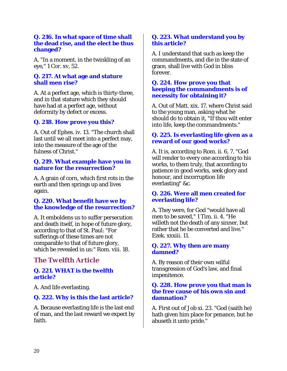#### **Q. 216. In what space of time shall the dead rise, and the elect be thus changed?**

A. "In a moment, in the twinkling of an eye," 1 Cor. xv, 52.

## **Q. 217. At what age and stature shall men rise?**

A. At a perfect age, which is thirty-three, and in that stature which they should have had at a perfect age, without deformity by defect or excess.

# **Q. 218. How prove you this?**

A. Out of Ephes. iv. 13. "The church shall last until we all meet into a perfect may, into the measure of the age of the fulness of Christ."

#### **Q. 219. What example have you in nature for the resurrection?**

A. A grain of corn, which first rots in the earth and then springs up and lives again.

#### **Q. 220. What benefit have we by the knowledge of the resurrection?**

A. It emboldens us to suffer persecution and death itself, in hope of future glory, according to that of St. Paul: "For sufferings of these times are not comparable to that of future glory, which be revealed in us:" Rom. viii. 18.

# *The Twelfth Article*

## **Q. 221. WHAT is the twelfth article?**

A. And life everlasting.

# **Q. 222. Why is this the last article?**

A. Because everlasting life is the last end of man, and the last reward we expect by faith.

#### **Q. 223. What understand you by this article?**

A. I understand that such as keep the commandments, and die in the state of grace, shall live with God in bliss forever.

#### **Q. 224. How prove you that keeping the commandments is of necessity for obtaining it?**

A. Out of Matt. xix. 17, where Christ said to the young man, asking what he should do to obtain it, "If thou wilt enter into life, keep the commandments."

#### **Q. 225. Is everlasting life given as a reward of our good works?**

A. It is, according to Rom. ii. 6, 7. "God will render to every one according to his works, to them truly, that according to patience in good works, seek glory and honour, and incorruption life everlasting" &c.

## **Q. 226. Were all men created for everlasting life?**

A. They were, for God "would have all men to be saved," 1 Tim. ii. 4. "He willeth not the death of any sinner, but rather that he be converted and live." Ezek. xxxiii. 11.

#### **Q. 227. Why then are many damned?**

A. By reason of their own wilful transgression of God's law, and final impenitence.

#### **Q. 228. How prove you that man is the free cause of his own sin and damnation?**

A. First out of Job xi. 23. "God (saith he) hath given him place for penance, but he abuseth it unto pride."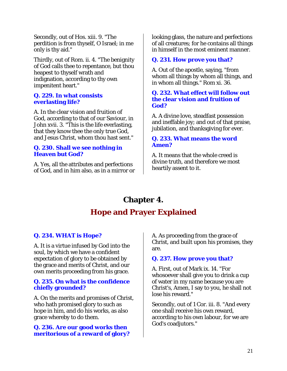Secondly, out of Hos. xiii. 9. "The perdition is from thyself, O Israel; in me only is thy aid."

Thirdly, out of Rom. ii. 4. "The benignity of God calls thee to repentance, but thou heapest to thyself wrath and indignation, according to thy own impenitent heart."

#### **Q. 229. In what consists everlasting life?**

A. In the clear vision and fruition of God, according to that of our Saviour, in John xvii. 3. "This is the life everlasting, that they know thee the only true God, and Jesus Christ, whom thou hast sent."

#### **Q. 230. Shall we see nothing in Heaven but God?**

A. Yes, all the attributes and perfections of God, and in him also, as in a mirror or looking glass, the nature and perfections of all creatures; for he contains all things in himself in the most eminent manner.

# **Q. 231. How prove you that?**

A. Out of the apostle, saying, "from whom all things by whom all things, and in whom all things." Rom xi. 36.

#### **Q. 232. What effect will follow out the clear vision and fruition of God?**

A. A divine love, steadfast possession and ineffable joy; and out of that praise, jubilation, and thanksgiving for ever.

## **Q. 233. What means the word Amen?**

A. It means that the whole creed is divine truth, and therefore we most heartily assent to it.

# **Chapter 4. Hope and Prayer Explained**

# **Q. 234. WHAT is Hope?**

A. It is a virtue infused by God into the soul, by which we have a confident expectation of glory to be obtained by the grace and merits of Christ, and our own merits proceeding from his grace.

## **Q. 235. On what is the confidence chiefly grounded?**

A. On the merits and promises of Christ, who hath promised glory to such as hope in him, and do his works, as also grace whereby to do them.

# **Q. 236. Are our good works then meritorious of a reward of glory?**

A. As proceeding from the grace of Christ, and built upon his promises, they are.

# **Q. 237. How prove you that?**

A. First, out of Mark ix. 14. "For whosoever shall give you to drink a cup of water in my name because you are Christ's, Amen, I say to you, he shall not lose his reward."

Secondly, out of 1 Cor. iii. 8. "And every one shall receive his own reward, according to his own labour, for we are God's coadjutors."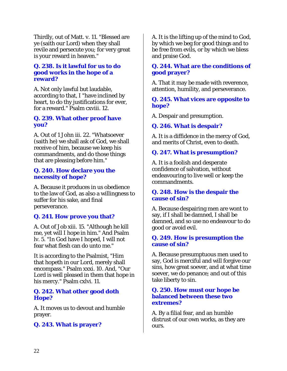Thirdly, out of Matt. v. 11. "Blessed are ye (saith our Lord) when they shall revile and persecute you; for very great is your reward in heaven."

#### **Q. 238. Is it lawful for us to do good works in the hope of a reward?**

A. Not only lawful but laudable, according to that, I "have inclined by heart, to do thy justifications for ever, for a reward." Psalm cxviii. 12.

#### **Q. 239. What other proof have you?**

A. Out of 1 John iii. 22. "Whatsoever (saith he) we shall ask of God, we shall receive of him, because we keep his commandments, and do those things that are pleasing before him."

#### **Q. 240. How declare you the necessity of hope?**

A. Because it produces in us obedience to the law of God, as also a willingness to suffer for his sake, and final perseverance.

# **Q. 241. How prove you that?**

A. Out of Job xiii. 15. "Although he kill me, yet will I hope in him." And Psalm lv. 5. "In God have I hoped, I will not fear what flesh can do unto me."

It is according to the Psalmist, "Him that hopeth in our Lord, merely shall encompass." Psalm xxxi. 10. And, "Our Lord is well pleased in them that hope in his mercy." Psalm cxlvi. 11.

#### **Q. 242. What other good doth Hope?**

A. It moves us to devout and humble prayer.

# **Q. 243. What is prayer?**

A. It is the lifting up of the mind to God, by which we beg for good things and to be free from evils, or by which we bless and praise God.

#### **Q. 244. What are the conditions of good prayer?**

A. That it may be made with reverence, attention, humility, and perseverance.

#### **Q. 245. What vices are opposite to hope?**

A. Despair and presumption.

# **Q. 246. What is despair?**

A. It is a diffidence in the mercy of God, and merits of Christ, even to death.

# **Q. 247. What is presumption?**

A. It is a foolish and desperate confidence of salvation, without endeavouring to live well or keep the commandments.

#### **Q. 248. How is the despair the cause of sin?**

A. Because despairing men are wont to say, if I shall be damned, I shall be damned, and so use no endeavour to do good or avoid evil.

#### **Q. 249. How is presumption the cause of sin?**

A. Because presumptuous men used to say, God is merciful and will forgive our sins, how great soever, and at what time soever, we do penance; and out of this take liberty to sin.

#### **Q. 250. How must our hope be balanced between these two extremes?**

A. By a filial fear, and an humble distrust of our own works, as they are ours.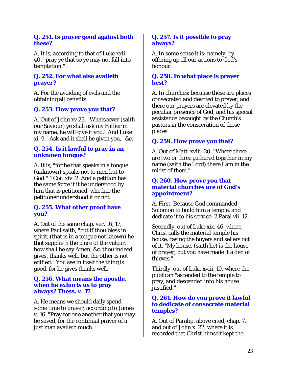#### **Q. 251. Is prayer good against both these?**

A. It is, according to that of Luke xxii. 40, "pray ye that so ye may not fall into temptation."

## **Q. 252. For what else availeth prayer?**

A. For the avoiding of evils and the obtaining all benefits.

# **Q. 253. How prove you that?**

A. Out of John xv 23. "Whatsoever (saith our Saviour) ye shall ask my Father in my name, he will give it you." And Luke xi. 9. "Ask and it shall be given you," &c.

#### **Q. 254. Is it lawful to pray in an unknown tongue?**

A. It is, "for he that speaks in a tongue (unknown) speaks not to men but to God." 1 Cor. xiv. 2. And a petition has the same force if it be understood by him that is petitioned, whether the petitioner understood it or not.

## **Q. 255. What other proof have you?**

A. Out of the same chap. ver. 16, 17, where Paul saith, "but if thou bless in spirit, (that is in a tongue not known) he that supplieth the place of the vulgar, how shall he say Amen, &c. thou indeed givest thanks well, but the other is not edified." You see in itself the thing is good, for he gives thanks well.

#### **Q. 256. What means the apostle, when he exhorts us to pray always? Thess. v. 17.**

A. He means we should daily spend some time to prayer, according to James v. 16. "Pray for one another that you may be saved, for the continual prayer of a just man availeth much."

#### **Q. 257. Is it possible to pray always?**

A. In some sense it is: namely, by offering up all our actions to God's honour.

#### **Q. 258. In what place is prayer best?**

A. In churches: because these are places consecrated and devoted to prayer, and there our prayers are elevated by the peculiar presence of God, and his special assistance besought by the Church's pastors in the consecration of those places.

# **Q. 259. How prove you that?**

A. Out of Matt. xviii. 20. "Where there are two or three gathered together in my name (saith the Lord) there  $\overline{I}$  am in the midst of them."

#### **Q. 260. How prove you that material churches are of God's appointment?**

A. First, Because God commanded Solomon to build him a temple, and dedicate it to his service. 2 Paral vii. 12.

Secondly, out of Luke xix. 46, where Christ calls the material temple his house, casing the buyers and sellers out of it. "My house, (saith he) is the house of prayer, but you have made it a den of thieves."

Thirdly, out of Luke xviii. 10, where the publican "ascended to the temple to pray, and descended into his house justified."

#### **Q. 261. How do you prove it lawful to dedicate of consecrate material temples?**

A. Out of Paralip. above cited, chap. 7, and out of John x. 22, where it is recorded that Christ himself kept the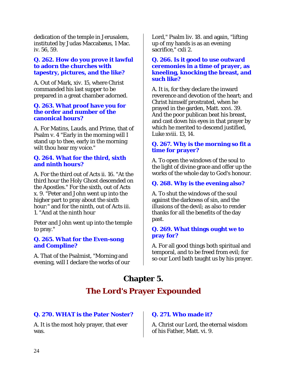dedication of the temple in Jerusalem, instituted by Judas Maccabæus, 1 Mac. iv. 56, 59.

#### **Q. 262. How do you prove it lawful to adorn the churches with tapestry, pictures, and the like?**

A. Out of Mark, xiv. 15, where Christ commanded his last supper to be prepared in a great chamber adorned.

## **Q. 263. What proof have you for the order and number of the canonical hours?**

A. For Matins, Lauds, and Prime, that of Psalm v. 4 "Early in the morning will I stand up to thee, early in the morning wilt thou hear my voice."

#### **Q. 264. What for the third, sixth and ninth hours?**

A. For the third out of Acts ii. 16. "At the third hour the Holy Ghost descended on the Apostles." For the sixth, out of Acts x. 9. "Peter and John went up into the higher part to pray about the sixth hour:" and for the ninth, out of Acts iii. 1. "And at the ninth hour

Peter and John went up into the temple to pray."

#### **Q. 265. What for the Even-song and Compline?**

A. That of the Psalmist, "Morning and evening, will I declare the works of our Lord," Psalm liv. 18. and again, "lifting up of my hands is as an evening sacrifice," cxli 2.

#### **Q. 266. Is it good to use outward ceremonies in a time of prayer, as kneeling, knocking the breast, and such like?**

A. It is, for they declare the inward reverence and devotion of the heart; and Christ himself prostrated, when he prayed in the garden, Matt. xxvi. 39. And the poor publican beat his breast, and cast down his eyes in that prayer by which he merited to descend justified, Luke xviii. 13, 14.

# **Q. 267. Why is the morning so fit a time for prayer?**

A. To open the windows of the soul to the light of divine grace and offer up the works of the whole day to God's honour.

# **Q. 268. Why is the evening also?**

A. To shut the windows of the soul against the darkness of sin, and the illusions of the devil; as also to render thanks for all the benefits of the day past.

## **Q. 269. What things ought we to pray for?**

A. For all good things both spiritual and temporal, and to be freed from evil; for so our Lord bath taught us by his prayer.

# **Chapter 5.**

# **The Lord's Prayer Expounded**

# **Q. 270. WHAT is the Pater Noster?**

A. It is the most holy prayer, that ever was.

# **Q. 271. Who made it?**

A. Christ our Lord, the eternal wisdom of his Father, Matt. vi. 9.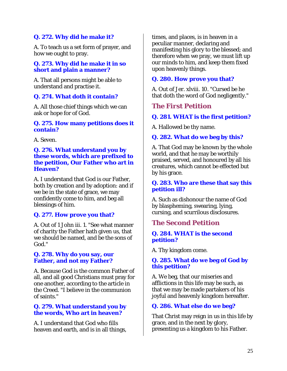# **Q. 272. Why did he make it?**

A. To teach us a set form of prayer, and how we ought to pray.

#### **Q. 273. Why did he make it in so short and plain a manner?**

A. That all persons might be able to understand and practise it.

# **Q. 274. What doth it contain?**

A. All those chief things which we can ask or hope for of God.

#### **Q. 275. How many petitions does it contain?**

A. Seven.

#### **Q. 276. What understand you by these words, which are prefixed to the petition, Our Father who art in Heaven?**

A. I understand that God is our Father, both by creation and by adoption: and if we be in the state of grace, we may confidently come to him, and beg all blessings of him.

# **Q. 277. How prove you that?**

A. Out of 1 John iii. 1. "See what manner of charity the Father hath given us, that we should be named, and be the sons of God."

#### **Q. 278. Why do you say, our Father, and not my Father?**

A. Because God is the common Father of all, and all good Christians must pray for one another, according to the article in the Creed. "I believe in the communion of saints."

#### **Q. 279. What understand you by the words, Who art in heaven?**

A. I understand that God who fills heaven and earth, and is in all things, times, and places, is in heaven in a peculiar manner, declaring and manifesting his glory to the blessed; and therefore when we pray, we must lift up our minds to him, and keep them fixed upon heavenly things.

# **Q. 280. How prove you that?**

A. Out of Jer. xlviii. 10. "Cursed be he that doth the word of God negligently."

# *The First Petition*

# **Q. 281. WHAT is the first petition?**

A. Hallowed be thy name.

# **Q. 282. What do we beg by this?**

A. That God may be known by the whole world, and that he may be worthily praised, served, and honoured by all his creatures, which cannot be effected but by his grace.

#### **Q. 283. Who are these that say this petition ill?**

A. Such as dishonour the name of God by blaspheming, swearing, lying, cursing, and scurrilous disclosures.

# *The Second Petition*

#### **Q. 284. WHAT is the second petition?**

A. Thy kingdom come.

## **Q. 285. What do we beg of God by this petition?**

A. We beg, that our miseries and afflictions in this life may be such, as that we may be made partakers of his joyful and heavenly kingdom hereafter.

# **Q. 286. What else do we beg?**

That Christ may reign in us in this life by grace, and in the next by glory, presenting us a kingdom to his Father.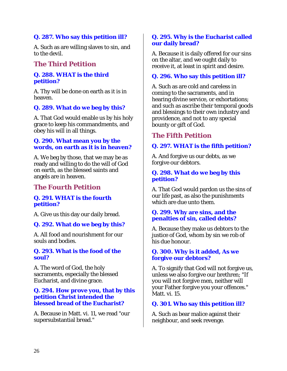# **Q. 287. Who say this petition ill?**

A. Such as are willing slaves to sin, and to the devil.

# *The Third Petition*

#### **Q. 288. WHAT is the third petition?**

A. Thy will be done on earth as it is in heaven.

## **Q. 289. What do we beg by this?**

A. That God would enable us by his holy grace to keep his commandments, and obey his will in all things.

#### **Q. 290. What mean you by the words, on earth as it is in heaven?**

A. We beg by those, that we may be as ready and willing to do the will of God on earth, as the blessed saints and angels are in heaven.

# *The Fourth Petition*

#### **Q. 291. WHAT is the fourth petition?**

A. Give us this day our daily bread.

#### **Q. 292. What do we beg by this?**

A. All food and nourishment for our souls and bodies.

#### **Q. 293. What is the food of the soul?**

A. The word of God, the holy sacraments, especially the blessed Eucharist, and divine grace.

#### **Q. 294. How prove you, that by this petition Christ intended the blessed bread of the Eucharist?**

A. Because in Matt. vi. 11, we read "our supersubstantial bread."

#### **Q. 295. Why is the Eucharist called our daily bread?**

A. Because it is daily offered for our sins on the altar, and we ought daily to receive it, at least in spirit and desire.

#### **Q. 296. Who say this petition ill?**

A. Such as are cold and careless in coming to the sacraments, and in hearing divine service, or exhortations; and such as ascribe their temporal goods and blessings to their own industry and providence, and not to any special bounty or gift of God.

# *The Fifth Petition*

#### **Q. 297. WHAT is the fifth petition?**

A. And forgive us our debts, as we forgive our debtors.

#### **Q. 298. What do we beg by this petition?**

A. That God would pardon us the sins of our life past, as also the punishments which are due unto them.

#### **Q. 299. Why are sins, and the penalties of sin, called debts?**

A. Because they make us debtors to the justice of God, whom by sin we rob of his due honour.

#### **Q. 300. Why is it added, As we forgive our debtors?**

A. To signify that God will not forgive us, unless we also forgive our brethren; "If you will not forgive men, neither will your Father forgive you your offences." Matt. vi. 15.

#### **Q. 301. Who say this petition ill?**

A. Such as bear malice against their neighbour, and seek revenge.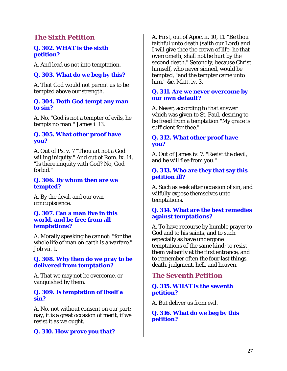# *The Sixth Petition*

#### **Q. 302. WHAT is the sixth petition?**

A. And lead us not into temptation.

## **Q. 303. What do we beg by this?**

A. That God would not permit us to be tempted above our strength.

#### **Q. 304. Doth God tempt any man to sin?**

A. No, "God is not a tempter of evils, he tempts no man." James i. 13.

#### **Q. 305. What other proof have you?**

A. Out of Ps. v. 7 "Thou art not a God willing iniquity." And out of Rom. ix. 14. "Is there iniquity with God? No, God forbid."

#### **Q. 306. By whom then are we tempted?**

A. By the devil, and our own concupiscence.

#### **Q. 307. Can a man live in this world, and be free from all temptations?**

A. Morally speaking he cannot: "for the whole life of man on earth is a warfare." Job vii. 1.

#### **Q. 308. Why then do we pray to be delivered from temptation?**

A. That we may not be overcome, or vanquished by them.

#### **Q. 309. Is temptation of itself a sin?**

A. No, not without consent on our part; nay, it is a great occasion of merit, if we resist it as we ought.

#### **Q. 310. How prove you that?**

A. First, out of Apoc. ii. 10, 11. "Be thou faithful unto death (saith our Lord) and I will give thee the crown of life: he that overcometh, shall not be hurt by the second death." Secondly, because Christ himself, who never sinned, would be tempted, "and the tempter came unto him." &c. Matt. iv. 3.

#### **Q. 311. Are we never overcome by our own default?**

A. Never, according to that answer which was given to St. Paul, desiring to be freed from a temptation "My grace is sufficient for thee."

## **Q. 312. What other proof have you?**

A. Out of James iv. 7. "Resist the devil, and he will flee from you."

#### **Q. 313. Who are they that say this petition ill?**

A. Such as seek after occasion of sin, and wilfully expose themselves unto temptations.

#### **Q. 314. What are the best remedies against temptations?**

A. To have recourse by humble prayer to God and to his saints, and to such especially as have undergone temptations of the same kind; to resist them valiantly at the first entrance, and to remember often the four last things, death, judgment, hell, and heaven.

# *The Seventh Petition*

## **Q. 315. WHAT is the seventh petition?**

A. But deliver us from evil.

**Q. 316. What do we beg by this petition?**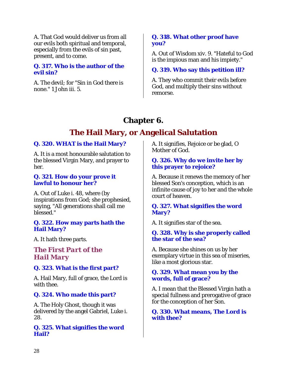A. That God would deliver us from all our evils both spiritual and temporal, especially from the evils of sin past, present, and to come.

#### **Q. 317. Who is the author of the evil sin?**

A. The devil; for "Sin in God there is none." 1 John iii. 5.

# **Q. 318. What other proof have you?**

A. Out of Wisdom xiv. 9. "Hateful to God is the impious man and his impiety."

# **Q. 319. Who say this petition ill?**

A. They who commit their evils before God, and multiply their sins without remorse.

# **Chapter 6.**

# **The Hail Mary, or Angelical Salutation**

# **Q. 320. WHAT is the Hail Mary?**

A. It is a most honourable salutation to the blessed Virgin Mary, and prayer to her.

#### **Q. 321. How do your prove it lawful to honour her?**

A. Out of Luke i. 48, where (by inspirations from God; she prophesied, saying, "All generations shall call me blessed."

# **Q. 322. How may parts hath the Hail Mary?**

A. It hath three parts.

*The First Part of the Hail Mary* 

# **Q. 323. What is the first part?**

A. Hail Mary, full of grace, the Lord is with thee.

# **Q. 324. Who made this part?**

A. The Holy Ghost, though it was delivered by the angel Gabriel, Luke i. 28.

## **Q. 325. What signifies the word Hail?**

A. It signifies, Rejoice or be glad, O Mother of God.

# **Q. 326. Why do we invite her by this prayer to rejoice?**

A. Because it renews the memory of her blessed Son's conception, which is an infinite cause of joy to her and the whole court of heaven.

# **Q. 327. What signifies the word Mary?**

A. It signifies star of the sea.

## **Q. 328. Why is she properly called the star of the sea?**

A. Because she shines on us by her exemplary virtue in this sea of miseries, like a most glorious star.

## **Q. 329. What mean you by the words, full of grace?**

A. I mean that the Blessed Virgin hath a special fullness and prerogative of grace for the conception of her Son.

**Q. 330. What means, The Lord is with thee?**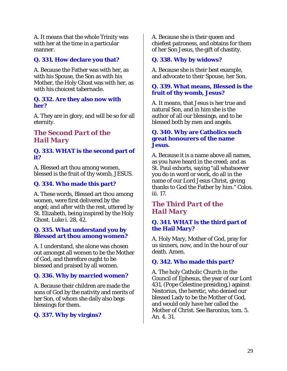A. It means that the whole Trinity was with her at the time in a particular manner.

# **Q. 331. How declare you that?**

A. Because the Father was with her, as with his Spouse, the Son as with his Mother, the Holy Ghost was with her, as with his choicest tabernacle.

#### **Q. 332. Are they also now with her?**

A. They are in glory, and will be so for all eternity.

# *The Second Part of the Hail Mary*

#### **Q. 333. WHAT is the second part of it?**

A. Blessed art thou among women, blessed is the fruit of thy womb, JESUS.

# **Q. 334. Who made this part?**

A. These words, Blessed art thou among women, were first delivered by the angel; and after with the rest, uttered by St. Elizabeth, being inspired by the Holy Ghost. Luke i. 28, 42.

## **Q. 335. What understand you by Blessed art thou among women?**

A. I understand, she alone was chosen out amongst all women to be the Mother of God, and therefore ought to be blessed and praised by all women.

# **Q. 336. Why by married women?**

A. Because their children are made the sons of God by the nativity and merits of her Son, of whom she daily also begs blessings for them.

# **Q. 337. Why by virgins?**

A. Because she is their queen and chiefest patroness, and obtains for them of her Son Jesus, the gift of chastity.

# **Q. 338. Why by widows?**

A. Because she is their best example, and advocate to their Spouse, her Son.

#### **Q. 339. What means, Blessed is the fruit of thy womb, Jesus?**

A. It means, that Jesus is her true and natural Son, and in him she is the author of all our blessings, and to be blessed both by men and angels.

#### **Q. 340. Why are Catholics such great honourers of the name Jesus.**

A. Because it is a name above all names, as you have heard in the creed; and as St. Paul exhorts, saying "all whatsoever you do in word or work, do all in the name of our Lord Jesus Christ, giving thanks to God the Father by him." Colos. iii. 17.

# *The Third Part of the Hail Mary*

# **Q. 341. WHAT is the third part of the Hail Mary?**

A. Holy Mary, Mother of God, pray for us sinners, now, and in the hour of our death. Amen.

# **Q. 342. Who made this part?**

A. The holy Catholic Church in the Council of Ephesus, the year of our Lord 431, (Pope Celestine presiding,) against Nestorius, the heretic, who denied our blessed Lady to be the Mother of God, and would only have her called the Mother of Christ. See Baronius, tom. 5. An. 4. 31.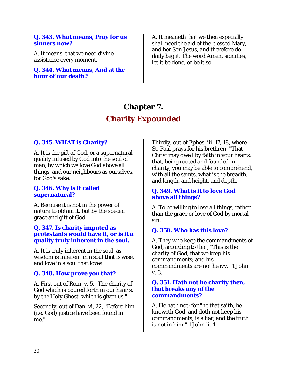#### **Q. 343. What means, Pray for us sinners now?**

A. It means, that we need divine assistance every moment.

**Q. 344. What means, And at the hour of our death?** 

A. It meaneth that we then especially shall need the aid of the blessed Mary, and her Son Jesus, and therefore do daily beg it. The word Amen, signifies, let it be done, or be it so.

# **Chapter 7. Charity Expounded**

# **Q. 345. WHAT is Charity?**

A. It is the gift of God, or a supernatural quality infused by God into the soul of man, by which we love God above all things, and our neighbours as ourselves, for God's sake.

#### **Q. 346. Why is it called supernatural?**

A. Because it is not in the power of nature to obtain it, but by the special grace and gift of God.

#### **Q. 347. Is charity imputed as protestants would have it, or is it a quality truly inherent in the soul.**

A. It is truly inherent in the soul, as wisdom is inherent in a soul that is wise, and love in a soul that loves.

#### **Q. 348. How prove you that?**

A. First out of Rom. v. 5. "The charity of God which is poured forth in our hearts, by the Holy Ghost, which is given us."

Secondly, out of Dan. vi, 22, "Before him (i.e. God) justice have been found in me."

Thirdly, out of Ephes. iii. 17, 18, where St. Paul prays for his brethren, "That Christ may dwell by faith in your hearts: that, being rooted and founded in charity, you may be able to comprehend, with all the saints, what is the breadth, and length, and height, and depth."

## **Q. 349. What is it to love God above all things?**

A. To be willing to lose all things, rather than the grace or love of God by mortal sin.

#### **Q. 350. Who has this love?**

A. They who keep the commandments of God, according to that, "This is the charity of God, that we keep his commandments; and his commandments are not heavy." 1 John v. 3.

#### **Q. 351. Hath not he charity then, that breaks any of the commandments?**

A. He hath not; for "he that saith, he knoweth God, and doth not keep his commandments, is a liar, and the truth is not in him." 1 John ii. 4.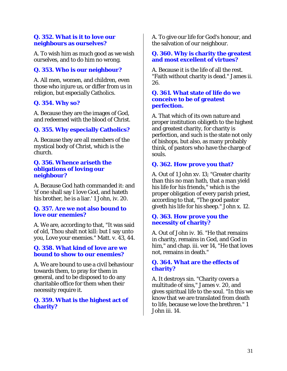### **Q. 352. What is it to love our neighbours as ourselves?**

A. To wish him as much good as we wish ourselves, and to do him no wrong.

# **Q. 353. Who is our neighbour?**

A. All men, women, and children, even those who injure us, or differ from us in religion, but especially Catholics.

# **Q. 354. Why so?**

A. Because they are the images of God, and redeemed with the blood of Christ.

# **Q. 355. Why especially Catholics?**

A. Because they are all members of the mystical body of Christ, which is the church.

#### **Q. 356. Whence ariseth the obligations of loving our neighbour?**

A. Because God hath commanded it: and 'if one shall say I love God, and hateth his brother, he is a liar.' 1 John, iv. 20.

### **Q. 357. Are we not also bound to love our enemies?**

A. We are, according to that, "It was said of old, Thou shalt not kill: but I say unto you, Love your enemies." Matt. v. 43, 44.

# **Q. 358. What kind of love are we bound to show to our enemies?**

A. We are bound to use a civil behaviour towards them, to pray for them in general, and to be disposed to do any charitable office for them when their necessity require it.

# **Q. 359. What is the highest act of charity?**

A. To give our life for God's honour, and the salvation of our neighbour.

### **Q. 360. Why is charity the greatest and most excellent of virtues?**

A. Because it is the life of all the rest. "Faith without charity is dead." James ii. 26.

#### **Q. 361. What state of life do we conceive to be of greatest perfection.**

A. That which of its own nature and proper institution obligeth to the highest and greatest charity, for charity is perfection, and such is the state not only of bishops, but also, as many probably think, of pastors who have the charge of souls.

# **Q. 362. How prove you that?**

A. Out of 1 John xv. 13; "Greater charity than this no man hath, that a man yield his life for his friends," which is the proper obligation of every parish priest, according to that, "The good pastor giveth his life for his sheep." John x. 12.

### **Q. 363. How prove you the necessity of charity?**

A. Out of John iv. 16. "He that remains in charity, remains in God, and God in him," and chap. iii. ver 14, "He that loves not, remains in death."

### **Q. 364. What are the effects of charity?**

A. It destroys sin. "Charity covers a multitude of sins," James v. 20, and gives spiritual life to the soul. "In this we know that we are translated from death to life, because we love the brethren." 1 John iii. 14.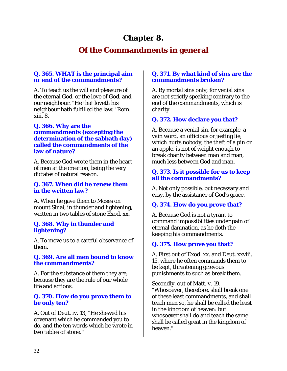# **Chapter 8.**

# **Of the Commandments in general**

# **Q. 365. WHAT is the principal aim or end of the commandments?**

A. To teach us the will and pleasure of the eternal God, or the love of God, and our neighbour. "He that loveth his neighbour hath fulfilled the law." Rom. xiii. 8.

### **Q. 366. Why are the commandments (excepting the determination of the sabbath day) called the commandments of the law of nature?**

A. Because God wrote them in the heart of men at the creation, being the very dictates of natural reason.

### **Q. 367. When did he renew them in the written law?**

A. When he gave them to Moses on mount Sinai, in thunder and lightening, written in two tables of stone Exod. xx.

### **Q. 368. Why in thunder and lightening?**

A. To move us to a careful observance of them.

### **Q. 369. Are all men bound to know the commandments?**

A. For the substance of them they are, because they are the rule of our whole life and actions.

# **Q. 370. How do you prove them to be only ten?**

A. Out of Deut. iv. 13, "He shewed his covenant which he commanded you to do, and the ten words which be wrote in two tables of stone."

# **Q. 371. By what kind of sins are the commandments broken?**

A. By mortal sins only; for venial sins are not strictly speaking contrary to the end of the commandments, which is charity.

# **Q. 372. How declare you that?**

A. Because a venial sin, for example, a vain word, an officious or jesting lie, which hurts nobody, the theft of a pin or an apple, is not of weight enough to break charity between man and man, much less between God and man.

### **Q. 373. Is it possible for us to keep all the commandments?**

A. Not only possible, but necessary and easy, by the assistance of God's grace.

# **Q. 374. How do you prove that?**

A. Because God is not a tyrant to command impossibilities under pain of eternal damnation, as he doth the keeping his commandments.

# **Q. 375. How prove you that?**

A. First out of Exod. xx. and Deut. xxviii. 15. where he often commands them to be kept, threatening grievous punishments to such as break them.

Secondly, out of Matt. v. 19. "Whosoever, therefore, shall break one of these least commandments, and shall teach men so, he shall be called the least in the kingdom of heaven: but whosoever shall do and teach the same shall be called great in the kingdom of heaven."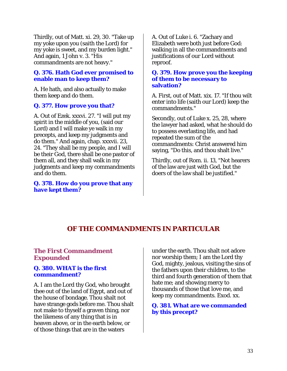Thirdly, out of Matt. xi. 29, 30. "Take up my yoke upon you (saith the Lord) for my yoke is sweet, and my burden light." And again, 1 John v. 3. "His commandments are not heavy."

### **Q. 376. Hath God ever promised to enable man to keep them?**

A. He hath, and also actually to make them keep and do them.

# **Q. 377. How prove you that?**

A. Out of Ezek. xxxvi. 27. "I will put my spirit in the middle of you, (said our Lord) and I will make ye walk in my precepts, and keep my judgments and do them." And again, chap. xxxvii. 23, 24. "They shall be my people, and I will be their God, there shall be one pastor of them all, and they shall walk in my judgments and keep my commandments and do them.

#### **Q. 378. How do you prove that any have kept them?**

A. Out of Luke i. 6. "Zachary and Elizabeth were both just before God: walking in all the commandments and justifications of our Lord without reproof.

### **Q. 379. How prove you the keeping of them to be necessary to salvation?**

A. First, out of Matt. xix. 17. "If thou wilt enter into life (saith our Lord) keep the commandments."

Secondly, out of Luke x. 25, 28, where the lawyer had asked, what he should do to possess everlasting life, and had repeated the sum of the commandments: Christ answered him saying, "Do this, and thou shalt live."

Thirdly, out of Rom. ii. 13, "Not hearers of the law are just with God, but the doers of the law shall be justified."

# *OF THE COMMANDMENTS IN PARTICULAR*

# **The First Commandment Expounded**

### **Q. 380. WHAT is the first commandment?**

A. I am the Lord thy God, who brought thee out of the land of Egypt, and out of the house of bondage. Thou shalt not have strange gods before me. Thou shalt not make to thyself a graven thing, nor the likeness of any thing that is in heaven above, or in the earth below, or of those things that are in the waters

under the earth. Thou shalt not adore nor worship them; I am the Lord thy God, mighty, jealous, visiting the sins of the fathers upon their children, to the third and fourth generation of them that hate me; and showing mercy to thousands of those that love me, and keep my commandments. Exod. xx.

# **Q. 381. What are we commanded by this precept?**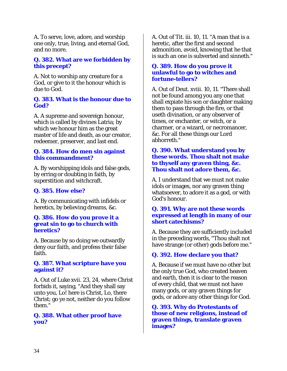A. To serve, love, adore, and worship one only, true, living, and eternal God, and no more.

### **Q. 382. What are we forbidden by this precept?**

A. Not to worship any creature for a God, or give to it the honour which is due to God.

### **Q. 383. What is the honour due to God?**

A. A supreme and sovereign honour, which is called by divines Latria; by which we honour him as the great master of life and death, as our creator, redeemer, preserver, and last end.

### **Q. 384. How do men sin against this commandment?**

A. By worshipping idols and false gods, by erring or doubting in faith, by superstition and witchcraft.

# **Q. 385. How else?**

A. By communicating with infidels or heretics, by believing dreams, &c.

#### **Q. 386. How do you prove it a great sin to go to church with heretics?**

A. Because by so doing we outwardly deny our faith, and profess their false faith.

### **Q. 387. What scripture have you against it?**

A. Out of Luke xvii. 23, 24, where Christ forbids it, saying, "And they shall say unto you, Lo! here is Christ, Lo, there Christ; go ye not, neither do you follow them."

# **Q. 388. What other proof have you?**

A. Out of Tit. iii. 10, 11. "A man that is a heretic, after the first and second admonition, avoid, knowing that he that is such an one is subverted and sinneth."

#### **Q. 389. How do you prove it unlawful to go to witches and fortune-tellers?**

A. Out of Deut. xviii. 10, 11. "There shall not be found among you any one that shall expiate his son or daughter making them to pass through the fire, or that useth divination, or any observer of times, or enchanter, or witch, or a charmer, or a wizard, or necromancer, &c. For all these things our Lord abhorreth."

### **Q. 390. What understand you by these words. Thou shalt not make to thyself any graven thing, &c. Thou shalt not adore them, &c.**

A. I understand that we must not make idols or images, nor any graven thing whatsoever, to adore it as a god, or with God's honour.

### **Q. 391. Why are not these words expressed at length in many of our short catechisms?**

A. Because they are sufficiently included in the preceding words, "Thou shalt not have strange (or other) gods before me."

# **Q. 392. How declare you that?**

A. Because if we must have no other but the only true God, who created heaven and earth, then it is clear to the reason of every child, that we must not have many gods, or any graven things for gods, or adore any other things for God.

**Q. 393. Why do Protestants of those of new religions, instead of graven things, translate graven images?**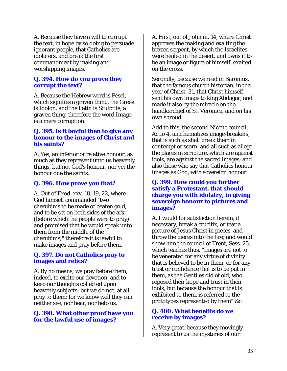A. Because they have a will to corrupt the text, in hope by so doing to persuade ignorant people, that Catholics are idolaters, and break the first commandment by making and worshipping images.

#### **Q. 394. How do you prove they corrupt the text?**

A. Because the Hebrew word is Pesel, which signifies a graven thing, the Greek is Idolon, and the Latin is Sculptile, a graven thing; therefore the word Image is a mere corruption.

#### **Q. 395. Is it lawful then to give any honour to the images of Christ and his saints?**

A. Yes, an inferior or relative honour, as much as they represent unto us heavenly things, but not God's honour, nor yet the honour due the saints.

#### **Q. 396. How prove you that?**

A. Out of Exod. xxv. 18, 19, 22, where God himself commanded "two cherubims to be made of beaten gold, and to be set on both sides of the ark (before which the people were to pray) and promised that he would speak unto them from the middle of the cherubims;" therefore it is lawful to make images and pray before them.

#### **Q. 397. Do not Catholics pray to images and relics?**

A. By no means; we pray before them, indeed, to excite our devotion, and to keep our thoughts collected upon heavenly subjects; but we do not, at all, pray to them; for we know well they can neither see, nor hear, nor help us.

#### **Q. 398. What other proof have you for the lawful use of images?**

A. First, out of John iii. 14, where Christ approves the making and exalting the brazen serpent, by which the Israelites were healed in the desert, and owns it to be an image or figure of himself, exalted on the cross.

Secondly, because we read in Baronius, that the famous church historian, in the year of Christ, 31, that Christ himself sent his own image to king Abdagar, and made it also by the miracle on the handkerchief of St. Veronica, and on his own shroud.

Add to this, the second Nicene council, Actio 4, anathematizes image-breakers, that is such as shall break them in contempt or scorn, and all such as allege the places in scripture, which are against idols, are against the sacred images; and also those who say that Catholics honour images as God, with sovereign honour.

#### **Q. 399. How could you further satisfy a Protestant, that should charge you with idolatry, in giving sovereign honour to pictures and images?**

A. I would for satisfaction herein, if necessary, break a crucifix, or tear a picture of Jesus Christ in pieces, and throw the pieces into the fire; and would show him the council of Trent, Sess. 25, which teaches thus, "Images are not to be venerated for any virtue of divinity that is believed to be in them, or for any trust or confidence that is to be put in them, as the Gentiles did of old, who reposed their hope and trust in their idols; but because the honour that is exhibited to them, is referred to the prototypes represented by them" &c.

### **Q. 400. What benefits do we receive by images?**

A. Very great, because they movingly represent to us the mysteries of our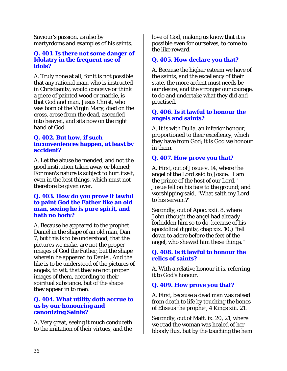Saviour's passion, as also by martyrdoms and examples of his saints.

#### **Q. 401. Is there not some danger of Idolatry in the frequent use of idols?**

A. Truly none at all; for it is not possible that any rational man, who is instructed in Christianity, would conceive or think a piece of painted wood or marble, is that God and man, Jesus Christ, who was born of the Virgin Mary, died on the cross, arose from the dead, ascended into heaven, and sits now on the right hand of God.

# **Q. 402. But how, if such inconveniences happen, at least by accident?**

A. Let the abuse be mended, and not the good institution taken away or blamed; For man's nature is subject to hurt itself, even in the best things, which must not therefore be given over.

### **Q. 403. How do you prove it lawful to paint God the Father like an old man, seeing he is pure spirit, and hath no body?**

A. Because he appeared to the prophet Daniel in the shape of an old man, Dan. 7, but this is to be understood, that the pictures we make, are not the proper images of God the Father, but the shape wherein he appeared to Daniel. And the like is to be understood of the pictures of angels, to wit, that they are not proper images of them, according to their spiritual substance, but of the shape they appear in to men.

### **Q. 404. What utility doth accrue to us by our honouring and canonizing Saints?**

A. Very great, seeing it much conduceth to the imitation of their virtues, and the

love of God, making us know that it is possible even for ourselves, to come to the like reward.

# **Q. 405. How declare you that?**

A. Because the higher esteem we have of the saints, and the excellency of their state, the more ardent must needs be our desire, and the stronger our courage, to do and undertake what they did and practised.

# **Q. 406. Is it lawful to honour the angels and saints?**

A. It is with Dulia, an inferior honour, proportioned to their excellency, which they have from God; it is God we honour in them.

# **Q. 407. How prove you that?**

A. First, out of Josue v. 14, where the angel of the Lord said to Josue, "I am the prince of the host of our Lord." Josue fell on his face to the ground; and worshipping said, "What saith my Lord to his servant?'

Secondly, out of Apoc. xxii. 8, where John (though the angel had already forbidden him so to do, because of his apostolical dignity, chap xix. 10.) "fell down to adore before the feet of the angel, who shewed him these things."

# **Q. 408. Is it lawful to honour the relics of saints?**

A. With a relative honour it is, referring it to God's honour.

# **Q. 409. How prove you that?**

A. First, because a dead man was raised from death to life by touching the bones of Eliseus the prophet, 4 Kings xiii. 21.

Secondly, out of Matt. ix. 20, 21, where we read the woman was healed of her bloody flux, but by the touching the hem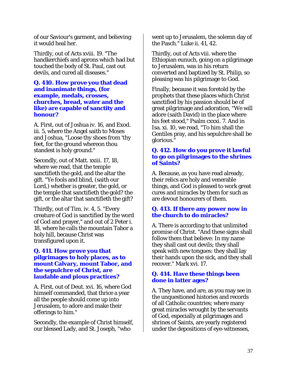of our Saviour's garment, and believing it would heal her.

Thirdly, out of Acts xviii. 19. "The handkerchiefs and aprons which had but touched the body of St. Paul, cast out devils, and cured all diseases."

#### **Q. 410. How prove you that dead and inanimate things, (for example, medals, crosses, churches, bread, water and the like) are capable of sanctity and honour?**

A. First, out of Joshua iv. 16, and Exod. iii. 5, where the Angel saith to Moses and Joshua, "Loose thy shoes from 'thy feet, for the ground whereon thou standest is holy ground."

Secondly, out of Matt. xxiii. 17, 18, where we read, that the temple sanctifieth the gold, and the altar the gift. "Ye fools and blind, (saith our Lord,) whether is greater, the gold, or the temple that sanctifieth the gold? the gift, or the altar that sanctifieth the gift?

Thirdly, out of Tim. iv. 4, 5. "Every creature of God is sanctified by the word of God and prayer," and out of 2 Peter i. 18, where he calls the mountain Tabor a holy hill, because Christ was transfigured upon it.

### **Q. 411. How prove you that pilgrimages to holy places, as to mount Calvary, mount Tabor, and the sepulchre of Christ, are laudable and pious practices?**

A. First, out of Deut. xvi. 16, where God himself commanded, that thrice a year all the people should come up into Jerusalem, to adore and make their offerings to him."

Secondly, the example of Christ himself, our blessed Lady, and St. Joseph, "who

went up to Jerusalem, the solemn day of the Pasch." Luke ii. 41, 42.

Thirdly, out of Acts viii. where the Ethiopian eunuch, going on a pilgrimage to Jerusalem, was in his return converted and baptized by St. Philip, so pleasing was his pilgrimage to God.

Finally, because it was foretold by the prophets that these places which Christ sanctified by his passion should be of great pilgrimage and adoration, "We will adore (saith David) in the place where his feet stood," Psalm cxxxi. 7. And in Isa. xi. 10, we read, "To him shall the Gentiles pray, and his sepulchre shall be glorious."

### **Q. 412. How do you prove it lawful to go on pilgrimages to the shrines of Saints?**

A. Because, as you have read already, their relics are holy and venerable things, and God is pleased to work great cures and miracles by them for such as are devout honourers of them.

# **Q. 413. If there any power now in the church to do miracles?**

A. There is according to that unlimited promise of Christ. "And these signs shall follow them that believe: In my name they shall cast out devils; they shall speak with new tongues: they shall lay their hands upon the sick, and they shall recover." Mark xvi. 17.

# **Q. 414. Have these things been done in latter ages?**

A. They have, and are, as you may see in the unquestioned histories and records of all Catholic countries; where many great miracles wrought by the servants of God, especially at pilgrimages and shrines of Saints, are yearly registered under the depositions of eye-witnesses,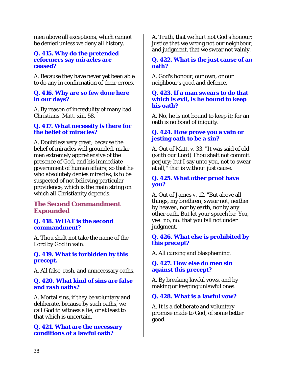men above all exceptions, which cannot be denied unless we deny all history.

#### **Q. 415. Why do the pretended reformers say miracles are ceased?**

A. Because they have never yet been able to do any in confirmation of their errors.

### **Q. 416. Why are so few done here in our days?**

A. By reason of incredulity of many bad Christians. Matt. xiii. 58.

# **Q. 417. What necessity is there for the belief of miracles?**

A. Doubtless very great; because the belief of miracles well grounded, make men extremely apprehensive of the presence of God, and his immediate government of human affairs; so that he who absolutely denies miracles, is to be suspected of not believing particular providence, which is the main string on which all Christianity depends.

# **The Second Commandment Expounded**

# **Q. 418. WHAT is the second commandment?**

A. Thou shalt not take the name of the Lord by God in vain.

# **Q. 419. What is forbidden by this precept.**

A. All false, rash, and unnecessary oaths.

# **Q. 420. What kind of sins are false and rash oaths?**

A. Mortal sins, if they be voluntary and deliberate, because by such oaths, we call God to witness a lie; or at least to that which is uncertain.

### **Q. 421. What are the necessary conditions of a lawful oath?**

A. Truth, that we hurt not God's honour; justice that we wrong not our neighbour; and judgment, that we swear not vainly.

### **Q. 422. What is the just cause of an oath?**

A. God's honour, our own, or our neighbour's good and defence.

### **Q. 423. If a man swears to do that which is evil, is he bound to keep his oath?**

A. No, he is not bound to keep it; for an oath is no bond of iniquity.

# **Q. 424. How prove you a vain or jesting oath to be a sin?**

A. Out of Matt. v. 33. "It was said of old (saith our Lord) Thou shalt not commit perjury; but I say unto you, not to swear at all," that is without just cause.

# **Q. 425. What other proof have you?**

A. Out of James v. 12. "But above all things, my brethren, swear not, neither by heaven, nor by earth, nor by any other oath. But let your speech be: Yea, yea: no, no: that you fall not under judgment."

# **Q. 426. What else is prohibited by this precept?**

A. All cursing and blaspheming.

# **Q. 427. How else do men sin against this precept?**

A. By breaking lawful vows, and by making or keeping unlawful ones.

# **Q. 428. What is a lawful vow?**

A. It is a deliberate and voluntary promise made to God, of some better good.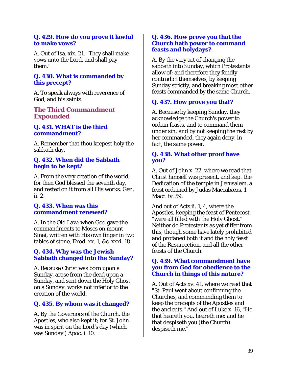### **Q. 429. How do you prove it lawful to make vows?**

A. Out of Isa. xix. 21. "They shall make vows unto the Lord, and shall pay them."

# **Q. 430. What is commanded by this precept?**

A. To speak always with reverence of God, and his saints.

# **The Third Commandment Expounded**

# **Q. 431. WHAT is the third commandment?**

A. Remember that thou keepest holy the sabbath day.

# **Q. 432. When did the Sabbath begin to be kept?**

A. From the very creation of the world; for then God blessed the seventh day, and rested on it from all His works. Gen. ii. 2.

# **Q. 433. When was this commandment renewed?**

A. In the Old Law; when God gave the commandments to Moses on mount Sinai, written with His own finger in two tables of stone, Exod. xx. 1, &c. xxxi. 18.

# **Q. 434. Why was the Jewish Sabbath changed into the Sunday?**

A. Because Christ was born upon a Sunday, arose from the dead upon a Sunday, and sent down the Holy Ghost on a Sunday: works not inferior to the creation of the world.

# **Q. 435. By whom was it changed?**

A. By the Governors of the Church, the Apostles, who also kept it; for St. John was in spirit on the Lord's day (which was Sunday.) Apoc. i. 10.

### **Q. 436. How prove you that the Church hath power to command feasts and holydays?**

A. By the very act of changing the sabbath into Sunday, which Protestants allow of; and therefore they fondly contradict themselves, by keeping Sunday strictly, and breaking most other feasts commanded by the same Church.

# **Q. 437. How prove you that?**

A. Because by keeping Sunday, they acknowledge the Church's power to ordain feasts, and to command them under sin; and by not keeping the rest by her commanded, they again deny, in fact, the same power.

# **Q. 438. What other proof have you?**

A. Out of John x. 22, where we read that Christ himself was present, and kept the Dedication of the temple in Jerusalem, a feast ordained by Judas Maccabæus, 1 Macc. iv. 59.

And out of Acts ii. 1, 4, where the Apostles, keeping the feast of Pentecost, "were all filled with the Holy Ghost." Neither do Protestants as yet differ from this, though some have lately prohibited and profaned both it and the holy feast of the Resurrection, and all the other feasts of the Church.

# **Q. 439. What commandment have you from God for obedience to the Church in things of this nature?**

A. Out of Acts xv. 41, where we read that "St. Paul went about confirming the Churches, and commanding them to keep the precepts of the Apostles and the ancients." And out of Luke x. 16, "He that heareth you, heareth me; and he that despiseth you (the Church) despiseth me."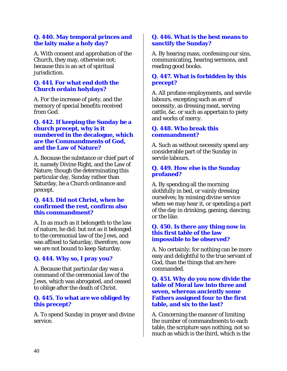# **Q. 440. May temporal princes and the laity make a holy day?**

A. With consent and approbation of the Church, they may, otherwise not; because this is an act of spiritual jurisdiction.

### **Q. 441. For what end doth the Church ordain holydays?**

A. For the increase of piety, and the memory of special benefits received from God.

### **Q. 442. If keeping the Sunday be a church precept, why is it numbered in the decalogue, which are the Commandments of God, and the Law of Nature?**

A. Because the substance or chief part of it, namely Divine Right, and the Law of Nature; though the determinating this particular day, Sunday rather than Saturday, be a Church ordinance and precept.

### **Q. 443. Did not Christ, when he confirmed the rest, confirm also this commandment?**

A. In as much as it belongeth to the law of nature, he did: but not as it belonged to the ceremonial law of the Jews, and was affixed to Saturday, therefore, now we are not bound to keep Saturday.

# **Q. 444. Why so, I pray you?**

A. Because that particular day was a command of the ceremonial law of the Jews, which was abrogated, and ceased to oblige after the death of Christ.

# **Q. 445. To what are we obliged by this precept?**

A. To spend Sunday in prayer and divine service.

### **Q. 446. What is the best means to sanctify the Sunday?**

A. By hearing mass, confessing our sins, communicating, hearing sermons, and reading good books.

# **Q. 447. What is forbidden by this precept?**

A. All profane employments, and servile labours, excepting such as are of necessity, as dressing meat, serving cattle, &c. or such as appertain to piety and works of mercy.

# **Q. 448. Who break this commandment?**

A. Such as without necessity spend any considerable part of the Sunday in servile labours.

### **Q. 449. How else is the Sunday profaned?**

A. By spending all the morning slothfully in bed, or vainly dressing ourselves; by missing divine service when we may hear it, or spending a part of the day in drinking, gaming, dancing, or the like.

### **Q. 450. Is there any thing now in this first table of the law impossible to be observed?**

A. No certainly; for nothing can be more easy and delightful to the true servant of God, than the things that are here commanded.

### **Q. 451. Why do you now divide the table of Moral law into three and seven, whereas anciently some Fathers assigned four to the first table, and six to the last?**

A. Concerning the manner of limiting the number of commandments to each table, the scripture says nothing, not so much as which is the third, which is the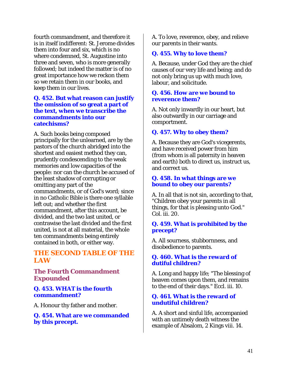fourth commandment, and therefore it is in itself indifferent: St. Jerome divides them into four and six, which is no where condemned, St. Augustine into three and seven, who is more generally followed; but indeed the matter is of no great importance how we reckon them so we retain them in our books, and keep them in our lives.

### **Q. 452. But what reason can justify the omission of so great a part of the text, when we transcribe the commandments into our catechisms?**

A. Such books being composed principally for the unlearned, are by the pastors of the church abridged into the shortest and easiest method they can, prudently condescending to the weak memories and low capacities of the people: nor can the church be accused of the least shadow of corrupting or omitting any part of the commandments, or of God's word; since in no Catholic Bible is there one syllable left out; and whether the first commandment, after this account, be divided, and the two last united, or contrawise the last divided and the first united, is not at all material, the whole ten commandments being entirely contained in both, or either way.

# *THE SECOND TABLE OF THE LAW*

**The Fourth Commandment Expounded** 

### **Q. 453. WHAT is the fourth commandment?**

A. Honour thy father and mother.

**Q. 454. What are we commanded by this precept.** 

A. To love, reverence, obey, and relieve our parents in their wants.

### **Q. 455. Why to love them?**

A. Because, under God they are the chief causes of our very life and being; and do not only bring us up with much love, labour, and solicitude.

#### **Q. 456. How are we bound to reverence them?**

A. Not only inwardly in our heart, but also outwardly in our carriage and comportment.

### **Q. 457. Why to obey them?**

A. Because they are God's vicegerents, and have received power from him (from whom is all paternity in heaven and earth) both to direct us, instruct us, and correct us.

#### **Q. 458. In what things are we bound to obey our parents?**

A. In all that is not sin, according to that, "Children obey your parents in all things, for that is pleasing unto God." Col. iii. 20.

### **Q. 459. What is prohibited by the precept?**

A. All sourness, stubbornness, and disobedience to parents.

### **Q. 460. What is the reward of dutiful children?**

A. Long and happy life; "The blessing of heaven comes upon them, and remains to the end of their days." Eccl. iii. 10.

### **Q. 461. What is the reward of undutiful children?**

A. A short and sinful life, accompanied with an untimely death witness the example of Absalom, 2 Kings viii. 14.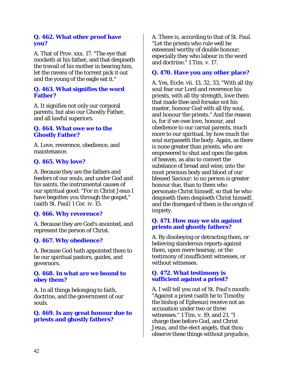# **Q. 462. What other proof have you?**

A. That of Prov. xxx. 17. "The eye that mocketh at his father, and that despiseth the travail of his mother in bearing him, let the ravens of the torrent pick it out and the young of the eagle eat it."

# **Q. 463. What signifies the word Father?**

A. It signifies not only our corporal parents, but also our Ghostly Father, and all lawful superiors.

# **Q. 464. What owe we to the Ghostly Father?**

A. Love, reverence, obedience, and maintenance.

# **Q. 465. Why love?**

A. Because they are the fathers and feeders of our souls, and under God and his saints, the instrumental causes of our spiritual good: "For in Christ Jesus I have begotten you through the gospel," (saith St. Paul) 1 Cor. iv. 15.

# **Q. 466. Why reverence?**

A. Because they are God's anointed, and represent the person of Christ.

# **Q. 467. Why obedience?**

A. Because God hath appointed them to be our spiritual pastors, guides, and governors.

### **Q. 468. In what are we bound to obey them?**

A. In all things belonging to faith, doctrine, and the government of our souls.

# **Q. 469. Is any great honour due to priests and ghostly fathers?**

A. There is, according to that of St. Paul. "Let the priests who rule well be esteemed worthy of double honour; especially they who labour in the word and doctrine." 1 Tim. v. 17.

# **Q. 470. Have you any other place?**

A. Yes, Eccle. vii. 13, 32, 33, "With all thy soul fear our Lord and reverence his priests, with all thy strength, love them that made thee and forsake not his master, honour God with all thy soul, and honour the priests." And the reason is, for if we owe love, honour, and obedience to our carnal parents, much more to our spiritual, by how much the soul surpasseth the body. Again, as there is none greater than priests, who are empowered to shut and open the gates of heaven, as also to convert the substance of bread and wine, into the most precious body and blood of our blessed Saviour: to no person is greater honour due, than to them who personate Christ himself, so that he who despiseth them despiseth Christ himself, and the disregard of them is the origin of impiety.

# **Q. 471. How may we sin against priests and ghostly fathers?**

A. By disobeying or detracting them, or believing slanderous reports against them, upon mere hearsay, or the testimony of insufficient witnesses, or without witnesses.

# **Q. 472. What testimony is sufficient against a priest?**

A. I will tell you out of St. Paul's mouth: "Against a priest (saith he to Timothy the bishop of Ephesus) receive not an accusation under two or three witnesses." 1 Tim. v. 19, and 21, "I charge thee before God, and Christ Jesus, and the elect angels, that thou observe these things without prejudice,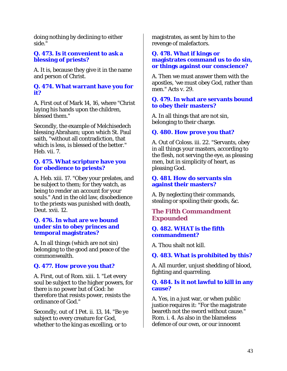doing nothing by declining to either side."

### **Q. 473. Is it convenient to ask a blessing of priests?**

A. It is, because they give it in the name and person of Christ.

### **Q. 474. What warrant have you for it?**

A. First out of Mark 14, 16, where "Christ laying his hands upon the children, blessed them."

Secondly, the example of Melchisedech blessing Abraham; upon which St. Paul saith, "without all contradiction, that which is less, is blessed of the better." Heb. vii. 7.

### **Q. 475. What scripture have you for obedience to priests?**

A. Heb. xiii. 17. "Obey your prelates, and be subject to them; for they watch, as being to render an account for your souls." And in the old law, disobedience to the priests was punished with death, Deut. xvii. 12.

### **Q. 476. In what are we bound under sin to obey princes and temporal magistrates?**

A. In all things (which are not sin) belonging to the good and peace of the commonwealth.

# **Q. 477. How prove you that?**

A. First, out of Rom. xiii. 1. "Let every soul be subject to the higher powers, for there is no power but of God: he therefore that resists power, resists the ordinance of God."

Secondly, out of 1 Pet. ii. 13, 14. "Be ye subject to every creature for God, whether to the king as excelling, or to

magistrates, as sent by him to the revenge of malefactors.

### **Q. 478. What if kings or magistrates command us to do sin, or things against our conscience?**

A. Then we must answer them with the apostles, 'we must obey God, rather than men." Acts v. 29.

### **Q. 479. In what are servants bound to obey their masters?**

A. In all things that are not sin, belonging to their charge.

# **Q. 480. How prove you that?**

A. Out of Coloss. iii. 22. "Servants, obey in all things your masters, according to the flesh, not serving the eye, as pleasing men, but in simplicity of heart, as pleasing God.

### **Q. 481. How do servants sin against their masters?**

A. By neglecting their commands, stealing or spoiling their goods, &c.

# **The Fifth Commandment Expounded**

### **Q. 482. WHAT is the fifth commandment?**

A. Thou shalt not kill.

# **Q. 483. What is prohibited by this?**

A. All murder, unjust shedding of blood, fighting and quarreling.

# **Q. 484. Is it not lawful to kill in any cause?**

A. Yes, in a just war, or when public justice requires it: "For the magistrate beareth not the sword without cause." Rom. i. 4. As also in the blameless defence of our own, or our innocent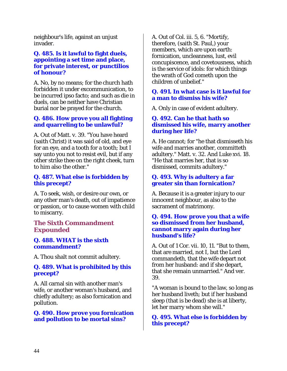neighbour's life, against an unjust invader.

### **Q. 485. Is it lawful to fight duels, appointing a set time and place, for private interest, or punctilios of honour?**

A. No, by no means; for the church hath forbidden it under excommunication, to be incurred ipso facto; and such as die in duels, can be neither have Christian burial nor be prayed for the church.

# **Q. 486. How prove you all fighting and quarreling to be unlawful?**

A. Out of Matt. v. 39. "You have heard (saith Christ) it was said of old, and eye for an eye, and a tooth for a tooth; but I say unto you not to resist evil, but if any other strike thee on the right cheek, turn to him also the other."

# **Q. 487. What else is forbidden by this precept?**

A. To seek, wish, or desire our own, or any other man's death, out of impatience or passion, or to cause women with child to miscarry.

# **The Sixth Commandment Expounded**

### **Q. 488. WHAT is the sixth commandment?**

A. Thou shalt not commit adultery.

# **Q. 489. What is prohibited by this precept?**

A. All carnal sin with another man's wife, or another woman's husband, and chiefly adultery; as also fornication and pollution.

### **Q. 490. How prove you fornication and pollution to be mortal sins?**

A. Out of Col. iii. 5, 6. "Mortify, therefore, (saith St. Paul,) your members, which are upon earth: fornication, uncleanness, lust, evil concupiscence, and covetousness, which is the service of idols: for which things the wrath of God cometh upon the children of unbelief."

### **Q. 491. In what case is it lawful for a man to dismiss his wife?**

A. Only in case of evident adultery.

### **Q. 492. Can he that hath so dismissed his wife, marry another during her life?**

A. He cannot; for "he that dismisseth his wife and marries another, committeth adultery." Matt. v. 32. And Luke xvi. 18. "He that marries her, that is so dismissed, commits adultery."

# **Q. 493. Why is adultery a far greater sin than fornication?**

A. Because it is a greater injury to our innocent neighbour, as also to the sacrament of matrimony.

### **Q. 494. How prove you that a wife so dismissed from her husband, cannot marry again during her husband's life?**

A. Out of 1 Cor. vii. 10, 11. "But to them, that are married, not I, but the Lord commandeth, that the wife depart not from her husband: and if she depart, that she remain unmarried." And ver. 39.

"A woman is bound to the law, so long as her husband liveth; but if her husband sleep (that is be dead) she is at liberty, let her marry whom she will."

**Q. 495. What else is forbidden by this precept?**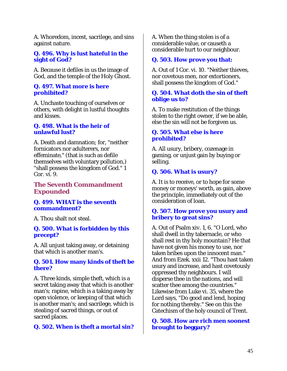A. Whoredom, incest, sacrilege, and sins against nature.

### **Q. 496. Why is lust hateful in the sight of God?**

A. Because it defiles in us the image of God, and the temple of the Holy Ghost.

#### **Q. 497. What more is here prohibited?**

A. Unchaste touching of ourselves or others, with delight in lustful thoughts and kisses.

### **Q. 498. What is the heir of unlawful lust?**

A. Death and damnation; for, "neither fornicators nor adulterers, nor effeminate," (that is such as defile themselves with voluntary pollution,) "shall possess the kingdom of God." 1 Cor. vi. 9.

# **The Seventh Commandment Expounded**

### **Q. 499. WHAT is the seventh commandment?**

A. Thou shalt not steal.

### **Q. 500. What is forbidden by this precept?**

A. All unjust taking away, or detaining that which is another man's.

### **Q. 501. How many kinds of theft be there?**

A. Three kinds, simple theft, which is a secret taking away that which is another man's; rapine, which is a taking away by open violence, or keeping of that which is another man's; and sacrilege, which is stealing of sacred things, or out of sacred places.

# **Q. 502. When is theft a mortal sin?**

A. When the thing stolen is of a considerable value, or causeth a considerable hurt to our neighbour.

### **Q. 503. How prove you that:**

A. Out of 1 Cor. vi. 10. "Neither thieves, nor covetous men, nor extortioners, shall possess the kingdom of God."

### **Q. 504. What doth the sin of theft oblige us to?**

A. To make restitution of the things stolen to the right owner, if we be able, else the sin will not be forgiven us.

### **Q. 505. What else is here prohibited?**

A. All usury, bribery, cozenage in gaming, or unjust gain by buying or selling.

# **Q. 506. What is usury?**

A. It is to receive, or to hope for some money or moneys' worth, as gain, above the principle, immediately out of the consideration of loan.

### **Q. 507. How prove you usury and bribery to great sins?**

A. Out of Psalm xiv. 1, 6. "O Lord, who shall dwell in thy tabernacle, or who shall rest in thy holy mountain? He that have not given his money to use, nor taken bribes upon the innocent man." And from Ezek. xxii 12. "Thou hast taken usury and increase, and hast covetously oppressed thy neighbours. I will disperse thee in the nations, and will scatter thee among the countries." Likewise from Luke vi. 35, where the Lord says, "Do good and lend, hoping for nothing thereby." See on this the Catechism of the holy council of Trent.

**Q. 508. How are rich men soonest brought to beggary?**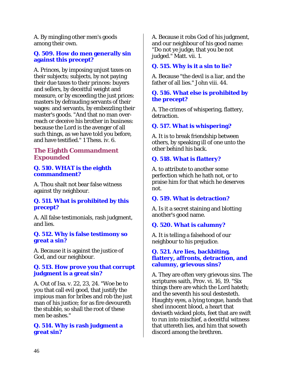A. By mingling other men's goods among their own.

### **Q. 509. How do men generally sin against this precept?**

A. Princes, by imposing unjust taxes on their subjects; subjects, by not paying their due taxes to their princes: buyers and sellers, by deceitful weight and measure, or by exceeding the just prices: masters by defrauding servants of their wages: and servants, by embezzling their master's goods. "And that no man overreach or deceive his brother in business: because the Lord is the avenger of all such things, as we have told you before, and have testified." 1 Thess. iv. 6.

# **The Eighth Commandment Expounded**

### **Q. 510. WHAT is the eighth commandment?**

A. Thou shalt not bear false witness against thy neighbour.

# **Q. 511. What is prohibited by this precept?**

A. All false testimonials, rash judgment, and lies.

### **Q. 512. Why is false testimony so great a sin?**

A. Because it is against the justice of God, and our neighbour.

# **Q. 513. How prove you that corrupt judgment is a great sin?**

A. Out of Isa. v. 22, 23, 24. "Woe be to you that call evil good, that justify the impious man for bribes and rob the just man of his justice; for as fire devoureth the stubble, so shall the root of these men be ashes."

# **Q. 514. Why is rash judgment a great sin?**

A. Because it robs God of his judgment, and our neighbour of his good name: "Do not ye judge, that you be not judged." Matt. vii. 1.

# **Q. 515. Why is it a sin to lie?**

A. Because "the devil is a liar, and the father of all lies." John viii. 44.

### **Q. 516. What else is prohibited by the precept?**

A. The crimes of whispering, flattery, detraction.

# **Q. 517. What is whispering?**

A. It is to break friendship between others, by speaking ill of one unto the other behind his back.

# **Q. 518. What is flattery?**

A. to attribute to another some perfection which he hath not, or to praise him for that which he deserves not.

# **Q. 519. What is detraction?**

A. Is it a secret staining and blotting another's good name.

# **Q. 520. What is calumny?**

A. It is telling a falsehood of our neighbour to his prejudice.

#### **Q. 521. Are lies, backbiting, flattery, affronts, detraction, and calumny, grievous sins?**

A. They are often very grievous sins. The scriptures saith, Prov. vi. 16, 19. "Six things there are which the Lord hateth; and the seventh his soul destesteth. Haughty eyes, a lying tongue, hands that shed innocent blood, a heart that deviseth wicked plots, feet that are swift to run into mischief, a deceitful witness that uttereth lies, and him that soweth discord among the brethren.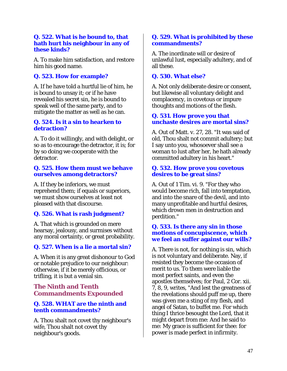### **Q. 522. What is he bound to, that hath hurt his neighbour in any of these kinds?**

A. To make him satisfaction, and restore him his good name.

# **Q. 523. How for example?**

A. If he have told a hurtful lie of him, he is bound to unsay it; or if he have revealed his secret sin, he is bound to speak well of the same party, and to mitigate the matter as well as he can.

### **Q. 524. Is it a sin to hearken to detraction?**

A. To do it willingly, and with delight, or so as to encourage the detractor, it is; for by so doing we cooperate with the detractor.

# **Q. 525. How them must we behave ourselves among detractors?**

A. If they be inferiors, we must reprehend them; if equals or superiors, we must show ourselves at least not pleased with that discourse.

# **Q. 526. What is rash judgment?**

A. That which is grounded on mere hearsay, jealousy, and surmises without any moral certainty, or great probability.

# **Q. 527. When is a lie a mortal sin?**

A. When it is any great dishonour to God or notable prejudice to our neighbour: otherwise, if it be merely officious, or trifling, it is but a venial sin.

# **The Ninth and Tenth Commandments Expounded**

# **Q. 528. WHAT are the ninth and tenth commandments?**

A. Thou shalt not covet thy neighbour's wife, Thou shalt not covet thy neighbour's goods.

# **Q. 529. What is prohibited by these commandments?**

A. The inordinate will or desire of unlawful lust, especially adultery, and of all these.

# **Q. 530. What else?**

A. Not only deliberate desire or consent, but likewise all voluntary delight and complacency, in covetous or impure thoughts and motions of the flesh.

# **Q. 531. How prove you that unchaste desires are mortal sins?**

A. Out of Matt. v. 27, 28. "It was said of old, Thou shalt not commit adultery; but I say unto you, whosoever shall see a woman to lust after her, he hath already committed adultery in his heart."

### **Q. 532. How prove you covetous desires to be great sins?**

A. Out of 1 Tim. vi. 9. "For they who would become rich, fall into temptation, and into the snare of the devil, and into many unprofitable and hurtful desires, which drown men in destruction and perdition."

### **Q. 533. Is there any sin in those motions of concupiscence, which we feel an suffer against our wills?**

A. There is not, for nothing is sin, which is not voluntary and deliberate. Nay, if resisted they become the occasion of merit to us. To them were liable the most perfect saints, and even the apostles themselves; for Paul, 2 Cor. xii. 7, 8, 9, writes, "And lest the greatness of the revelations should puff me up, there was given me a sting of my flesh, and angel of Satan, to buffet me. For which thing I thrice besought the Lord, that it might depart from me: And he said to me: My grace is sufficient for thee: for power is made perfect in infirmity.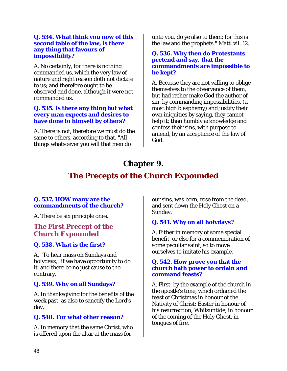### **Q. 534. What think you now of this second table of the law, is there any thing that favours of impossibility?**

A. No certainly, for there is nothing commanded us, which the very law of nature and right reason doth not dictate to us; and therefore ought to be observed and done, although it were not commanded us.

### **Q. 535. Is there any thing but what every man expects and desires to have done to himself by others?**

A. There is not, therefore we must do the same to others, according to that, "All things whatsoever you will that men do

unto you, do ye also to them; for this is the law and the prophets." Matt. vii. 12.

### **Q. 536. Why then do Protestants pretend and say, that the commandments are impossible to be kept?**

A. Because they are not willing to oblige themselves to the observance of them, but had rather make God the author of sin, by commanding impossibilities, (a most high blasphemy) and justify their own iniquities by saying, they cannot help it; than humbly acknowledge and confess their sins, with purpose to amend, by an acceptance of the law of God.

# **Chapter 9.**

# **The Precepts of the Church Expounded**

# **Q. 537. HOW many are the commandments of the church?**

A. There be six principle ones.

# *The First Precept of the Church Expounded*

# **Q. 538. What is the first?**

A. "To hear mass on Sundays and holydays," if we have opportunity to do it, and there be no just cause to the contrary.

# **Q. 539. Why on all Sundays?**

A. In thanksgiving for the benefits of the week past, as also to sanctify the Lord's day.

# **Q. 540. For what other reason?**

A. In memory that the same Christ, who is offered upon the altar at the mass for

our sins, was born, rose from the dead, and sent down the Holy Ghost on a Sunday.

# **Q. 541. Why on all holydays?**

A. Either in memory of some special benefit, or else for a commemoration of some peculiar saint, so to move ourselves to imitate his example.

# **Q. 542. How prove you that the church hath power to ordain and command feasts?**

A. First, by the example of the church in the apostle's time, which ordained the feast of Christmas in honour of the Nativity of Christ; Easter in honour of his resurrection; Whitsuntide, in honour of the coming of the Holy Ghost, in tongues of fire.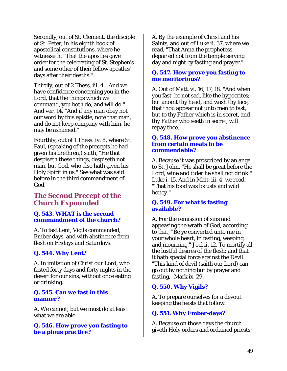Secondly, out of St. Clement, the disciple of St. Peter, in his eighth book of apostolical constitutions, where he witnesseth. "That the apostles gave order for the celebrating of St. Stephen's and some other of their fellow apostles' days after their deaths."

Thirdly, out of 2 Thess. iii. 4. "And we have confidence concerning you in the Lord, that the things which we command, you both do, and will do." And ver. 14. "And if any man obey not our word by this epistle, note that man, and do not keep company with him, he may be ashamed."

Fourthly, out of 1 Thess. iv. 8, where St. Paul, (speaking of the precepts he had given his brethren,) saith, "He that despiseth these things, despiseth not man, but God, who also hath given his Holy Spirit in us." See what was said before in the third commandment of God.

# *The Second Precept of the Church Expounded*

# **Q. 543. WHAT is the second commandment of the church?**

A. To fast Lent, Vigils commanded, Ember days, and with abstinence from flesh on Fridays and Saturdays.

# **Q. 544. Why Lent?**

A. In imitation of Christ our Lord, who fasted forty days and forty nights in the desert for our sins, without once eating or drinking.

# **Q. 545. Can we fast in this manner?**

A. We cannot; but we must do at least what we are able.

**Q. 546. How prove you fasting to be a pious practice?** 

A. By the example of Christ and his Saints, and out of Luke ii. 37, where we read, "That Anna the prophetess departed not from the temple serving day and night by fasting and prayer."

### **Q. 547. How prove you fasting to me meritorious?**

A. Out of Matt. vi. 16, 17, 18. "And when you fast, be not sad, like the hypocrites; but anoint thy head, and wash thy face, that thou appear not unto men to fast, but to thy Father which is in secret, and thy Father who seeth in secret, will repay thee."

# **Q. 548. How prove you abstinence from certain meats to be commendable?**

A. Because it was proscribed by an angel to St. John. "He shall be great before the Lord, wine and cider he shall not drink." Luke i. 15. And in Matt. iii. 4, we read, "That his food was locusts and wild honey."

### **Q. 549. For what is fasting available?**

A. For the remission of sins and appeasing the wrath of God, according to that, "Be ye converted unto me in your whole heart, in fasting, weeping, and mourning," Joel ii. 12. To mortify all the lustful desires of the flesh; and that it hath special force against the Devil: "This kind of devil (saith our Lord) can go out by nothing but by prayer and fasting," Mark ix. 29.

# **Q. 550. Why Vigils?**

A. To prepare ourselves for a devout keeping the feasts that follow.

# **Q. 551. Why Ember-days?**

A. Because on those days the church giveth Holy orders and ordained priests;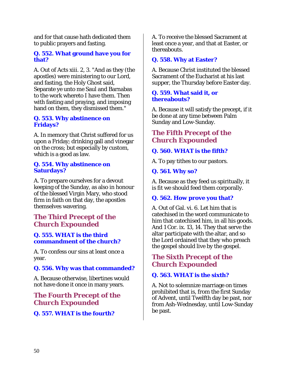and for that cause hath dedicated them to public prayers and fasting.

# **Q. 552. What ground have you for that?**

A. Out of Acts xiii. 2, 3. "And as they (the apostles) were ministering to our Lord, and fasting, the Holy Ghost said, Separate ye unto me Saul and Barnabas to the work whereto I have them. Then with fasting and praying, and imposing hand on them, they dismissed them."

### **Q. 553. Why abstinence on Fridays?**

A. In memory that Christ suffered for us upon a Friday; drinking gall and vinegar on the cross; but especially by custom, which is a good as law.

### **Q. 554. Why abstinence on Saturdays?**

A. To prepare ourselves for a devout keeping of the Sunday, as also in honour of the blessed Virgin Mary, who stood firm in faith on that day, the apostles themselves wavering.

# *The Third Precept of the Church Expounded*

# **Q. 555. WHAT is the third commandment of the church?**

A. To confess our sins at least once a year.

# **Q. 556. Why was that commanded?**

A. Because otherwise, libertines would not have done it once in many years.

# *The Fourth Precept of the Church Expounded*

# **Q. 557. WHAT is the fourth?**

A. To receive the blessed Sacrament at least once a year, and that at Easter, or thereabouts.

# **Q. 558. Why at Easter?**

A. Because Christ instituted the blessed Sacrament of the Eucharist at his last supper, the Thursday before Easter day.

### **Q. 559. What said it, or thereabouts?**

A. Because it will satisfy the precept, if it be done at any time between Palm Sunday and Low-Sunday.

# *The Fifth Precept of the Church Expounded*

# **Q. 560. WHAT is the fifth?**

A. To pay tithes to our pastors.

# **Q. 561. Why so?**

A. Because as they feed us spiritually, it is fit we should feed them corporally.

# **Q. 562. How prove you that?**

A. Out of Gal. vi. 6. Let him that is catechised in the word communicate to him that catechised him, in all his goods. And 1 Cor. ix. 13, 14. They that serve the altar participate with the altar, and so the Lord ordained that they who preach the gospel should live by the gospel.

# *The Sixth Precept of the Church Expounded*

# **Q. 563. WHAT is the sixth?**

A. Not to solemnize marriage on times prohibited that is, from the first Sunday of Advent, until Twelfth day be past, nor from Ash-Wednesday, until Low-Sunday be past.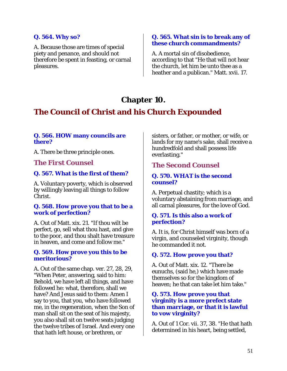# **Q. 564. Why so?**

A. Because those are times of special piety and penance, and should not therefore be spent in feasting, or carnal pleasures.

#### **Q. 565. What sin is to break any of these church commandments?**

A. A mortal sin of disobedience, according to that "He that will not hear the church, let him be unto thee as a heather and a publican." Matt. xvii. 17.

# **Chapter 10.**

# **The Council of Christ and his Church Expounded**

# **Q. 566. HOW many councils are there?**

A. There be three principle ones.

# *The First Counsel*

# **Q. 567. What is the first of them?**

A. Voluntary poverty, which is observed by willingly leaving all things to follow Christ.

### **Q. 568. How prove you that to be a work of perfection?**

A. Out of Matt. xix. 21. "If thou wilt be perfect, go, sell what thou hast, and give to the poor, and thou shalt have treasure in heaven, and come and follow me."

### **Q. 569. How prove you this to be meritorious?**

A. Out of the same chap. ver. 27, 28, 29, "When Peter, answering, said to him: Behold, we have left all things, and have followed he: what, therefore, shall we have? And Jesus said to them: Amen I say to you, that you, who have followed me, in the regeneration, when the Son of man shall sit on the seat of his majesty, you also shall sit on twelve seats judging the twelve tribes of Israel. And every one that hath left house, or brethren, or

sisters, or father, or mother, or wife, or lands for my name's sake, shall receive a hundredfold and shall possess life everlasting."

# *The Second Counsel*

### **Q. 570. WHAT is the second counsel?**

A. Perpetual chastity; which is a voluntary abstaining from marriage, and all carnal pleasures, for the love of God.

### **Q. 571. Is this also a work of perfection?**

A. It is, for Christ himself was born of a virgin, and counseled virginity, though he commanded it not.

# **Q. 572. How prove you that?**

A. Out of Matt. xix. 12. "There be eunuchs, (said he,) which have made themselves so for the kingdom of heaven; he that can take let him take."

### **Q. 573. How prove you that virginity is a more prefect state than marriage, or that it is lawful to vow virginity?**

A. Out of 1 Cor. vii. 37, 38. "He that hath determined in his heart, being settled,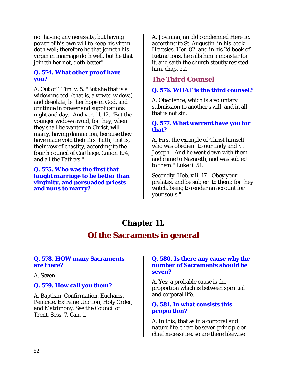not having any necessity, but having power of his own will to keep his virgin, doth well; therefore he that joineth his virgin in marriage doth well, but he that joineth her not, doth better"

### **Q. 574. What other proof have you?**

A. Out of 1 Tim. v. 5. "But she that is a widow indeed, (that is, a vowed widow,) and desolate, let her hope in God, and continue in prayer and supplications night and day." And ver. 11, 12. "But the younger widows avoid, for they, when they shall be wanton in Christ, will marry, having damnation, because they have made void their first faith, that is, their vow of chastity, according to the fourth council of Carthage, Canon 104, and all the Fathers."

**Q. 575. Who was the first that taught marriage to be better than virginity, and persuaded priests and nuns to marry?** 

A. Jovinian, an old condemned Heretic, according to St. Augustin, in his book Heresies, Her. 82, and in his 2d book of Retractions, he calls him a monster for it, and saith the church stoutly resisted him, chap. 22.

# *The Third Counsel*

# **Q. 576. WHAT is the third counsel?**

A. Obedience, which is a voluntary submission to another's will, and in all that is not sin.

### **Q. 577. What warrant have you for that?**

A. First the example of Christ himself, who was obedient to our Lady and St. Joseph, "And he went down with them and came to Nazareth, and was subject to them." Luke ii. 51.

Secondly, Heb. xiii. 17. "Obey your prelates, and be subject to them; for they watch, being to render an account for your souls."

# **Chapter 11.**

# **Of the Sacraments in general**

# **Q. 578. HOW many Sacraments are there?**

A. Seven.

# **Q. 579. How call you them?**

A. Baptism, Confirmation, Eucharist, Penance, Extreme Unction, Holy Order, and Matrimony. See the Council of Trent, Sess. 7. Can. 1.

# **Q. 580. Is there any cause why the number of Sacraments should be seven?**

A. Yes; a probable cause is the proportion which is between spiritual and corporal life.

# **Q. 581. In what consists this proportion?**

A. In this; that as in a corporal and nature life, there be seven principle or chief necessities, so are there likewise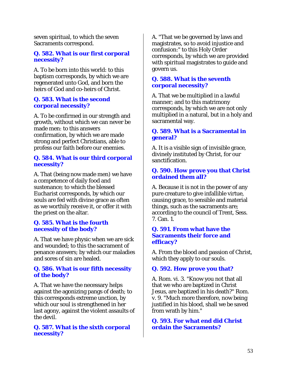seven spiritual, to which the seven Sacraments correspond.

### **Q. 582. What is our first corporal necessity?**

A. To be born into this world: to this baptism corresponds, by which we are regenerated unto God, and born the heirs of God and co-heirs of Christ.

# **Q. 583. What is the second corporal necessity?**

A. To be confirmed in our strength and growth, without which we can never be made men: to this answers confirmation, by which we are made strong and perfect Christians, able to profess our faith before our enemies.

### **Q. 584. What is our third corporal necessity?**

A. That (being now made men) we have a competence of daily food and sustenance; to which the blessed Eucharist corresponds, by which our souls are fed with divine grace as often as we worthily receive it, or offer it with the priest on the altar.

# **Q. 585. What is the fourth necessity of the body?**

A. That we have physic when we are sick and wounded; to this the sacrament of penance answers; by which our maladies and sores of sin are healed.

### **Q. 586. What is our fifth necessity of the body?**

A. That we have the necessary helps against the agonizing pangs of death; to this corresponds extreme unction, by which our soul is strengthened in her last agony, against the violent assaults of the devil.

# **Q. 587. What is the sixth corporal necessity?**

A. "That we be governed by laws and magistrates, so to avoid injustice and confusion:" to this Holy Order corresponds, by which we are provided with spiritual magistrates to guide and govern us.

# **Q. 588. What is the seventh corporal necessity?**

A. That we be multiplied in a lawful manner; and to this matrimony corresponds, by which we are not only multiplied in a natural, but in a holy and sacramental way.

# **Q. 589. What is a Sacramental in general?**

A. It is a visible sign of invisible grace, divinely instituted by Christ, for our sanctification.

# **Q. 590. How prove you that Christ ordained them all?**

A. Because it is not in the power of any pure creature to give infallible virtue, causing grace, to sensible and material things, such as the sacraments are; according to the council of Trent, Sess. 7. Can. 1.

### **Q. 591. From what have the Sacraments their force and efficacy?**

A. From the blood and passion of Christ, which they apply to our souls.

# **Q. 592. How prove you that?**

A. Rom. vi. 3. "Know you not that all that we who are baptized in Christ Jesus, are baptized in his death?" Rom. v. 9. "Much more therefore, now being justified in his blood, shall we be saved from wrath by him."

**Q. 593. For what end did Christ ordain the Sacraments?**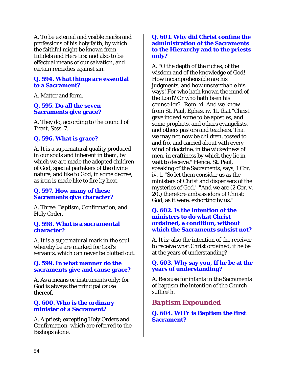A. To be external and visible marks and professions of his holy faith, by which the faithful might be known from Infidels and Heretics; and also to be effectual means of our salvation, and certain remedies against sin.

### **Q. 594. What things are essential to a Sacrament?**

A. Matter and form.

### **Q. 595. Do all the seven Sacraments give grace?**

A. They do, according to the council of Trent, Sess. 7.

# **Q. 596. What is grace?**

A. It is a supernatural quality produced in our souls and inherent in them, by which we are made the adopted children of God, special partakers of the divine nature, and like to God, in some degree; as iron is made like to fire by heat.

### **Q. 597. How many of these Sacraments give character?**

A. Three: Baptism, Confirmation, and Holy Order.

### **Q. 598. What is a sacramental character?**

A. It is a supernatural mark in the soul, whereby be are marked for God's servants, which can never be blotted out.

### **Q. 599. In what manner do the sacraments give and cause grace?**

A. As a means or instruments only; for God is always the principal cause thereof.

### **Q. 600. Who is the ordinary minister of a Sacrament?**

A. A priest; excepting Holy Orders and Confirmation, which are referred to the Bishops alone.

### **Q. 601. Why did Christ confine the administration of the Sacraments to the Hierarchy and to the priests only?**

A. "O the depth of the riches, of the wisdom and of the knowledge of God! How incomprehensible are his judgments, and how unsearchable his ways! For who hath known the mind of the Lord? Or who hath been his counsellor?" Rom. xi. And we know from St. Paul, Ephes. iv. 11, that "Christ gave indeed some to be apostles, and some prophets, and others evangelists, and others pastors and teachers. That we may not now be children, tossed to and fro, and carried about with every wind of doctrine, in the wickedness of men, in craftiness by which they lie in wait to deceive." Hence, St. Paul, speaking of the Sacraments, says, 1 Cor. iv. 1. "So let them consider us as the ministers of Christ and dispensers of the mysteries of God." "And we are (2 Cor. v. 20.) therefore ambassadors of Christ: God, as it were, exhorting by us."

### **Q. 602. Is the intention of the ministers to do what Christ ordained, a condition, without which the Sacraments subsist not?**

A. It is; also the intention of the receiver to receive what Christ ordained, if he be at the years of understanding?

# **Q. 603. Why say you, If he be at the years of understanding?**

A. Because for infants in the Sacraments of baptism the intention of the Church sufficeth.

# *Baptism Expounded*

**Q. 604. WHY is Baptism the first Sacrament?**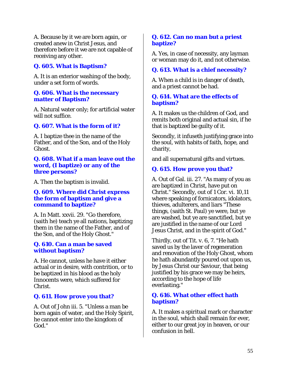A. Because by it we are born again, or created anew in Christ Jesus, and therefore before it we are not capable of receiving any other.

# **Q. 605. What is Baptism?**

A. It is an exterior washing of the body, under a set form of words.

#### **Q. 606. What is the necessary matter of Baptism?**

A. Natural water only; for artificial water will not suffice.

# **Q. 607. What is the form of it?**

A. I baptize thee in the name of the Father, and of the Son, and of the Holy Ghost.

### **Q. 608. What if a man leave out the word, (I baptize) or any of the three persons?**

A. Then the baptism is invalid.

### **Q. 609. Where did Christ express the form of baptism and give a command to baptize?**

A. In Matt. xxvii. 29. "Go therefore, (saith he) teach ye all nations, baptizing them in the name of the Father, and of the Son, and of the Holy Ghost."

### **Q. 610. Can a man be saved without baptism?**

A. He cannot, unless he have it either actual or in desire, with contrition, or to be baptized in his blood as the holy Innocents were, which suffered for Christ.

# **Q. 611. How prove you that?**

A. Out of John iii. 5. "Unless a man be born again of water, and the Holy Spirit, he cannot enter into the kingdom of God."

# **Q. 612. Can no man but a priest baptize?**

A. Yes, in case of necessity, any layman or woman may do it, and not otherwise.

# **Q. 613. What is a chief necessity?**

A. When a child is in danger of death, and a priest cannot be had.

# **Q. 614. What are the effects of baptism?**

A. It makes us the children of God, and remits both original and actual sin, if he that is baptized be guilty of it.

Secondly, it infuseth justifying grace into the soul, with habits of faith, hope, and charity,

and all supernatural gifts and virtues.

# **Q. 615. How prove you that?**

A. Out of Gal. iii. 27. "As many of you as are baptized in Christ, have put on Christ." Secondly, out of 1 Cor. vi. 10,11 where speaking of fornicators, idolators, thieves, adulterers, and liars "These things, (saith St. Paul) ye were, but ye are washed, but ye are sanctified, but ye are justified in the name of our Lord Jesus Christ, and in the spirit of God."

Thirdly, out of Tit. v. 6, 7. "He hath saved us by the laver of regeneration and renovation of the Holy Ghost, whom he hath abundantly poured out upon us, by Jesus Christ our Saviour, that being justified by his grace we may be heirs, according to the hope of life everlasting."

### **Q. 616. What other effect hath baptism?**

A. It makes a spiritual mark or character in the soul, which shall remain for ever, either to our great joy in heaven, or our confusion in hell.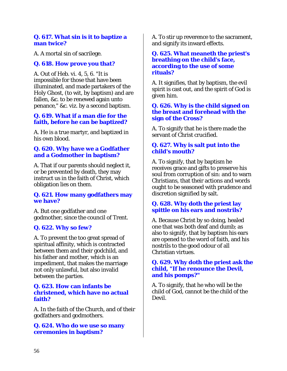### **Q. 617. What sin is it to baptize a man twice?**

A. A mortal sin of sacrilege.

# **Q. 618. How prove you that?**

A. Out of Heb. vi. 4, 5, 6. "It is impossible for those that have been illuminated, and made partakers of the Holy Ghost, (to wit, by baptism) and are fallen, &c. to be renewed again unto penance," &c. viz. by a second baptism.

### **Q. 619. What if a man die for the faith, before he can be baptized?**

A. He is a true martyr, and baptized in his own blood.

# **Q. 620. Why have we a Godfather and a Godmother in baptism?**

A. That if our parents should neglect it, or be prevented by death, they may instruct us in the faith of Christ, which obligation lies on them.

# **Q. 621. How many godfathers may we have?**

A. But one godfather and one godmother, since the council of Trent.

# **Q. 622. Why so few?**

A. To prevent the too great spread of spiritual affinity, which is contracted between them and their godchild, and his father and mother, which is an impediment, that makes the marriage not only unlawful, but also invalid between the parties.

# **Q. 623. How can infants be christened, which have no actual faith?**

A. In the faith of the Church, and of their godfathers and godmothers.

**Q. 624. Who do we use so many ceremonies in baptism?** 

A. To stir up reverence to the sacrament, and signify its inward effects.

### **Q. 625. What meaneth the priest's breathing on the child's face, according to the use of some rituals?**

A. It signifies, that by baptism, the evil spirit is cast out, and the spirit of God is given him.

# **Q. 626. Why is the child signed on the breast and forehead with the sign of the Cross?**

A. To signify that he is there made the servant of Christ crucified.

# **Q. 627. Why is salt put into the child's mouth?**

A. To signify, that by baptism he receives grace and gifts to preserve his soul from corruption of sin: and to warn Christians, that their actions and words ought to be seasoned with prudence and discretion signified by salt.

# **Q. 628. Why doth the priest lay spittle on his ears and nostrils?**

A. Because Christ by so doing, healed one that was both deaf and dumb; as also to signify, that by baptism his ears are opened to the word of faith, and his nostrils to the good odour of all Christian virtues.

# **Q. 629. Why doth the priest ask the child, "If he renounce the Devil, and his pomps?"**

A. To signify, that he who will be the child of God, cannot be the child of the Devil.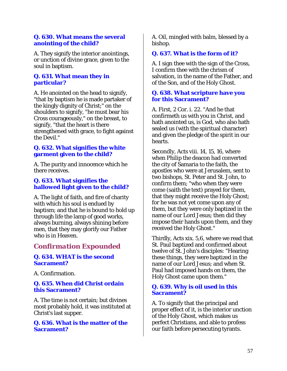### **Q. 630. What means the several anointing of the child?**

A. They signify the interior anointings, or unction of divine grace, given to the soul in baptism.

### **Q. 631. What mean they in particular?**

A. He anointed on the head to signify, "that by baptism he is made partaker of the kingly dignity of Christ;" on the shoulders to signify, "he must bear his Cross courageously," on the breast, to signify, "that the heart is there strengthened with grace, to fight against the Devil."

### **Q. 632. What signifies the white garment given to the child?**

A. The purity and innocence which he there receives.

# **Q. 633. What signifies the hallowed light given to the child?**

A. The light of faith, and fire of charity with which his soul is endued by baptism; and that he is bound to hold up through life the lamp of good works, always burning, always shining before men, that they may glorify our Father who is in Heaven.

# *Confirmation Expounded*

### **Q. 634. WHAT is the second Sacrament?**

A. Confirmation.

### **Q. 635. When did Christ ordain this Sacrament?**

A. The time is not certain; but divines most probably hold, it was instituted at Christ's last supper.

### **Q. 636. What is the matter of the Sacrament?**

A. Oil, mingled with balm, blessed by a bishop.

# **Q. 637. What is the form of it?**

A. I sign thee with the sign of the Cross, I confirm thee with the chrism of salvation, in the name of the Father, and of the Son, and of the Holy Ghost.

### **Q. 638. What scripture have you for this Sacrament?**

A. First, 2 Cor. i. 22. "And he that confirmeth us with you in Christ, and hath anointed us, is God, who also hath sealed us (with the spiritual character) and given the pledge of the spirit in our hearts.

Secondly, Acts viii. 14, 15, 16, where when Philip the deacon had converted the city of Samaria to the faith, the apostles who were at Jerusalem, sent to two bishops, St. Peter and St. John, to confirm them; "who when they were come (saith the text) prayed for them, that they might receive the Holy Ghost; for he was not yet come upon any of them, but they were only baptized in the name of our Lord Jesus; then did they impose their hands upon them, and they received the Holy Ghost."

Thirdly, Acts xix. 5,6, where we read that St. Paul baptized and confirmed about twelve of St. John's disciples: "Hearing these things, they were baptized in the name of our Lord Jesus; and when St. Paul had imposed hands on them, the Holy Ghost came upon them."

# **Q. 639. Why is oil used in this Sacrament?**

A. To signify that the principal and proper effect of it, is the interior unction of the Holy Ghost, which makes us perfect Christians, and able to profess our faith before persecuting tyrants.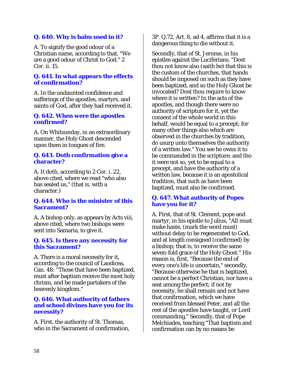# **Q. 640. Why is balm used in it?**

A. To signify the good odour of a Christian name, according to that, "We are a good odour of Christ to God." 2 Cor. ii. 15.

### **Q. 641. In what appears the effects of confirmation?**

A. In the undaunted confidence and sufferings of the apostles, martyrs, and saints of God, after they had received it.

### **Q. 642. When were the apostles confirmed?**

A. On Whitsunday, in an extraordinary manner, the Holy Ghost descended upon them in tongues of fire.

### **Q. 643. Doth confirmation give a character?**

A. It doth, according to 2 Cor. i. 22, above cited, where we read "who also has sealed us," (that is, with a character.)

### **Q. 644. Who is the minister of this Sacrament?**

A. A bishop only, as appears by Acts viii, above cited, where two bishops were sent into Samaria, to give it.

### **Q. 645. Is there any necessity for this Sacrament?**

A. There is a moral necessity for it, according to the council of Laodicea, Can. 48: "Those that have been baptized, must after baptism receive the most holy chrism, and be made partakers of the heavenly kingdom."

### **Q. 646. What authority of fathers and school divines have you for its necessity?**

A. First, the authority of St. Thomas, who in the Sacrament of confirmation, 3P. Q.72, Art. 8, ad 4, affirms that it is a dangerous thing to die without it.

Secondly, that of St. Jerome, in his epistles against the Luciferians. "Dost thou not know also (saith he) that this is the custom of the churches, that hands should be imposed on such as they have been baptized, and so the Holy Ghost be invocated? Dost thou require to know where it is written? In the acts of the apostles, and though there were no authority of scripture for it, yet the consent of the whole world in this behalf, would be equal to a precept; for many other things also which are observed in the churches by tradition, do usurp unto themselves the authority of a written law." You see he owns it to be commanded in the scripture; and tho it were not so, yet to be equal to a precept, and have the authority of a written law, because it is an apostolical tradition, that such as have been baptized, must also be confirmed.

# **Q. 647. What authority of Popes have you for it?**

A. First, that of St. Clement, pope and martyr, in his epistle to Julius, "All must make haste, (mark the word must) without delay to be regenerated to God, and at length consigned (confirmed) by a bishop; that is, to receive the same seven-fold grace of the Holy Ghost." His reason is, first, "Because the end of every one's life is uncertain," secondly, "Because otherwise he that is baptized, cannot be a perfect Christian, nor have a seat among the perfect; if not by necessity, he shall remain and not have that confirmation, which we have received from blessed Peter, and all the rest of the apostles have taught, or Lord commanding," Secondly, that of Pope Melchiades, teaching "That baptism and confirmation can by no means be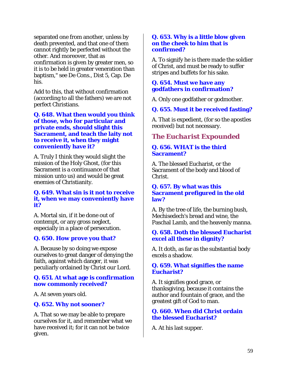separated one from another, unless by death prevented, and that one of them cannot rightly be perfected without the other. And moreover, that as confirmation is given by greater men, so it is to be held in greater veneration than baptism," see De Cons., Dist 5, Cap. De his.

Add to this, that without confirmation (according to all the fathers) we are not perfect Christians.

**Q. 648. What then would you think of those, who for particular and private ends, should slight this Sacrament, and teach the laity not to receive it, when they might conveniently have it?** 

A. Truly I think they would slight the mission of the Holy Ghost, (for this Sacrament is a continuance of that mission unto us) and would be great enemies of Christianity.

### **Q. 649. What sin is it not to receive it, when we may conveniently have it?**

A. Mortal sin, if it be done out of contempt, or any gross neglect, especially in a place of persecution.

### **Q. 650. How prove you that?**

A. Because by so doing we expose ourselves to great danger of denying the faith, against which danger, it was peculiarly ordained by Christ our Lord.

### **Q. 651. At what age is confirmation now commonly received?**

A. At seven years old.

### **Q. 652. Why not sooner?**

A. That so we may be able to prepare ourselves for it, and remember what we have received it; for it can not be twice given.

### **Q. 653. Why is a little blow given on the cheek to him that is confirmed?**

A. To signify he is there made the soldier of Christ, and must be ready to suffer stripes and buffets for his sake.

### **Q. 654. Must we have any godfathers in confirmation?**

A. Only one godfather or godmother.

# **Q. 655. Must it be received fasting?**

A. That is expedient, (for so the apostles received) but not necessary.

# *The Eucharist Expounded*

# **Q. 656. WHAT is the third Sacrament?**

A. The blessed Eucharist, or the Sacrament of the body and blood of Christ.

#### **Q. 657. By what was this Sacrament prefigured in the old law?**

A. By the tree of life, the burning bush, Mechisedech's bread and wine, the Paschal Lamb, and the heavenly manna.

# **Q. 658. Doth the blessed Eucharist excel all these in dignity?**

A. It doth, as far as the substantial body excels a shadow.

# **Q. 659. What signifies the name Eucharist?**

A. It signifies good grace, or thanksgiving, because it contains the author and fountain of grace, and the greatest gift of God to man.

### **Q. 660. When did Christ ordain the blessed Eucharist?**

A. At his last supper.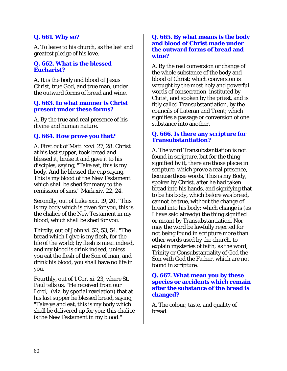# **Q. 661. Why so?**

A. To leave to his church, as the last and greatest pledge of his love.

### **Q. 662. What is the blessed Eucharist?**

A. It is the body and blood of Jesus Christ, true God, and true man, under the outward forms of bread and wine.

### **Q. 663. In what manner is Christ present under these forms?**

A. By the true and real presence of his divine and human nature.

# **Q. 664. How prove you that?**

A. First out of Matt. xxvi. 27, 28. Christ at his last supper, took bread and blessed it, brake it and gave it to his disciples, saying, "Take eat, this is my body. And he blessed the cup saying, This is my blood of the New Testament which shall be shed for many to the remission of sins," Mark xiv. 22, 24.

Secondly, out of Luke xxii. 19, 20. "This is my body which is given for you, this is the chalice of the New Testament in my blood, which shall be shed for you."

Thirdly, out of John vi. 52, 53, 54. "The bread which I give is my flesh, for the life of the world; by flesh is meat indeed, and my blood is drink indeed; unless you eat the flesh of the Son of man, and drink his blood, you shall have no life in you."

Fourthly, out of 1 Cor. xi. 23, where St. Paul tells us, "He received from our Lord," (viz. by special revelation) that at his last supper he blessed bread, saying, "Take ye and eat, this is my body which shall be delivered up for you; this chalice is the New Testament in my blood."

#### **Q. 665. By what means is the body and blood of Christ made under the outward forms of bread and wine?**

A. By the real conversion or change of the whole substance of the body and blood of Christ; which conversion is wrought by the most holy and powerful words of consecration, instituted by Christ, and spoken by the priest, and is fitly called Transubstantiation, by the councils of Lateran and Trent; which signifies a passage or conversion of one substance into another.

### **Q. 666. Is there any scripture for Transubstantiation?**

A. The word Transubstantiation is not found in scripture, but for the thing signified by it, there are those places in scripture, which prove a real presence, because those words, This is my Body, spoken by Christ, after he had taken bread into his hands, and signifying that to be his body, which before was bread, cannot be true, without the change of bread into his body; which change is (as I have said already) the thing signified or meant by Transubstantiation. Nor may the word be lawfully rejected for not being found in scripture more than other words used by the church, to explain mysteries of faith; as the word, Trinity or Consubstantiality of God the Son with God the Father, which are not found in scripture.

#### **Q. 667. What mean you by these species or accidents which remain after the substance of the bread is changed?**

A. The colour, taste, and quality of bread.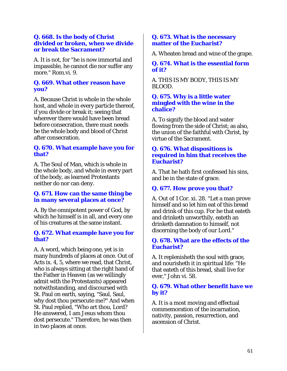### **Q. 668. Is the body of Christ divided or broken, when we divide or break the Sacrament?**

A. It is not, for "he is now immortal and impassible, he cannot die nor suffer any more." Rom.vi. 9.

# **Q. 669. What other reason have you?**

A. Because Christ is whole in the whole host, and whole in every particle thereof, if you divide or break it; seeing that wherever there would have been bread before consecration, there must needs be the whole body and blood of Christ after consecration.

### **Q. 670. What example have you for that?**

A. The Soul of Man, which is whole in the whole body, and whole in every part of the body, as learned Protestants neither do nor can deny.

### **Q. 671. How can the same thing be in many several places at once?**

A. By the omnipotent power of God, by which he himself is in all, and every one of his creatures at the same instant.

### **Q. 672. What example have you for that?**

A. A word, which being one, yet is in many hundreds of places at once. Out of Acts ix. 4, 5, where we read, that Christ, who is always sitting at the right hand of the Father in Heaven (as we willingly admit with the Protestants) appeared notwithstanding, and discoursed with St. Paul on earth, saying, "Saul, Saul, why dost thou persecute me?" And when St. Paul replied, "Who art thou, Lord? He answered, I am Jesus whom thou dost persecute." Therefore, he was then in two places at once.

### **Q. 673. What is the necessary matter of the Eucharist?**

A. Wheaten bread and wine of the grape.

### **Q. 674. What is the essential form of it?**

A. THIS IS MY BODY, THIS IS MY BLOOD.

### **Q. 675. Why is a little water mingled with the wine in the chalice?**

A. To signify the blood and water flowing from the side of Christ; as also, the union of the faithful with Christ, by virtue of the Sacrament.

### **Q. 676. What dispositions is required in him that receives the Eucharist?**

A. That he hath first confessed his sins, and be in the state of grace.

# **Q. 677. How prove you that?**

A. Out of 1 Cor. xi. 28. "Let a man prove himself and so let him eat of this bread and drink of this cup. For he that eateth and drinketh unworthily, eateth an drinketh damnation to himself, not discerning the body of our Lord."

### **Q. 678. What are the effects of the Eucharist?**

A. It replenisheth the soul with grace, and nourisheth it in spiritual life: "He that eateth of this bread, shall live for ever," John vi. 58.

# **Q. 679. What other benefit have we by it?**

A. It is a most moving and effectual commemoration of the incarnation, nativity, passion, resurrection, and ascension of Christ.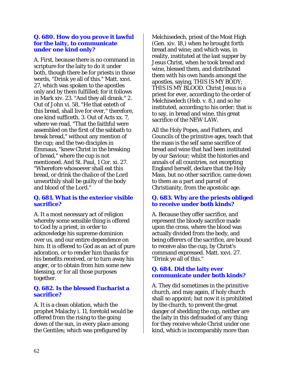### **Q. 680. How do you prove it lawful for the laity, to communicate under one kind only?**

A. First, because there is no command in scripture for the laity to do it under both, though there be for priests in those words, "Drink ye all of this." Matt. xxvi. 27, which was spoken to the apostles only and by them fulfilled; for it follows in Mark xiv. 23. "And they all drank." 2. Out of John vi. 58, "He that eateth of this bread, shall live for ever," therefore, one kind sufficeth. 3. Out of Acts xx. 7, where we read, "That the faithful were assembled on the first of the sabbath to break bread," without any mention of the cup; and the two disciples in Emmaus, "knew Christ in the breaking of bread," where the cup is not mentioned. And St. Paul, 1 Cor. xi. 27. "Wherefore whosoever shall eat this bread, or drink the chalice of the Lord unworthily shall be guilty of the body and blood of the Lord."

# **Q. 681. What is the exterior visible sacrifice?**

A. It a most necessary act of religion whereby some sensible thing is offered to God by a priest, in order to acknowledge his supreme dominion over us, and our entire dependence on him. It is offered to God as an act of pure adoration, or to render him thanks for his benefits received, or to turn away his anger, or to obtain from him some new blessing, or for all those purposes together.

### **Q. 682. Is the blessed Eucharist a sacrifice?**

A. It is a clean oblation, which the prophet Malachy i. 11, foretold would be offered from the rising to the going down of the sun, in every place among the Gentiles; which was prefigured by

Melchisedech, priest of the Most High (Gen. xiv. 18,) when he brought forth bread and wine; and which was, in reality, instituted at the last supper by Jesus Christ, when he took bread and wine, blessed them, and distributed them with his own hands amongst the apostles, saying, THIS IS MY BODY; THIS IS MY BLOOD. Christ Jesus is a priest for ever, according to the order of Melchisedech (Heb. v. 8,) and so he instituted, according to his order; that is to say, in bread and wine, this great sacrifice of the NEW LAW.

All the Holy Popes, and Fathers, and Councils of the primitive ages, teach that the mass is the self same sacrifice of bread and wine that had been instituted by our Saviour; whilst the histories and annals of all countries, not excepting England herself, declare that the Holy Mass, but no other sacrifice, came down to them as a part and parcel of Christianity, from the apostolic age.

# **Q. 683. Why are the priests obliged to receive under both kinds?**

A. Because they offer sacrifice, and represent the bloody sacrifice made upon the cross, where the blood was actually divided from the body, and being offerers of the sacrifice, are bound to receive also the cup, by Christ's command expressed. Matt. xxvi. 27. "Drink ye all of this."

# **Q. 684. Did the laity ever communicate under both kinds?**

A. They did sometimes in the primitive church, and may again, if holy church shall so appoint; but now it is prohibited by the church, to prevent the great danger of shedding the cup, neither are the laity in this defrauded of any thing; for they receive whole Christ under one kind, which is incomparably more than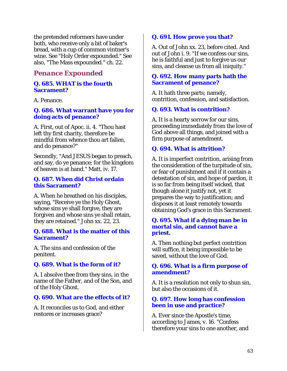the pretended reformers have under both, who receive only a bit of baker's bread, with a cup of common vintner's wine. See "Holy Order expounded." See also, "The Mass expounded." ch. 22.

# *Penance Expounded*

### **Q. 685. WHAT is the fourth Sacrament?**

A. Penance.

### **Q. 686. What warrant have you for doing acts of penance?**

A. First, out of Apoc. ii. 4. "Thou hast left thy first charity, therefore be mindful from whence thou art fallen, and do penance?"

Secondly, "And JESUS began to preach, and say, do ye penance; for the kingdom of heaven is at hand." Matt. iv. 17.

#### **Q. 687. When did Christ ordain this Sacrament?**

A. When he breathed on his disciples, saying, "Receive ye the Holy Ghost, whose sins ye shall forgive, they are forgiven and whose sins ye shall retain, they are retained." John xx. 22, 23.

#### **Q. 688. What is the matter of this Sacrament?**

A. The sins and confession of the penitent.

# **Q. 689. What is the form of it?**

A. I absolve thee from they sins, in the name of the Father, and of the Son, and of the Holy Ghost.

### **Q. 690. What are the effects of it?**

A. It reconciles us to God, and either restores or increases grace?

# **Q. 691. How prove you that?**

A. Out of John xx. 23, before cited. And out of John i. 9. "If we confess our sins, he is faithful and just to forgive us our sins, and cleanse us from all iniquity."

### **Q. 692. How many parts hath the Sacrament of penance?**

A. It hath three parts; namely, contrition, confession, and satisfaction.

# **Q. 693. What is contrition?**

A. It is a hearty sorrow for our sins, proceeding immediately from the love of God above all things, and joined with a firm purpose of amendment.

# **Q. 694. What is attrition?**

A. It is imperfect contrition, arising from the consideration of the turpitude of sin, or fear of punishment and if it contain a detestation of sin, and hope of pardon, it is so far from being itself wicked, that though alone it justify not, yet it prepares the way to justification; and disposes it at least remotely towards obtaining God's grace in this Sacrament.

### **Q. 695. What if a dying man be in mortal sin, and cannot have a priest.**

A. Then nothing but perfect contrition will suffice, it being impossible to be saved, without the love of God.

### **Q. 696. What is a firm purpose of amendment?**

A. It is a resolution not only to shun sin, but also the occasions of it.

### **Q. 697. How long has confession been in use and practice?**

A. Ever since the Apostle's time, according to James, v. 16. "Confess therefore your sins to one another, and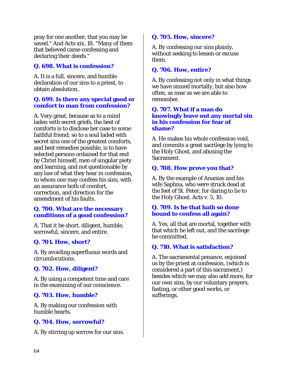pray for one another, that you may be saved." And Acts xix. 18. "Many of them that believed came confessing and declaring their deeds."

# **Q. 698. What is confession?**

A. It is a full, sincere, and humble declaration of our sins to a priest, to obtain absolution.

### **Q. 699. Is there any special good or comfort to man from confession?**

A. Very great, because as to a mind laden with secret griefs, the best of comforts is to disclose her case to some faithful friend; so to a soul laded with secret sins one of the greatest comforts, and best remedies possible, is to have selected persons ordained for that end by Christ himself, men of singular piety and learning, and not questionable by any law of what they hear in confession, to whom one may confess his sins, with an assurance both of comfort, correction, and direction for the amendment of his faults.

### **Q. 700. What are the necessary conditions of a good confession?**

A. That it be short, diligent, humble, sorrowful, sincere, and entire.

# **Q. 701. How, short?**

A. By avoiding superfluous words and circumlocutions.

# **Q. 702. How, diligent?**

A. By using a competent time and care in the examining of our conscience.

# **Q. 703. How, humble?**

A. By making our confession with humble hearts.

# **Q. 704. How, sorrowful?**

A. By stirring up sorrow for our sins.

# **Q. 705. How, sincere?**

A. By confessing our sins plainly, without seeking to lessen or excuse them.

### **Q. 706. How, entire?**

A. By confessing not only in what things we have sinned mortally, but also how often, as near as we are able to remember.

### **Q. 707. What if a man do knowingly leave out any mortal sin in his confession for fear of shame?**

A. He makes his whole confession void, and commits a great sacrilege by lying to the Holy Ghost, and abusing the Sacrament.

# **Q. 708. How prove you that?**

A. By the example of Ananias and his wife Saphna, who were struck dead at the feet of St. Peter, for daring to lie to the Holy Ghost. Acts v. 5, 10.

# **Q. 709. Is he that hath so done bound to confess all again?**

A. Yes, all that are mortal, together with that which he left out, and the sacrilege he committed.

# **Q. 710. What is satisfaction?**

A. The sacramental penance, enjoined us by the priest at confession, (which is considered a part of this sacrament,) besides which we may also add more, for our own sins, by our voluntary prayers, fasting, or other good works, or sufferings.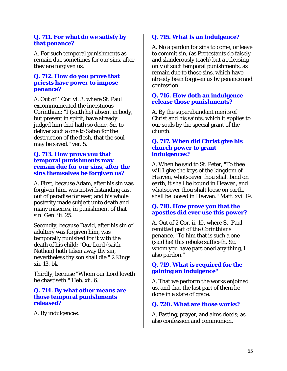### **Q. 711. For what do we satisfy by that penance?**

A. For such temporal punishments as remain due sometimes for our sins, after they are forgiven us.

### **Q. 712. How do you prove that priests have power to impose penance?**

A. Out of 1 Cor. vi. 3, where St. Paul excommunicated the incestuous Corinthian; "I (saith he) absent in body, but present in spirit, have already judged him that hath so done, &c. to deliver such a one to Satan for the destruction of the flesh, that the soul may be saved." ver. 5.

### **Q. 713. How prove you that temporal punishments may remain due for our sins, after the sins themselves be forgiven us?**

A. First, because Adam, after his sin was forgiven him, was notwithstanding cast out of paradise for ever, and his whole posterity made subject unto death and many miseries, in punishment of that sin. Gen. iii. 25.

Secondly, because David, after his sin of adultery was forgiven him, was temporally punished for it with the death of his child: "Our Lord (saith Nathan) hath taken away thy sin, nevertheless thy son shall die." 2 Kings xii. 13, 14.

Thirdly, because "Whom our Lord loveth he chastiseth." Heb. xii. 6.

# **Q. 714. By what other means are those temporal punishments released?**

A. By indulgences.

# **Q. 715. What is an indulgence?**

A. No a pardon for sins to come, or leave to commit sin, (as Protestants do falsely and slanderously teach) but a releasing only of such temporal punishments, as remain due to those sins, which have already been forgiven us by penance and confession.

### **Q. 716. How doth an indulgence release those punishments?**

A. By the superabundant merits of Christ and his saints, which it applies to our souls by the special grant of the church.

### **Q. 717. When did Christ give his church power to grant indulgences?**

A. When he said to St. Peter, "To thee will I give the keys of the kingdom of Heaven, whatsoever thou shalt bind on earth, it shall be bound in Heaven, and whatsoever thou shalt loose on earth, shall be loosed in Heaven." Matt. xvi. 19.

# **Q. 718. How prove you that the apostles did ever use this power?**

A. Out of 2 Cor. ii. 10, where St. Paul remitted part of the Corinthians penance. "To him that is such a one (said he) this rebuke sufficeth, &c. whom you have pardoned any thing, I also pardon."

# **Q. 719. What is required for the gaining an indulgence"**

A. That we perform the works enjoined us, and that the last part of them be done in a state of grace.

# **Q. 720. What are those works?**

A. Fasting, prayer, and alms deeds; as also confession and communion.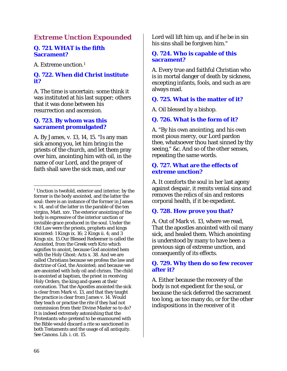# *Extreme Unction Expounded*

### **Q. 721. WHAT is the fifth Sacrament?**

A. Extreme unction.1

# **Q. 722. When did Christ institute it?**

A. The time is uncertain: some think it was instituted at his last supper; others that it was done between his resurrection and ascension.

### **Q. 723. By whom was this sacrament promulgated?**

A. By James, v. 13, 14, 15. "Is any man sick among you, let him bring in the priests of the church, and let them pray over him, anointing him with oil, in the name of our Lord, and the prayer of faith shall save the sick man, and our

Lord will lift him up, and if he be in sin his sins shall be forgiven him."

### **Q. 724. Who is capable of this sacrament?**

A. Every true and faithful Christian who is in mortal danger of death by sickness, excepting infants, fools, and such as are always mad.

# **Q. 725. What is the matter of it?**

A. Oil blessed by a bishop.

# **Q. 726. What is the form of it?**

A. "By his own anointing, and his own most pious mercy, our Lord pardon thee, whatsoever thou hast sinned by thy seeing," &c. And so of the other senses, repeating the same words.

### **Q. 727. What are the effects of extreme unction?**

A. It comforts the soul in her last agony against despair, it remits venial sins and removes the relics of sin and restores corporal health, if it be expedient.

# **Q. 728. How prove you that?**

A. Out of Mark vi. 13, where we read, That the apostles anointed with oil many sick, and healed them. Which anointing is understood by many to have been a previous sign of extreme unction, and consequently of its effects.

### **Q. 729. Why then do so few recover after it?**

A. Either because the recovery of the body is not expedient for the soul, or because the sick deferred the sacrament too long, as too many do, or for the other indispositions in the receiver of it

 $\overline{a}$  $1$  Unction is twofold, exterior and interior; by the former is the body anointed, and the latter the soul: there is an instance of the former in James v. 14, and of the latter in the parable of the ten virgins, Matt. xxv. The exterior anointing of the body is expressive of the interior unction or invisible grace produced in the soul. Under the Old Law were the priests, prophets and kings anointed: 1 Kings ix. 16; 2 Kings ii. 4; and 3 Kings xix. 15.Our Blessed Redeemer is called the Anointed, from the Greek verb Krio which signifies to anoint, because God anointed hem with the Holy Ghost: Acts x. 38. And we are called Christians because we profess the law and doctrine of God, the Anointed; and because we are anointed with holy oil and chrism. The child is anointed at baptism, the priest in receiving Holy Orders, the king and queen at their coronation. That the Apostles anointed the sick is clear from Mark vi. 13, and that they taught the practice is clear from James v. 14. Would they teach or practise the rite if they had not commission from their Divine Master so to do? It is indeed extremely astonishing that the Protestants who pretend to be enamoured with the Bible would discard a rite so sanctioned in both Testaments and the usage of all antiquity. See Canons. Lib. i. cit. 15.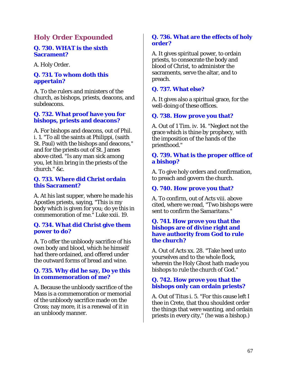# *Holy Order Expounded*

#### **Q. 730. WHAT is the sixth Sacrament?**

A. Holy Order.

# **Q. 731. To whom doth this appertain?**

A. To the rulers and ministers of the church, as bishops, priests, deacons, and subdeacons.

#### **Q. 732. What proof have you for bishops, priests and deacons?**

A. For bishops and deacons, out of Phil. i. 1. "To all the saints at Philippi, (saith St. Paul) with the bishops and deacons," and for the priests out of St. James above cited. "Is any man sick among you, let him bring in the priests of the church." &c.

#### **Q. 733. Where did Christ ordain this Sacrament?**

A. At his last supper, where he made his Apostles priests, saying, "This is my body which is given for you; do ye this in commemoration of me." Luke xxii. 19.

#### **Q. 734. What did Christ give them power to do?**

A. To offer the unbloody sacrifice of his own body and blood, which he himself had there ordained, and offered under the outward forms of bread and wine.

# **Q. 735. Why did he say, Do ye this in commemoration of me?**

A. Because the unbloody sacrifice of the Mass is a commemoration or memorial of the unbloody sacrifice made on the Cross; nay more, it is a renewal of it in an unbloody manner.

#### **Q. 736. What are the effects of holy order?**

A. It gives spiritual power, to ordain priests, to consecrate the body and blood of Christ, to administer the sacraments, serve the altar, and to preach.

# **Q. 737. What else?**

A. It gives also a spiritual grace, for the well-doing of these offices.

# **Q. 738. How prove you that?**

A. Out of 1 Tim. iv. 14. "Neglect not the grace which is thine by prophecy, with the imposition of the hands of the priesthood."

#### **Q. 739. What is the proper office of a bishop?**

A. To give holy orders and confirmation, to preach and govern the church.

## **Q. 740. How prove you that?**

A. To confirm, out of Acts viii. above cited, where we read, "Two bishops were sent to confirm the Samaritans."

#### **Q. 741. How prove you that the bishops are of divine right and have authority from God to rule the church?**

A. Out of Acts xx. 28. "Take heed unto yourselves and to the whole flock, wherein the Holy Ghost hath made you bishops to rule the church of God."

#### **Q. 742. How prove you that the bishops only can ordain priests?**

A. Out of Titus i. 5. "For this cause left I thee in Crete, that thou shouldest order the things that were wanting, and ordain priests in every city," (he was a bishop.)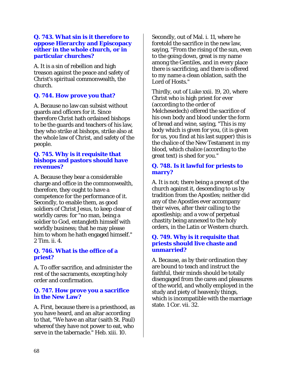#### **Q. 743. What sin is it therefore to oppose Hierarchy and Episcopacy either in the whole church, or in particular churches?**

A. It is a sin of rebellion and high treason against the peace and safety of Christ's spiritual commonwealth, the church.

# **Q. 744. How prove you that?**

A. Because no law can subsist without guards and officers for it. Since therefore Christ hath ordained bishops to be the guards and teachers of his law, they who strike at bishops, strike also at the whole law of Christ, and safety of the people.

#### **Q. 745. Why is it requisite that bishops and pastors should have revenues?**

A. Because they bear a considerable charge and office in the commonwealth, therefore, they ought to have a competence for the performance of it. Secondly, to enable them, as good soldiers of Christ Jesus, to keep clear of worldly cares: for "no man, being a soldier to God, entangleth himself with worldly business; that he may please him to whom he hath engaged himself." 2 Tim. ii. 4.

# **Q. 746. What is the office of a priest?**

A. To offer sacrifice, and administer the rest of the sacraments, excepting holy order and confirmation.

#### **Q. 747. How prove you a sacrifice in the New Law?**

A. First, because there is a priesthood, as you have heard, and an altar according to that, "We have an altar (saith St. Paul) whereof they have not power to eat, who serve in the tabernacle." Heb. xiii. 10.

Secondly, out of Mal. i. 11, where he foretold the sacrifice in the new law, saying, "From the rising of the sun, even to the going down, great is my name among the Gentiles, and in every place there is sacrificing, and there is offered to my name a clean oblation, saith the Lord of Hosts."

Thirdly, out of Luke xxii. 19, 20, where Christ who is high priest for ever (according to the order of Melchesedech) offered the sacrifice of his own body and blood under the form of bread and wine, saying, "This is my body which is given for you, (it is given for us, you find at his last supper) this is the chalice of the New Testament in my blood, which chalice (according to the great text) is shed for you."

# **Q. 748. Is it lawful for priests to marry?**

A. It is not; there being a precept of the church against it, descending to us by tradition from the Apostles; neither did any of the Apostles ever accompany their wives, after their calling to the apostleship; and a vow of perpetual chastity being annexed to the holy orders, in the Latin or Western church.

#### **Q. 749. Why is it requisite that priests should live chaste and unmarried?**

A. Because, as by their ordination they are bound to teach and instruct the faithful, their minds should be totally disengaged from the cares and pleasures of the world, and wholly employed in the study and piety of heavenly things, which is incompatible with the marriage state. 1 Cor. vii. 32.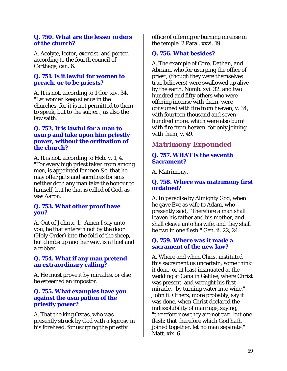#### **Q. 750. What are the lesser orders of the church?**

A. Acolyte, lector, exorcist, and porter, according to the fourth council of Carthage, can. 6.

#### **Q. 751. Is it lawful for women to preach, or to be priests?**

A. It is not, according to 1 Cor. xiv. 34. "Let women keep silence in the churches: for it is not permitted to them to speak, but to the subject, as also the law saith."

#### **Q. 752. It is lawful for a man to usurp and take upon him priestly power, without the ordination of the church?**

A. It is not, according to Heb. v. 1, 4. "For every high priest taken from among men, is appointed for men &c. that he may offer gifts and sacrifices for sins neither doth any man take the honour to himself, but he that is called of God, as was Aaron.

# **Q. 753. What other proof have you?**

A. Out of John x. 1. "Amen I say unto you, he that entereth not by the door (Holy Order) into the fold of the sheep, but climbs up another way, is a thief and a robber."

# **Q. 754. What if any man pretend an extraordinary calling?**

A. He must prove it by miracles, or else be esteemed an impostor.

#### **Q. 755. What examples have you against the usurpation of the priestly power?**

A. That the king Ozeas, who was presently struck by God with a leprosy in his forehead, for usurping the priestly

office of offering or burning incense in the temple. 2 Paral. xxvi. 19.

# **Q. 756. What besides?**

A. The example of Core, Dathan, and Abriam, who for usurping the office of priest, (though they were themselves true believers) were swallowed up alive by the earth, Numb. xvi. 32. and two hundred and fifty others who were offering incense with them, were consumed with fire from heaven, v. 34, with fourteen thousand and seven hundred more, which were also burnt with fire from heaven, for only joining with them, v. 49.

# *Matrimony Expounded*

# **Q. 757. WHAT is the seventh Sacrament?**

A. Matrimony.

# **Q. 758. Where was matrimony first ordained?**

A. In paradise by Almighty God, when he gave Eve as wife to Adam, who presently said, "Therefore a man shall leaven his father and his mother, and shall cleave unto his wife, and they shall be two in one flesh." Gen. ii. 22, 24.

#### **Q. 759. Where was it made a sacrament of the new law?**

A. Where and when Christ instituted this sacrament us uncertain; some think it done, or at least insinuated at the wedding at Cana in Galilee, where Christ was present, and wrought his first miracle, "by turning water into wine." John ii. Others, more probably, say it was done, when Christ declared the indissolubility of marriage, saying, "therefore now they are not two, but one flesh: that therefore which God hath joined together, let no man separate." Matt. xix. 6.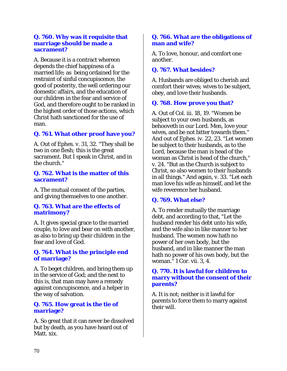#### **Q. 760. Why was it requisite that marriage should be made a sacrament?**

A. Because it is a contract whereon depends the chief happiness of a married life; as being ordained for the restraint of sinful concupiscence, the good of posterity, the well ordering our domestic affairs, and the education of our children in the fear and service of God, and therefore ought to be ranked in the highest order of those actions, which Christ hath sanctioned for the use of man.

# **Q. 761. What other proof have you?**

A. Out of Ephes. v. 31, 32. "They shall be two in one flesh; this is the great sacrament. But I speak in Christ, and in the church."

#### **Q. 762. What is the matter of this sacrament?**

A. The mutual consent of the parties, and giving themselves to one another.

#### **Q. 763. What are the effects of matrimony?**

A. It gives special grace to the married couple, to love and bear on with another, as also to bring up their children in the fear and love of God.

# **Q. 764. What is the principle end of marriage?**

A. To beget children, and bring them up in the service of God; and the next to this is, that man may have a remedy against concupiscence, and a helper in the way of salvation.

#### **Q. 765. How great is the tie of marriage?**

A. So great that it can never be dissolved but by death, as you have heard out of Matt. xix.

### **Q. 766. What are the obligations of man and wife?**

A. To love, honour, and comfort one another.

# **Q. 767. What besides?**

A. Husbands are obliged to cherish and comfort their wives; wives to be subject, obey, and love their husbands.

# **Q. 768. How prove you that?**

A. Out of Col. iii. 18, 19. "Women be subject to your own husbands, as behooveth in our Lord. Men, love your wives, and be not bitter towards them." And out of Ephes. iv. 22, 23. "Let women be subject to their husbands, as to the Lord, because the man is head of the woman as Christ is head of the church," v. 24. "But as the Church is subject to Christ, so also women to their husbands in all things." And again, v. 33. "Let each man love his wife as himself, and let the wife reverence her husband.

# **Q. 769. What else?**

A. To render mutually the marriage debt, and according to that, "Let the husband render his debt unto his wife, and the wife also in like manner to her husband. The women now hath no power of her own body, but the husband, and in like manner the man hath no power of his own body, but the woman." 1 Cor. vii. 3, 4.

#### **Q. 770. It is lawful for children to marry without the consent of their parents?**

A. It is not; neither is it lawful for parents to force them to marry against their will.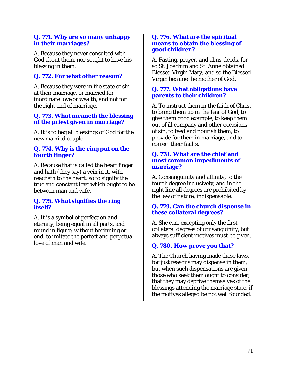## **Q. 771. Why are so many unhappy in their marriages?**

A. Because they never consulted with God about them, nor sought to have his blessing in them.

# **Q. 772. For what other reason?**

A. Because they were in the state of sin at their marriage, or married for inordinate love or wealth, and not for the right end of marriage.

#### **Q. 773. What meaneth the blessing of the priest given in marriage?**

A. It is to beg all blessings of God for the new married couple.

## **Q. 774. Why is the ring put on the fourth finger?**

A. Because that is called the heart finger and hath (they say) a vein in it, with reacheth to the heart; so to signify the true and constant love which ought to be between man and wife.

#### **Q. 775. What signifies the ring itself?**

A. It is a symbol of perfection and eternity, being equal in all parts, and round in figure, without beginning or end, to imitate the perfect and perpetual love of man and wife.

#### **Q. 776. What are the spiritual means to obtain the blessing of good children?**

A. Fasting, prayer, and alms-deeds, for so St. Joachim and St. Anne obtained Blessed Virgin Mary; and so the Blessed Virgin became the mother of God.

# **Q. 777. What obligations have parents to their children?**

A. To instruct them in the faith of Christ, to bring them up in the fear of God, to give them good example, to keep them out of ill company and other occasions of sin, to feed and nourish them, to provide for them in marriage, and to correct their faults.

## **Q. 778. What are the chief and most common impediments of marriage?**

A. Consanguinity and affinity, to the fourth degree inclusively; and in the right line all degrees are prohibited by the law of nature, indispensable.

#### **Q. 779. Can the church dispense in these collateral degrees?**

A. She can, excepting only the first collateral degrees of consanguinity, but always sufficient motives must be given.

# **Q. 780. How prove you that?**

A. The Church having made these laws, for just reasons may dispense in them; but when such dispensations are given, those who seek them ought to consider, that they may deprive themselves of the blessings attending the marriage state, if the motives alleged be not well founded.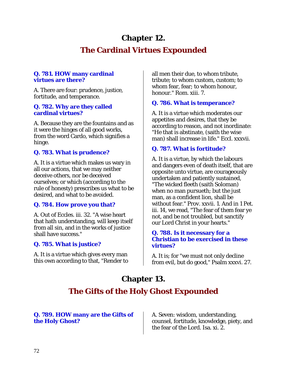# **Chapter 12.**

# **The Cardinal Virtues Expounded**

# **Q. 781. HOW many cardinal virtues are there?**

A. There are four: prudence, justice, fortitude, and temperance.

# **Q. 782. Why are they called cardinal virtues?**

A. Because they are the fountains and as it were the hinges of all good works, from the word Cardo, which signifies a hinge.

# **Q. 783. What is prudence?**

A. It is a virtue which makes us wary in all our actions, that we may neither deceive others, nor be deceived ourselves; or which (according to the rule of honesty) prescribes us what to be desired, and what to be avoided.

# **Q. 784. How prove you that?**

A. Out of Eccles. iii. 32. "A wise heart that hath understanding, will keep itself from all sin, and in the works of justice shall have success."

# **Q. 785. What is justice?**

A. It is a virtue which gives every man this own according to that, "Render to all men their due, to whom tribute, tribute; to whom custom, custom; to whom fear, fear; to whom honour, honour." Rom. xiii. 7.

# **Q. 786. What is temperance?**

A. It is a virtue which moderates our appetites and desires, that they be according to reason, and not inordinate: "He that is abstinate, (saith the wise man) shall increase in life." Eccl. xxxvii.

# **Q. 787. What is fortitude?**

A. It is a virtue, by which the labours and dangers even of death itself, that are opposite unto virtue, are courageously undertaken and patiently sustained, "The wicked fleeth (saith Soloman) when no man pursueth; but the just man, as a confident lion, shall be without fear." Prov. xxvii. 1. And in 1 Pet. iii. 14, we read, "The fear of them fear ye not, and be not troubled, but sanctify our Lord Christ in your hearts."

#### **Q. 788. Is it necessary for a Christian to be exercised in these virtues?**

A. It is; for "we must not only decline from evil, but do good," Psalm xxxvi. 27.

# **Chapter 13.**

# **The Gifts of the Holy Ghost Expounded**

# **Q. 789. HOW many are the Gifts of the Holy Ghost?**

A. Seven: wisdom, understanding, counsel, fortitude, knowledge, piety, and the fear of the Lord. Isa. xi. 2.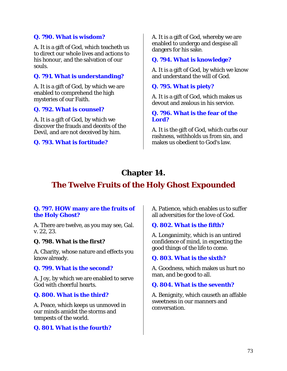# **Q. 790. What is wisdom?**

A. It is a gift of God, which teacheth us to direct our whole lives and actions to his honour, and the salvation of our souls.

# **Q. 791. What is understanding?**

A. It is a gift of God, by which we are enabled to comprehend the high mysteries of our Faith.

#### **Q. 792. What is counsel?**

A. It is a gift of God, by which we discover the frauds and deceits of the Devil, and are not deceived by him.

#### **Q. 793. What is fortitude?**

A. It is a gift of God, whereby we are enabled to undergo and despise all dangers for his sake.

#### **Q. 794. What is knowledge?**

A. It is a gift of God, by which we know and understand the will of God.

#### **Q. 795. What is piety?**

A. It is a gift of God, which makes us devout and zealous in his service.

#### **Q. 796. What is the fear of the Lord?**

A. It is the gift of God, which curbs our rashness, withholds us from sin, and makes us obedient to God's law.

# **Chapter 14.**

# **The Twelve Fruits of the Holy Ghost Expounded**

#### **Q. 797. HOW many are the fruits of the Holy Ghost?**

A. There are twelve, as you may see, Gal. v. 22, 23.

#### **Q. 798. What is the first?**

A. Charity, whose nature and effects you know already.

#### **Q. 799. What is the second?**

A. Joy, by which we are enabled to serve God with cheerful hearts.

#### **Q. 800. What is the third?**

A. Peace, which keeps us unmoved in our minds amidst the storms and tempests of the world.

#### **Q. 801. What is the fourth?**

A. Patience, which enables us to suffer all adversities for the love of God.

#### **Q. 802. What is the fifth?**

A. Longanimity, which is an untired confidence of mind, in expecting the good things of the life to come.

#### **Q. 803. What is the sixth?**

A. Goodness, which makes us hurt no man, and be good to all.

#### **Q. 804. What is the seventh?**

A. Benignity, which causeth an affable sweetness in our manners and conversation.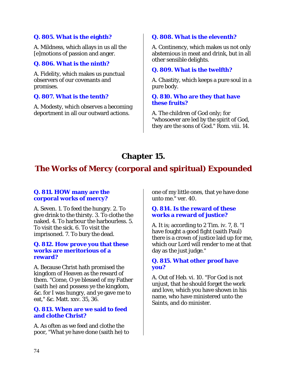# **Q. 805. What is the eighth?**

A. Mildness, which allays in us all the [e]motions of passion and anger.

# **Q. 806. What is the ninth?**

A. Fidelity, which makes us punctual observers of our covenants and promises.

# **Q. 807. What is the tenth?**

A. Modesty, which observes a becoming deportment in all our outward actions.

# **Q. 808. What is the eleventh?**

A. Continency, which makes us not only abstemious in meat and drink, but in all other sensible delights.

# **Q. 809. What is the twelfth?**

A. Chastity, which keeps a pure soul in a pure body.

# **Q. 810. Who are they that have these fruits?**

A. The children of God only; for "whosoever are led by the spirit of God, they are the sons of God." Rom. viii. 14.

# **Chapter 15.**

# **The Works of Mercy (corporal and spiritual) Expounded**

# **Q. 811. HOW many are the corporal works of mercy?**

A. Seven. 1. To feed the hungry. 2. To give drink to the thirsty. 3. To clothe the naked. 4. To harbour the harbourless. 5. To visit the sick. 6. To visit the imprisoned. 7. To bury the dead.

#### **Q. 812. How prove you that these works are meritorious of a reward?**

A. Because Christ hath promised the kingdom of Heaven as the reward of them. "Come, O ye blessed of my Father (saith he) and possess ye the kingdom, &c. for I was hungry, and ye gave me to eat," &c. Matt. xxv. 35, 36.

#### **Q. 813. When are we said to feed and clothe Christ?**

A. As often as we feed and clothe the poor, "What ye have done (saith he) to one of my little ones, that ye have done unto me." ver. 40.

# **Q. 814. Is the reward of these works a reward of justice?**

A. It is; according to 2 Tim. iv. 7, 8. "I have fought a good fight (saith Paul) there is a crown of justice laid up for me, which our Lord will render to me at that day as the just judge."

# **Q. 815. What other proof have you?**

A. Out of Heb. vi. 10. "For God is not unjust, that he should forget the work and love, which you have shown in his name, who have ministered unto the Saints, and do minister.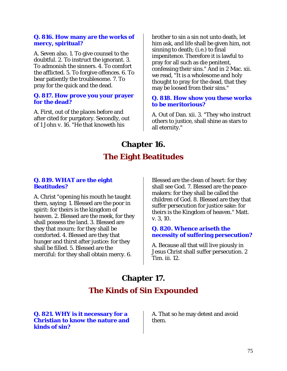#### **Q. 816. How many are the works of mercy, spiritual?**

A. Seven also. 1. To give counsel to the doubtful. 2. To instruct the ignorant. 3. To admonish the sinners. 4. To comfort the afflicted. 5. To forgive offences. 6. To bear patiently the troublesome. 7. To pray for the quick and the dead.

#### **Q. 817. How prove you your prayer for the dead?**

A. First, out of the places before and after cited for purgatory. Secondly, out of 1 John v. 16. "He that knoweth his

brother to sin a sin not unto death, let him ask, and life shall be given him, not sinning to death; (i.e.) to final impenitence. Therefore it is lawful to pray for all such as die penitent, confessing their sins." And in 2 Mac. xii. we read, "It is a wholesome and holy thought to pray for the dead, that they may be loosed from their sins."

#### **Q. 818. How show you these works to be meritorious?**

A. Out of Dan. xii. 3. "They who instruct others to justice, shall shine as stars to all eternity."

# **Chapter 16. The Eight Beatitudes**

#### **Q. 819. WHAT are the eight Beatitudes?**

A. Christ "opening his mouth he taught them, saying: 1. Blessed are the poor in spirit: for theirs is the kingdom of heaven. 2. Blessed are the meek, for they shall possess the land. 3. Blessed are they that mourn: for they shall be comforted. 4. Blessed are they that hunger and thirst after justice: for they shall be filled. 5. Blessed are the merciful: for they shall obtain mercy. 6.

Blessed are the clean of heart: for they shall see God. 7. Blessed are the peacemakers: for they shall be called the children of God. 8. Blessed are they that suffer persecution for justice sake: for theirs is the Kingdom of heaven." Matt. v. 3, 10.

#### **Q. 820. Whence ariseth the necessity of suffering persecution?**

A. Because all that will live piously in Jesus Christ shall suffer persecution. 2 Tim. iii. 12.

# **Chapter 17.**

# **The Kinds of Sin Expounded**

**Q. 821. WHY is it necessary for a Christian to know the nature and kinds of sin?** 

A. That so he may detest and avoid them.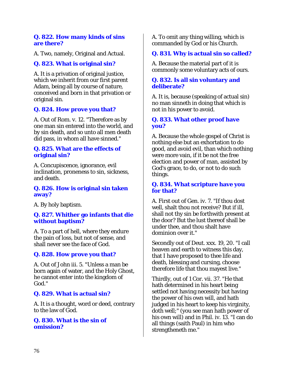### **Q. 822. How many kinds of sins are there?**

A. Two, namely, Original and Actual.

# **Q. 823. What is original sin?**

A. It is a privation of original justice, which we inherit from our first parent Adam, being all by course of nature, conceived and born in that privation or original sin.

# **Q. 824. How prove you that?**

A. Out of Rom. v. 12. "Therefore as by one man sin entered into the world, and by sin death, and so unto all men death did pass, in whom all have sinned."

## **Q. 825. What are the effects of original sin?**

A. Concupiscence, ignorance, evil inclination, proneness to sin, sickness, and death.

# **Q. 826. How is original sin taken away?**

A. By holy baptism.

# **Q. 827. Whither go infants that die without baptism?**

A. To a part of hell, where they endure the pain of loss, but not of sense, and shall never see the face of God.

# **Q. 828. How prove you that?**

A. Out of John iii. 5. "Unless a man be born again of water, and the Holy Ghost, he cannot enter into the kingdom of God."

# **Q. 829. What is actual sin?**

A. It is a thought, word or deed, contrary to the law of God.

#### **Q. 830. What is the sin of omission?**

A. To omit any thing willing, which is commanded by God or his Church.

# **Q. 831. Why is actual sin so called?**

A. Because the material part of it is commonly some voluntary acts of ours.

## **Q. 832. Is all sin voluntary and deliberate?**

A. It is, because (speaking of actual sin) no man sinneth in doing that which is not in his power to avoid.

## **Q. 833. What other proof have you?**

A. Because the whole gospel of Christ is nothing else but an exhortation to do good, and avoid evil, than which nothing were more vain, if it be not the free election and power of man, assisted by God's grace, to do, or not to do such things.

#### **Q. 834. What scripture have you for that?**

A. First out of Gen. iv. 7. "If thou dost well, shalt thou not receive? But if ill, shall not thy sin be forthwith present at the door? But the lust thereof shall be under thee, and thou shalt have dominion over it."

Secondly out of Deut. xxx. 19, 20. "I call heaven and earth to witness this day, that I have proposed to thee life and death, blessing and cursing, choose therefore life that thou mayest live."

Thirdly, out of 1 Cor. vii. 37. "He that hath determined in his heart being settled not having necessity but having the power of his own will, and hath judged in his heart to keep his virginity, doth well;" (you see man hath power of his own will) and in Phil. iv. 13. "I can do all things (saith Paul) in him who strengtheneth me."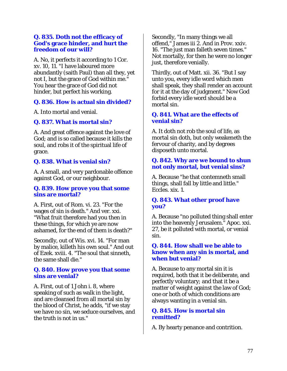#### **Q. 835. Doth not the efficacy of God's grace hinder, and hurt the freedom of our will?**

A. No, it perfects it according to 1 Cor. xv. 10, 11. "I have laboured more abundantly (saith Paul) than all they, yet not I, but the grace of God within me." You hear the grace of God did not hinder, but perfect his working.

# **Q. 836. How is actual sin divided?**

A. Into mortal and venial.

# **Q. 837. What is mortal sin?**

A. And great offence against the love of God; and is so called because it kills the soul, and robs it of the spiritual life of grace.

# **Q. 838. What is venial sin?**

A. A small, and very pardonable offence against God, or our neighbour.

# **Q. 839. How prove you that some sins are mortal?**

A. First, out of Rom. vi. 23. "For the wages of sin is death." And ver. xxi. "What fruit therefore had you then in these things, for which ye are now ashamed, for the end of them is death?"

Secondly, out of Wis. xvi. 14. "For man by malice, killeth his own soul." And out of Ezek. xviii. 4. "The soul that sinneth, the same shall die."

# **Q. 840. How prove you that some sins are venial?**

A. First, out of 1 John i. 8, where speaking of such as walk in the light, and are cleansed from all mortal sin by the blood of Christ, he adds, "if we stay we have no sin, we seduce ourselves, and the truth is not in us."

Secondly, "In many things we all offend," James iii 2. And in Prov. xxiv. 16. "The just man falleth seven times." Not mortally, for then he were no longer just, therefore venially.

Thirdly, out of Matt. xii. 36. "But I say unto you, every idle word which men shall speak, they shall render an account for it at the day of judgment." Now God forbid every idle word should be a mortal sin.

# **Q. 841. What are the effects of venial sin?**

A. It doth not rob the soul of life, as mortal sin doth, but only weakeneth the fervour of charity, and by degrees disposeth unto mortal.

# **Q. 842. Why are we bound to shun not only mortal, but venial sins?**

A. Because "he that contemneth small things, shall fall by little and little." Eccles. xix. 1.

# **Q. 843. What other proof have you?**

A. Because "no polluted thing shall enter into the heavenly Jerusalem." Apoc. xxi. 27, be it polluted with mortal, or venial sin.

#### **Q. 844. How shall we be able to know when any sin is mortal, and when but venial?**

A. Because to any mortal sin it is required, both that it be deliberate, and perfectly voluntary; and that it be a matter of weight against the law of God; one or both of which conditions are always wanting in a venial sin.

#### **Q. 845. How is mortal sin remitted?**

A. By hearty penance and contrition.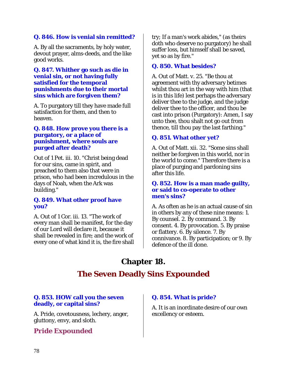# **Q. 846. How is venial sin remitted?**

A. By all the sacraments, by holy water, devout prayer, alms-deeds, and the like good works.

#### **Q. 847. Whither go such as die in venial sin, or not having fully satisfied for the temporal punishments due to their mortal sins which are forgiven them?**

A. To purgatory till they have made full satisfaction for them, and then to heaven.

#### **Q. 848. How prove you there is a purgatory, or a place of punishment, where souls are purged after death?**

Out of 1 Pet. iii. 10. "Christ being dead for our sins, came in spirit, and preached to them also that were in prison, who had been incredulous in the days of Noah, when the Ark was building."

# **Q. 849. What other proof have you?**

A. Out of 1 Cor. iii. 13. "The work of every man shall be manifest, for the day of our Lord will declare it, because it shall be revealed in fire; and the work of every one of what kind it is, the fire shall

try; If a man's work abides," (as theirs doth who deserve no purgatory) he shall suffer loss, but himself shall be saved, yet so as by fire."

# **Q. 850. What besides?**

A. Out of Matt. v. 25. "Be thou at agreement with thy adversary betimes whilst thou art in the way with him (that is in this life) lest perhaps the adversary deliver thee to the judge, and the judge deliver thee to the officer, and thou be cast into prison (Purgatory): Amen, I say unto thee, thou shalt not go out from thence, till thou pay the last farthing."

# **Q. 851. What other yet?**

A. Out of Matt. xii. 32. "Some sins shall neither be forgiven in this world, nor in the world to come." Therefore there is a place of purging and pardoning sins after this life.

#### **Q. 852. How is a man made guilty, or said to co-operate to other men's sins?**

A. As often as he is an actual cause of sin in others by any of these nine means: 1. By counsel. 2. By command. 3. By consent. 4. By provocation. 5. By praise or flattery. 6. By silence. 7. By connivance. 8. By participation; or 9. By defence of the ill done.

# **Chapter 18.**

# **The Seven Deadly Sins Expounded**

# **Q. 853. HOW call you the seven deadly, or capital sins?**

A. Pride, covetousness, lechery, anger, gluttony, envy, and sloth.

*Pride Expounded* 

#### **Q. 854. What is pride?**

A. It is an inordinate desire of our own excellency or esteem.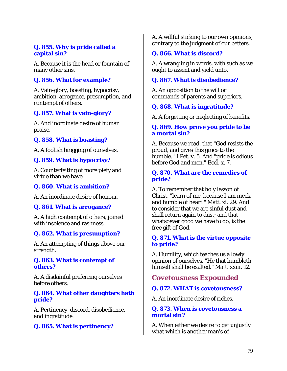# **Q. 855. Why is pride called a capital sin?**

A. Because it is the head or fountain of many other sins.

# **Q. 856. What for example?**

A. Vain-glory, boasting, hypocrisy, ambition, arrogance, presumption, and contempt of others.

# **Q. 857. What is vain-glory?**

A. And inordinate desire of human praise.

# **Q. 858. What is boasting?**

A. A foolish bragging of ourselves.

# **Q. 859. What is hypocrisy?**

A. Counterfeiting of more piety and virtue than we have.

#### **Q. 860. What is ambition?**

A. An inordinate desire of honour.

#### **Q. 861. What is arrogance?**

A. A high contempt of others, joined with insolence and rashness.

#### **Q. 862. What is presumption?**

A. An attempting of things above our strength.

#### **Q. 863. What is contempt of others?**

A. A disdainful preferring ourselves before others.

**Q. 864. What other daughters hath pride?** 

A. Pertinency, discord, disobedience, and ingratitude.

# **Q. 865. What is pertinency?**

A. A willful sticking to our own opinions, contrary to the judgment of our betters.

# **Q. 866. What is discord?**

A. A wrangling in words, with such as we ought to assent and yield unto.

# **Q. 867. What is disobedience?**

A. An opposition to the will or commands of parents and superiors.

# **Q. 868. What is ingratitude?**

A. A forgetting or neglecting of benefits.

#### **Q. 869. How prove you pride to be a mortal sin?**

A. Because we read, that "God resists the proud, and gives this grace to the humble." 1 Pet. v. 5. And "pride is odious before God and men." Eccl. x. 7.

#### **Q. 870. What are the remedies of pride?**

A. To remember that holy lesson of Christ, "learn of me, because I am meek and humble of heart." Matt. xi. 29. And to consider that we are sinful dust and shall return again to dust; and that whatsoever good we have to do, is the free gift of God.

#### **Q. 871. What is the virtue opposite to pride?**

A. Humility, which teaches us a lowly opinion of ourselves. "He that humbleth himself shall be exalted." Matt. xxiii. 12.

# *Covetousness Expounded*

#### **Q. 872. WHAT is covetousness?**

A. An inordinate desire of riches.

#### **Q. 873. When is covetousness a mortal sin?**

A. When either we desire to get unjustly what which is another man's of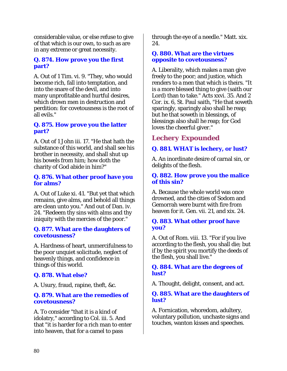considerable value, or else refuse to give of that which is our own, to such as are in any extreme or great necessity.

# **Q. 874. How prove you the first part?**

A. Out of 1 Tim. vi. 9. "They, who would become rich, fall into temptation, and into the snare of the devil, and into many unprofitable and hurtful desires, which drown men in destruction and perdition: for covetousness is the root of all evils."

# **Q. 875. How prove you the latter part?**

A. Out of 1 John iii. 17. "He that hath the substance of this world, and shall see his brother in necessity, and shall shut up his bowels from him; how doth the charity of God abide in him?"

# **Q. 876. What other proof have you for alms?**

A. Out of Luke xi. 41. "But yet that which remains, give alms, and behold all things are clean unto you." And out of Dan. iv. 24. "Redeem thy sins with alms and thy iniquity with the mercies of the poor."

#### **Q. 877. What are the daughters of covetousness?**

A. Hardness of heart, unmercifulness to the poor unquiet solicitude, neglect of heavenly things, and confidence in things of this world.

# **Q. 878. What else?**

A. Usury, fraud, rapine, theft, &c.

#### **Q. 879. What are the remedies of covetousness?**

A. To consider "that it is a kind of idolatry," according to Col. iii. 5. And that "it is harder for a rich man to enter into heaven, that for a camel to pass

through the eye of a needle." Matt. xix. 24.

#### **Q. 880. What are the virtues opposite to covetousness?**

A. Liberality, which makes a man give freely to the poor; and justice, which renders to a men that which is theirs. "It is a more blessed thing to give (saith our Lord) than to take." Acts xxvi. 35. And 2 Cor. ix. 6, St. Paul saith, "He that soweth sparingly, sparingly also shall he reap; but he that soweth in blessings, of blessings also shall he reap; for God loves the cheerful giver."

# *Lechery Expounded*

# **Q. 881. WHAT is lechery, or lust?**

A. An inordinate desire of carnal sin, or delights of the flesh.

## **Q. 882. How prove you the malice of this sin?**

A. Because the whole world was once drowned, and the cities of Sodom and Gemorrah were burnt with fire from heaven for it. Gen. vii. 21, and xix. 24.

# **Q. 883. What other proof have you?**

A. Out of Rom. viii. 13. "For if you live according to the flesh, you shall die; but if by the spirit you mortify the deeds of the flesh, you shall live."

# **Q. 884. What are the degrees of lust?**

A. Thought, delight, consent, and act.

#### **Q. 885. What are the daughters of lust?**

A. Fornication, whoredom, adultery, voluntary pollution, unchaste signs and touches, wanton kisses and speeches.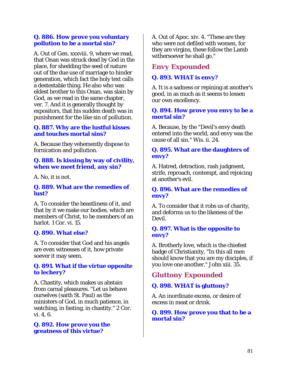## **Q. 886. How prove you voluntary pollution to be a mortal sin?**

A. Out of Gen. xxxviii. 9, where we read, that Onan was struck dead by God in the place, for shedding the seed of nature out of the due use of marriage to hinder generation, which fact the holy text calls a destestable thing. He also who was eldest brother to this Onan, was slain by God, as we read in the same chapter, ver. 7. And it is generally thought by expositors, that his sudden death was in punishment for the like sin of pollution.

# **Q. 887. Why are the lustful kisses and touches mortal sins?**

A. Because they vehemently dispose to fornication and pollution.

# **Q. 888. Is kissing by way of civility, when we meet friend, any sin?**

A. No, it is not.

#### **Q. 889. What are the remedies of lust?**

A. To consider the beastliness of it, and that by it we make our bodies, which are members of Christ, to be members of an harlot. 1 Cor. vi. 15.

# **Q. 890. What else?**

A. To consider that God and his angels are even witnesses of it, how private soever it may seem.

#### **Q. 891. What if the virtue opposite to lechery?**

A. Chastity, which makes us abstain from carnal pleasures. "Let us behave ourselves (saith St. Paul) as the ministers of God, in much patience, in watching, in fasting, in chastity." 2 Cor. vi. 4, 6.

#### **Q. 892. How prove you the greatness of this virtue?**

A. Out of Apoc. xiv. 4. "These are they who were not defiled with women, for they are virgins, these follow the Lamb withersoever he shall go."

# *Envy Expounded*

# **Q. 893. WHAT is envy?**

A. It is a sadness or repining at another's good, in as much as it seems to lessen our own excellency.

#### **Q. 894. How prove you envy to be a mortal sin?**

A. Because, by the "Devil's envy death entered into the world, and envy was the cause of all sin." Wis. ii. 24.

#### **Q. 895. What are the daughters of envy?**

A. Hatred, detraction, rash judgment, strife, reproach, contempt, and rejoicing at another's evil.

# **Q. 896. What are the remedies of envy?**

A. To consider that it robs us of charity, and deforms us to the likeness of the Devil.

#### **Q. 897. What is the opposite to envy?**

A. Brotherly love, which is the chiefest badge of Christianity, "In this all men should know that you are my disciples, if you love one another." John xiii. 35.

# *Gluttony Expounded*

# **Q. 898. WHAT is gluttony?**

A. An inordinate excess, or desire of excess in meat or drink.

**Q. 899. How prove you that to be a mortal sin?**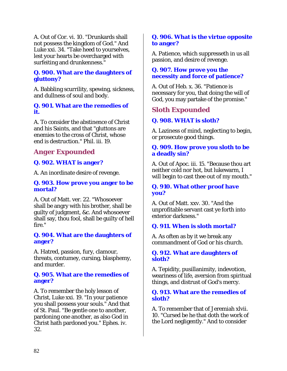A. Out of Cor. vi. 10. "Drunkards shall not possess the kingdom of God." And Luke xxi. 34. "Take heed to yourselves, lest your hearts be overcharged with surfeiting and drunkenness."

# **Q. 900. What are the daughters of gluttony?**

A. Babbling scurrility, spewing, sickness, and dullness of soul and body.

## **Q. 901. What are the remedies of it.**

A. To consider the abstinence of Christ and his Saints, and that "gluttons are enemies to the cross of Christ, whose end is destruction." Phil. iii. 19.

# *Anger Expounded*

# **Q. 902. WHAT is anger?**

A. An inordinate desire of revenge.

#### **Q. 903. How prove you anger to be mortal?**

A. Out of Matt. ver. 22. "Whosoever shall be angry with his brother, shall be guilty of judgment, &c. And whosoever shall say, thou fool, shall be guilty of hell fire."

#### **Q. 904. What are the daughters of anger?**

A. Hatred, passion, fury, clamour, threats, contumey, cursing, blasphemy, and murder.

#### **Q. 905. What are the remedies of anger?**

A. To remember the holy lesson of Christ, Luke xxi. 19. "In your patience you shall possess your souls." And that of St. Paul. "Be gentle one to another, pardoning one another, as also God in Christ hath pardoned you." Ephes. iv. 32.

# **Q. 906. What is the virtue opposite to anger?**

A. Patience, which suppresseth in us all passion, and desire of revenge.

# **Q. 907. How prove you the necessity and force of patience?**

A. Out of Heb. x. 36. "Patience is necessary for you, that doing the will of God, you may partake of the promise."

# *Sloth Expounded*

# **Q. 908. WHAT is sloth?**

A. Laziness of mind, neglecting to begin, or prosecute good things.

# **Q. 909. How prove you sloth to be a deadly sin?**

A. Out of Apoc. iii. 15. "Because thou art neither cold nor hot, but lukewarm, I will begin to cast thee out of my mouth."

# **Q. 910. What other proof have you?**

A. Out of Matt. xxv. 30. "And the unprofitable servant cast ye forth into exterior darkness."

# **Q. 911. When is sloth mortal?**

A. As often as by it we break any commandment of God or his church.

# **Q. 912. What are daughters of sloth?**

A. Tepidity, pusillanimity, indevotion, weariness of life, aversion from spiritual things, and distrust of God's mercy.

# **Q. 913. What are the remedies of sloth?**

A. To remember that of Jeremiah xlvii. 10. "Cursed be he that doth the work of the Lord negligently." And to consider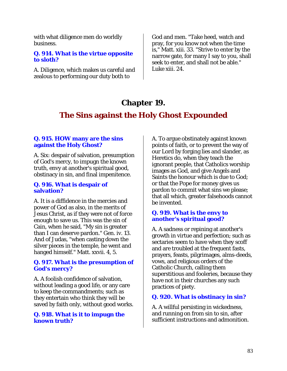with what diligence men do worldly business.

#### **Q. 914. What is the virtue opposite to sloth?**

A. Diligence, which makes us careful and zealous to performing our duty both to

God and men. "Take heed, watch and pray, for you know not when the time is," Matt. xiii. 33. "Strive to enter by the narrow gate, for many I say to you, shall seek to enter, and shall not be able." Luke xiii. 24.

# **Chapter 19.**

# **The Sins against the Holy Ghost Expounded**

#### **Q. 915. HOW many are the sins against the Holy Ghost?**

A. Six: despair of salvation, presumption of God's mercy, to impugn the known truth, envy at another's spiritual good, obstinacy in sin, and final impenitence.

#### **Q. 916. What is despair of salvation?**

A. It is a diffidence in the mercies and power of God as also, in the merits of Jesus Christ, as if they were not of force enough to save us. This was the sin of Cain, when he said, "My sin is greater than I can deserve pardon." Gen. iv. 13. And of Judas, "when casting down the silver pieces in the temple, he went and hanged himself." Matt. xxvii. 4, 5.

#### **Q. 917. What is the presumption of God's mercy?**

A. A foolish confidence of salvation, without leading a good life, or any care to keep the commandments; such as they entertain who think they will be saved by faith only, without good works.

#### **Q. 918. What is it to impugn the known truth?**

A. To argue obstinately against known points of faith, or to prevent the way of our Lord by forging lies and slander, as Heretics do, when they teach the ignorant people, that Catholics worship images as God, and give Angels and Saints the honour which is due to God; or that the Pope for money gives us pardon to commit what sins we please; that all which, greater falsehoods cannot be invented.

#### **Q. 919. What is the envy to another's spiritual good?**

A. A sadness or repining at another's growth in virtue and perfection; such as sectaries seem to have when they scoff and are troubled at the frequent fasts, prayers, feasts, pilgrimages, alms-deeds, vows, and religious orders of the Catholic Church, calling them superstitious and fooleries, because they have not in their churches any such practices of piety.

# **Q. 920. What is obstinacy in sin?**

A. A willful persisting in wickedness, and running on from sin to sin, after sufficient instructions and admonition.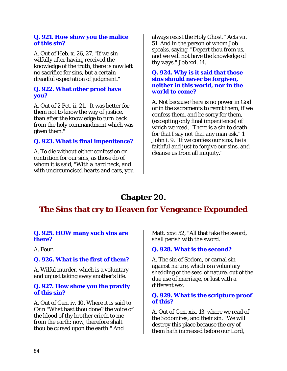#### **Q. 921. How show you the malice of this sin?**

A. Out of Heb. x. 26, 27. "If we sin wilfully after having received the knowledge of the truth, there is now left no sacrifice for sins, but a certain dreadful expectation of judgment."

## **Q. 922. What other proof have you?**

A. Out of 2 Pet. ii. 21. "It was better for them not to know the way of justice, than after the knowledge to turn back from the holy commandment which was given them."

# **Q. 923. What is final impenitence?**

A. To die without either confession or contrition for our sins, as those do of whom it is said, "With a hard neck, and with uncircumcised hearts and ears, you always resist the Holy Ghost." Acts vii. 51. And in the person of whom Job speaks, saying, "Depart thou from us, and we will not have the knowledge of thy ways." Job xxi. 14.

#### **Q. 924. Why is it said that those sins should never be forgiven, neither in this world, nor in the world to come?**

A. Not because there is no power in God or in the sacraments to remit them, if we confess them, and be sorry for them, (excepting only final impenitence) of which we read, "There is a sin to death for that I say not that any man ask." 1 John i. 9. "If we confess our sins, he is faithful and just to forgive our sins, and cleanse us from all iniquity."

# **Chapter 20.**

# **The Sins that cry to Heaven for Vengeance Expounded**

#### **Q. 925. HOW many such sins are there?**

A. Four.

#### **Q. 926. What is the first of them?**

A. Wilful murder, which is a voluntary and unjust taking away another's life.

#### **Q. 927. How show you the pravity of this sin?**

A. Out of Gen. iv. 10. Where it is said to Cain "What hast thou done? the voice of the blood of thy brother crieth to me from the earth: now, therefore shalt thou be cursed upon the earth." And

Matt. xxvi 52, "All that take the sword, shall perish with the sword."

# **Q. 928. What is the second?**

A. The sin of Sodom, or carnal sin against nature, which is a voluntary shedding of the seed of nature, out of the due use of marriage, or lust with a different sex.

#### **Q. 929. What is the scripture proof of this?**

A. Out of Gen. xix. 13. where we read of the Sodomites, and their sin. "We will destroy this place because the cry of them hath increased before our Lord,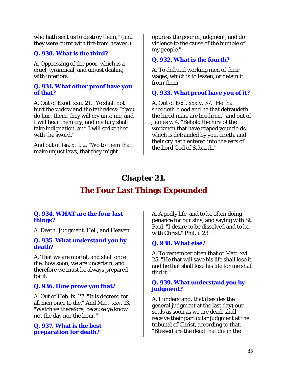who hath sent us to destroy them," (and they were burnt with fire from heaven.)

# **Q. 930. What is the third?**

A. Oppressing of the poor, which is a cruel, tyrannical, and unjust dealing with inferiors.

#### **Q. 931. What other proof have you of that?**

A. Out of Exod. xxii. 21. "Ye shall not hurt the widow and the fatherless: If you do hurt them, they will cry unto me, and I will hear them cry, and my fury shall take indignation, and I will strike thee with the sword."

And out of Isa. x. 1, 2. "Wo to them that make unjust laws, that they might

oppress the poor in judgment, and do violence to the cause of the humble of my people."

# **Q. 932. What is the fourth?**

A. To defraud working men of their wages, which is to lessen, or detain it from them.

# **Q. 933. What proof have you of it?**

A. Out of Eccl. xxxiv. 37. "He that sheddeth blood and he that defraudeth the hired man, are brethren," and out of James v. 4. "Behold the hire of the workmen that have reaped your fields, which is defrauded by you, crieth, and their cry hath entered into the ears of the Lord God of Sabaoth."

# **Chapter 21.**

# **The Four Last Things Expounded**

# **Q. 934. WHAT are the four last things?**

A. Death, Judgment, Hell, and Heaven.

#### **Q. 935. What understand you by death?**

A. That we are mortal, and shall once die; how soon, we are uncertain, and therefore we must be always prepared for it.

#### **Q. 936. How prove you that?**

A. Out of Heb. ix. 27. "It is decreed for all men once to die." And Matt. xxv. 13. "Watch ye therefore, because ye know not the day nor the hour."

#### **Q. 937. What is the best preparation for death?**

A. A godly life, and to be often doing penance for our sins, and saying with St. Paul, "I desire to be dissolved and to be with Christ." Phil. i. 23.

# **Q. 938. What else?**

A. To remember often that of Matt. xvi. 25. "He that will save his life shall lose it, and he that shall lose his life for me shall find it."

# **Q. 939. What understand you by judgment?**

A. I understand, that (besides the general judgment at the last day) our souls as soon as we are dead, shall receive their particular judgment at the tribunal of Christ, according to that, "Blessed are the dead that die in the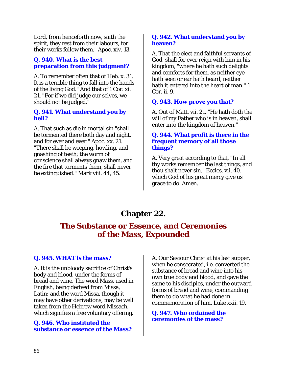Lord, from henceforth now, saith the spirit, they rest from their labours, for their works follow them." Apoc. xiv. 13.

## **Q. 940. What is the best preparation from this judgment?**

A. To remember often that of Heb. x. 31. It is a terrible thing to fall into the hands of the living God." And that of 1 Cor. xi. 21. "For if we did judge our selves, we should not be judged."

#### **Q. 941. What understand you by hell?**

A. That such as die in mortal sin "shall be tormented there both day and night, and for ever and ever." Apoc. xx. 21. "There shall be weeping, howling, and gnashing of teeth; the worm of conscience shall always gnaw them, and the fire that torments them, shall never be extinguished." Mark viii. 44, 45.

# **Q. 942. What understand you by heaven?**

A. That the elect and faithful servants of God, shall for ever reign with him in his kingdom, "where he hath such delights and comforts for them, as neither eye hath seen or ear hath heard, neither hath it entered into the heart of man." 1 Cor. ii. 9.

# **Q. 943. How prove you that?**

A. Out of Matt. vii. 21. "He hath doth the will of my Father who is in heaven, shall enter into the kingdom of heaven."

#### **Q. 944. What profit is there in the frequent memory of all those things?**

A. Very great according to that, "In all thy works remember the last things, and thou shalt never sin." Eccles. vii. 40. which God of his great mercy give us grace to do. Amen.

# **Chapter 22.**

# **The Substance or Essence, and Ceremonies of the Mass, Expounded**

#### **Q. 945. WHAT is the mass?**

A. It is the unbloody sacrifice of Christ's body and blood, under the forms of bread and wine. The word Mass, used in English, being derived from Missa, Latin; and the word Missa, though it may have other derivations, may be well taken from the Hebrew word Missach, which signifies a free voluntary offering.

#### **Q. 946. Who instituted the substance or essence of the Mass?**

A. Our Saviour Christ at his last supper, when he consecrated, i.e. converted the substance of bread and wine into his own true body and blood, and gave the same to his disciples, under the outward forms of bread and wine, commanding them to do what he had done in commemoration of him. Luke xxii. 19.

**Q. 947. Who ordained the ceremonies of the mass?**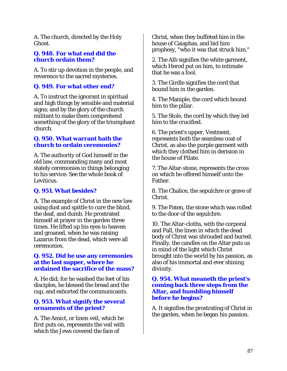A. The church, directed by the Holy Ghost.

# **Q. 948. For what end did the church ordain them?**

A. To stir up devotion in the people, and reverence to the sacred mysteries.

# **Q. 949. For what other end?**

A. To instruct the ignorant in spiritual and high things by sensible and material signs; and by the glory of the church militant to make them comprehend something of the glory of the triumphant church.

# **Q. 950. What warrant hath the church to ordain ceremonies?**

A. The authority of God himself in the old law, commanding many and most stately ceremonies in things belonging to his service. See the whole book of Leviticus.

# **Q. 951. What besides?**

A. The example of Christ in the new law using dust and spittle to cure the blind, the deaf, and dumb. He prostrated himself at prayer in the garden three times. He lifted up his eyes to heaven and groaned, when he was raising Lazarus from the dead, which were all ceremonies.

#### **Q. 952. Did he use any ceremonies at the last supper, where he ordained the sacrifice of the mass?**

A. He did; for he washed the feet of his disciples, he blessed the bread and the cup, and exhorted the communicants.

# **Q. 953. What signify the several ornaments of the priest?**

A. The Amict, or linen veil, which he first puts on, represents the veil with which the Jews covered the face of

Christ, when they buffeted him in the house of Caiaphas, and bid him prophesy, "who it was that struck him."

2. The Alb signifies the white garment, which Herod put on him, to intimate that he was a fool.

3. The Girdle signifies the cord that bound him in the garden.

4. The Maniple, the cord which bound him to the pillar.

5. The Stole, the cord by which they led him to the crucified.

6. The priest's upper, Vestment, represents both the seamless coat of Christ, as also the purple garment with which they clothed him in derision in the house of Pilate.

7. The Altar-stone, represents the cross on which he offered himself unto the Father.

8. The Chalice, the sepulchre or grave of Christ.

9. The Paten, the stone which was rolled to the door of the sepulchre.

10. The Altar-cloths, with the corporal and Pall, the linen in which the dead body of Christ was shrouded and buried. Finally, the candles on the Altar puts us in mind of the light which Christ brought into the world by his passion, as also of his immortal and ever shining divinity.

#### **Q. 954. What meaneth the priest's coming back three steps from the Altar, and humbling himself before he begins?**

A. It signifies the prostrating of Christ in the garden, when he began his passion.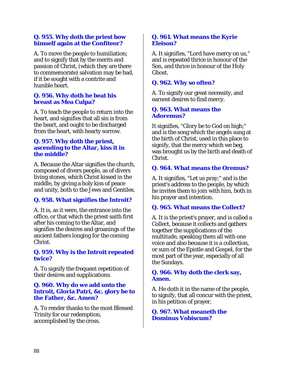## **Q. 955. Why doth the priest bow himself again at the Confiteor?**

A. To move the people to humiliation; and to signify that by the merits and passion of Christ, (which they are there to commemorate) salvation may be had, if it be sought with a contrite and humble heart.

## **Q. 956. Why doth he beat his breast as Mea Culpa?**

A. To teach the people to return into the heart, and signifies that all sin is from the heart, and ought to be discharged from the heart, with hearty sorrow.

#### **Q. 957. Why doth the priest, ascending to the Altar, kiss it in the middle?**

A. Because the Altar signifies the church, composed of divers people, as of divers living stones, which Christ kissed in the middle, by giving a holy kiss of peace and unity, both to the Jews and Gentiles.

# **Q. 958. What signifies the Introit?**

A. It is, as it were, the entrance into the office, or that which the priest saith first after his coming to the Altar, and signifies the desires and groanings of the ancient fathers longing for the coming Christ.

#### **Q. 959. Why is the Introit repeated twice?**

A. To signify the frequent repetition of their desires and supplications.

# **Q. 960. Why do we add unto the Introit, Gloria Patri, &c. glory be to the Father, &c. Amen?**

A. To render thanks to the most Blessed Trinity for our redemption, accomplished by the cross.

## **Q. 961. What means the Kyrie Eleison?**

A. It signifies, "Lord have mercy on us," and is repeated thrice in honour of the Son, and thrice in honour of the Holy Ghost.

# **Q. 962. Why so often?**

A. To signify our great necessity, and earnest desires to find mercy.

#### **Q. 963. What means the Adoremus?**

It signifies, "Glory be to God on high;" and is the song which the angels sung at the birth of Christ, used in this place to signify, that the mercy which we beg, was brought us by the birth and death of Christ.

# **Q. 964. What means the Oremus?**

A. It signifies, "Let us pray;" and is the priest's address to the people, by which he invites them to join with him, both in his prayer and intention.

# **Q. 965. What means the Collect?**

A. It is the priest's prayer, and is called a Collect, because it collects and gathers together the supplications of the multitude, speaking them all with one voice and also because it is a collection, or sum of the Epistle and Gospel, for the most part of the year, especially of all the Sundays.

# **Q. 966. Why doth the clerk say, Amen.**

A. He doth it in the name of the people, to signify, that all concur with the priest, in his petition of prayer.

# **Q. 967. What meaneth the Dominus Vobiscum?**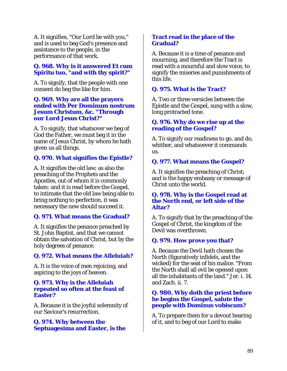A. It signifies, "Our Lord be with you," and is used to beg God's presence and assistance to the people, in the performance of that work.

# **Q. 968. Why is it answered Et cum Spiritu tuo, "and with thy spirit?"**

A. To signify, that the people with one consent do beg the like for him.

### **Q. 969. Why are all the prayers ended with Per Dominum nostrum Jesum Christum, &c. "Through our Lord Jesus Christ?"**

A. To signify, that whatsover we beg of God the Father, we must beg it in the name of Jesus Christ, by whom he hath given us all things.

# **Q. 970. What signifies the Epistle?**

A. It signifies the old law; as also the preaching of the Prophets and the Apostles, out of whom it is commonly taken: and it is read before the Gospel, to intimate that the old law being able to bring nothing to perfection, it was necessary the new should succeed it.

# **Q. 971. What means the Gradual?**

A. It signifies the penance preached by St. John Baptist, and that we cannot obtain the salvation of Christ, but by the holy degrees of penance.

# **Q. 972. What means the Alleluiah?**

A. It is the voice of men rejoicing, and aspiring to the joys of heaven.

#### **Q. 973. Why is the Alleluiah repeated so often at the feast of Easter?**

A. Because it is the joyful solemnity of our Saviour's resurrection.

#### **Q. 974. Why between the Septuagesima and Easter, is the**

### **Tract read in the place of the Gradual?**

A. Because it is a time of penance and mourning, and therefore the Tract is read with a mournful and slow voice, to signify the miseries and punishments of this life.

# **Q. 975. What is the Tract?**

A. Two or three versicles between the Epistle and the Gospel, sung with a slow, long protracted tone.

# **Q. 976. Why do we rise up at the reading of the Gospel?**

A. To signify our readiness to go, and do, whither, and whatsoever it commands us.

# **Q. 977. What means the Gospel?**

A. It signifies the preaching of Christ; and is the happy embassy or message of Christ unto the world.

#### **Q. 978. Why is the Gospel read at the North end, or left side of the Altar?**

A. To signify that by the preaching of the Gospel of Christ, the kingdom of the Devil was overthrown.

#### **Q. 979. How prove you that?**

A. Because the Devil hath chosen the North (figuratively infidels, and the wicked) for the seat of his malice. "From the North shall all evil be opened upon all the inhabitants of the land." Jer. i. 14. and Zach. ii. 7.

# **Q. 980. Why doth the priest before he begins the Gospel, salute the people with Dominus vobiscum?**

A. To prepare them for a devout hearing of it, and to beg of our Lord to make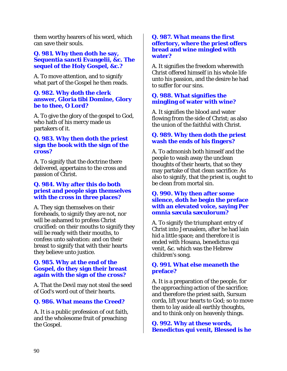them worthy hearers of his word, which can save their souls.

# **Q. 981. Why then doth he say, Sequentia sancti Evangelii, &c. The sequel of the Holy Gospel, &c.?**

A. To move attention, and to signify what part of the Gospel he then reads.

#### **Q. 982. Why doth the clerk answer, Gloria tibi Domine, Glory be to thee, O Lord?**

A. To give the glory of the gospel to God, who hath of his mercy made us partakers of it.

# **Q. 983. Why then doth the priest sign the book with the sign of the cross?**

A. To signify that the doctrine there delivered, appertains to the cross and passion of Christ.

# **Q. 984. Why after this do both priest and people sign themselves with the cross in three places?**

A. They sign themselves on their foreheads, to signify they are not, nor will be ashamed to profess Christ crucified: on their mouths to signify they will be ready with their mouths, to confess unto salvation: and on their breast to signify that with their hearts they believe unto justice.

# **Q. 985. Why at the end of the Gospel, do they sign their breast again with the sign of the cross?**

A. That the Devil may not steal the seed of God's word out of their hearts.

# **Q. 986. What means the Creed?**

A. It is a public profession of out faith, and the wholesome fruit of preaching the Gospel.

#### **Q. 987. What means the first offertory, where the priest offers bread and wine mingled with water?**

A. It signifies the freedom wherewith Christ offered himself in his whole life unto his passion, and the desire he had to suffer for our sins.

# **Q. 988. What signifies the mingling of water with wine?**

A. It signifies the blood and water flowing from the side of Christ; as also the union of the faithful with Christ.

# **Q. 989. Why then doth the priest wash the ends of his fingers?**

A. To admonish both himself and the people to wash away the unclean thoughts of their hearts, that so they may partake of that clean sacrifice: As also to signify, that the priest is, ought to be clean from mortal sin.

## **Q. 990. Why then after some silence, doth he begin the preface with an elevated voice, saying Per omnia sæcula sæculorum?**

A. To signify the triumphant entry of Christ into Jerusalem, after he had lain hid a little space; and therefore it is ended with Hosana, benedictus qui venit, &c. which was the Hebrew children's song.

# **Q. 991. What else meaneth the preface?**

A. It is a preparation of the people, for the approaching action of the sacrifice; and therefore the priest saith, Sursum corda, lift your hearts to God; so to move them to lay aside all earthly thoughts, and to think only on heavenly things.

**Q. 992. Why at these words, Benedictus qui venit, Blessed is he**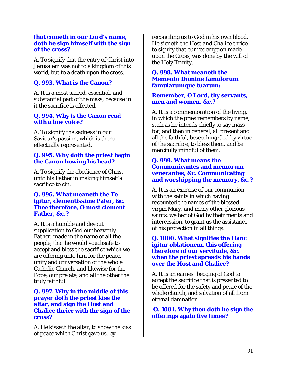#### **that cometh in our Lord's name, doth he sign himself with the sign of the cross?**

A. To signify that the entry of Christ into Jerusalem was not to a kingdom of this world, but to a death upon the cross.

# **Q. 993. What is the Canon?**

A. It is a most sacred, essential, and substantial part of the mass, because in it the sacrifice is effected.

#### **Q. 994. Why is the Canon read with a low voice?**

A. To signify the sadness in our Saviour's passion, which is there effectually represented.

# **Q. 995. Why doth the priest begin the Canon bowing his head?**

A. To signify the obedience of Christ unto his Father in making himself a sacrifice to sin.

#### **Q. 996. What meaneth the Te igitur, clementissime Pater, &c. Thee therefore, O most clement Father, &c.?**

A. It is a humble and devout supplication to God our heavenly Father, made in the name of all the people, that he would vouchsafe to accept and bless the sacrifice which we are offering unto him for the peace, unity and conversation of the whole Catholic Church, and likewise for the Pope, our prelate, and all the other the truly faithful.

#### **Q. 997. Why in the middle of this prayer doth the priest kiss the altar, and sign the Host and Chalice thrice with the sign of the cross?**

A. He kisseth the altar, to show the kiss of peace which Christ gave us, by

reconciling us to God in his own blood. He signeth the Host and Chalice thrice to signify that our redemption made upon the Cross, was done by the will of the Holy Trinity.

#### **Q. 998. What meaneth the Memento Domine famulorum famularumque tuarum:**

# **Remember, O Lord, thy servants, men and women, &c.?**

A. It is a commemoration of the living, in which the pries remembers by name, such as he intends chiefly to say mass for, and then in general, all present and all the faithful, beseeching God by virtue of the sacrifice, to bless them, and be mercifully mindful of them.

# **Q. 999. What means the Communicantes and memorum venerantes, &c. Communicating and worshipping the memory, &c.?**

A. It is an exercise of our communion with the saints in which having recounted the names of the blessed virgin Mary, and many other glorious saints, we beg of God by their merits and intercession, to grant us the assistance of his protection in all things.

## **Q. 1000. What signifies the Hanc igitur oblationem, this offering therefore of our servitude, &c. when the priest spreads his hands over the Host and Chalice?**

A. It is an earnest begging of God to accept the sacrifice that is presented to be offered for the safety and peace of the whole church, and salvation of all from eternal damnation.

**Q. 1001. Why then doth he sign the offerings again five times?**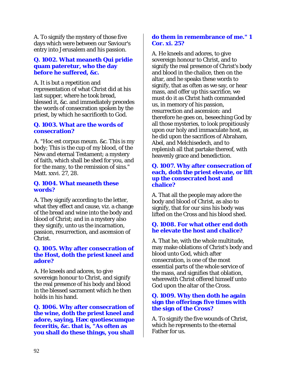A. To signify the mystery of those five days which were between our Saviour's entry into Jerusalem and his passion.

## **Q. 1002. What meaneth Qui pridie quam pateretur, who the day before he suffered, &c.**

A. It is but a repetition and representation of what Christ did at his last supper, where he took bread, blessed it, &c. and immediately precedes the words of consecration spoken by the priest, by which he sacrificeth to God.

## **Q. 1003. What are the words of consecration?**

A. "Hoc est corpus meum. &c. This is my body; This is the cup of my blood, of the New and eternal Testament; a mystery of faith, which shall be shed for you, and for the many, to the remission of sins." Matt. xxvi. 27, 28.

#### **Q. 1004. What meaneth these words?**

A. They signify according to the letter, what they effect and cause, viz. a change of the bread and wine into the body and blood of Christ; and in a mystery also they signify, unto us the incarnation, passion, resurrection, and ascension of Christ.

#### **Q. 1005. Why after consecration of the Host, doth the priest kneel and adore?**

A. He kneels and adores, to give sovereign honour to Christ, and signify the real presence of his body and blood in the blessed sacrament which he then holds in his hand.

**Q. 1006. Why after consecration of the wine, doth the priest kneel and adore, saying, Hæc quotiescumque feceritis, &c. that is, "As often as you shall do these things, you shall** 

## **do them in remembrance of me." 1 Cor. xi. 25?**

A. He kneels and adores, to give sovereign honour to Christ, and to signify the real presence of Christ's body and blood in the chalice, then on the altar, and he speaks these words to signify, that as often as we say, or hear mass, and offer up this sacrifice, we must do it as Christ hath commanded us, in memory of his passion, resurrection and ascension: and therefore he goes on, beseeching God by all those mysteries, to look propitiously upon our holy and immaculate host, as he did upon the sacrifices of Abraham, Abel, and Melchisedech, and to replenish all that partake thereof, with heavenly grace and benediction.

#### **Q. 1007. Why after consecration of each, doth the priest elevate, or lift up the consecrated host and chalice?**

A. That all the people may adore the body and blood of Christ, as also to signify, that for our sins his body was lifted on the Cross and his blood shed.

# **Q. 1008. For what other end doth he elevate the host and chalice?**

A. That he, with the whole multitude, may make oblations of Christ's body and blood unto God, which after consecration, is one of the most essential parts of the whole service of the mass, and signifies that oblation, wherewith Christ offered himself unto God upon the altar of the Cross.

# **Q. 1009. Why then doth he again sign the offerings five times with the sign of the Cross?**

A. To signify the five wounds of Christ, which he represents to the eternal Father for us.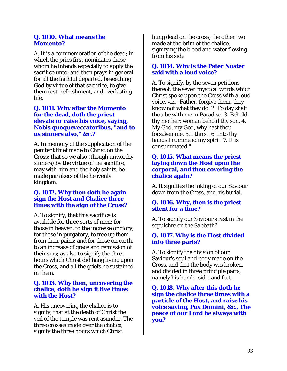#### **Q. 1010. What means the Momento?**

A. It is a commemoration of the dead; in which the pries first nominates those whom he intends especially to apply the sacrifice unto; and then prays in general for all the faithful departed, beseeching God by virtue of that sacrifice, to give them rest, refreshment, and everlasting life.

#### **Q. 1011. Why after the Momento for the dead, doth the priest elevate or raise his voice, saying, Nobis quoqueveccatoribus, "and to us sinners also," &c.?**

A. In memory of the supplication of the penitent thief made to Christ on the Cross; that so we also (though unworthy sinners) by the virtue of the sacrifice, may with him and the holy saints, be made partakers of the heavenly kingdom.

# **Q. 1012. Why then doth he again sign the Host and Chalice three times with the sign of the Cross?**

A. To signify, that this sacrifice is available for three sorts of men: for those in heaven, to the increase or glory; for those in purgatory, to free up them from their pains; and for those on earth, to an increase of grace and remission of their sins; as also to signify the three hours which Christ did hang living upon the Cross, and all the griefs he sustained in them.

#### **Q. 1013. Why then, uncovering the chalice, doth he sign it five times with the Host?**

A. His uncovering the chalice is to signify, that at the death of Christ the veil of the temple was rent asunder. The three crosses made over the chalice, signify the three hours which Christ

hung dead on the cross; the other two made at the brim of the chalice, signifying the blood and water flowing from his side.

#### **Q. 1014. Why is the Pater Noster said with a loud voice?**

A. To signify, by the seven petitions thereof, the seven mystical words which Christ spoke upon the Cross with a loud voice, viz. "Father, forgive them, they know not what they do. 2. To day shalt thou be with me in Paradise. 3. Behold thy mother; woman behold thy son. 4. My God, my God, why hast thou forsaken me. 5. I thirst. 6. Into thy hands I commend my spirit. 7. It is consummated."

#### **Q. 1015. What means the priest laying down the Host upon the corporal, and then covering the chalice again?**

A. It signifies the taking of our Saviour down from the Cross, and his burial.

#### **Q. 1016. Why, then is the priest silent for a time?**

A. To signify our Saviour's rest in the sepulchre on the Sabbath?

#### **Q. 1017. Why is the Host divided into three parts?**

A. To signify the division of our Saviour's soul and body made on the Cross, and that the body was broken, and divided in three principle parts, namely his hands, side, and feet.

**Q. 1018. Why after this doth he sign the chalice three times with a particle of the Host, and raise his voice saying, Pax Domini, &c., The peace of our Lord be always with you?**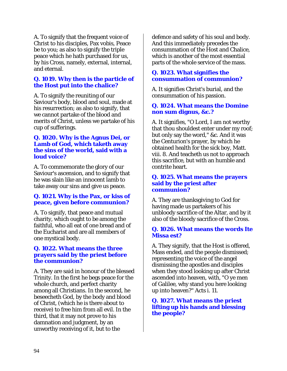A. To signify that the frequent voice of Christ to his disciples, Pax vobis, Peace be to you; as also to signify the triple peace which he hath purchased for us, by his Cross, namely, external, internal, and eternal.

# **Q. 1019. Why then is the particle of the Host put into the chalice?**

A. To signify the reuniting of our Saviour's body, blood and soul, made at his resurrection; as also to signify, that we cannot partake of the blood and merits of Christ, unless we partake of his cup of sufferings.

#### **Q. 1020. Why is the Agnus Dei, or Lamb of God, which taketh away the sins of the world, said with a loud voice?**

A. To commemorate the glory of our Saviour's ascension, and to signify that he was slain like an innocent lamb to take away our sins and give us peace.

# **Q. 1021. Why is the Pax, or kiss of peace, given before communion?**

A. To signify, that peace and mutual charity, which ought to be among the faithful, who all eat of one bread and of the Eucharist and are all members of one mystical body.

#### **Q. 1022. What means the three prayers said by the priest before the communion?**

A. They are said in honour of the blessed Trinity. In the first he begs peace for the whole church, and perfect charity among all Christians. In the second, he beseecheth God, by the body and blood of Christ, (which he is there about to receive) to free him from all evil. In the third, that it may not prove to his damnation and judgment, by an unworthy receiving of it, but to the

defence and safety of his soul and body. And this immediately precedes the consummation of the Host and Chalice, which is another of the most essential parts of the whole service of the mass.

# **Q. 1023. What signifies the consummation of communion?**

A. It signifies Christ's burial, and the consummation of his passion.

#### **Q. 1024. What means the Domine non sum dignus, &c.?**

A. It signifies, "O Lord, I am not worthy that thou shouldest enter under my roof; but only say the word," &c. And it was the Centurion's prayer, by which he obtained health for the sick boy, Matt. viii. 8. And teacheth us not to approach this sacrifice, but with an humble and contrite heart.

#### **Q. 1025. What means the prayers said by the priest after communion?**

A. They are thanksgiving to God for having made us partakers of his unbloody sacrifice of the Altar, and by it also of the bloody sacrifice of the Cross.

# **Q. 1026. What means the words Ite Missa est?**

A. They signify, that the Host is offered, Mass ended, and the people dismissed; representing the voice of the angel dismissing the apostles and disciples when they stood looking up after Christ ascended into heaven, with, "O ye men of Galilee, why stand you here looking up into heaven?" Acts i. 11.

# **Q. 1027. What means the priest lifting up his hands and blessing the people?**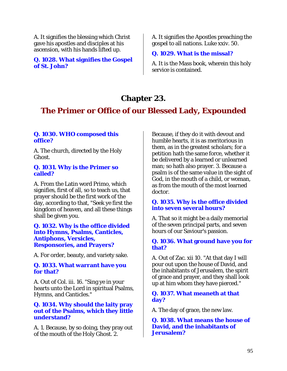A. It signifies the blessing which Christ gave his apostles and disciples at his ascension, with his hands lifted up.

#### **Q. 1028. What signifies the Gospel of St. John?**

A. It signifies the Apostles preaching the gospel to all nations. Luke xxiv. 50.

# **Q. 1029. What is the missal?**

A. It is the Mass book, wherein this holy service is contained.

# **Chapter 23.**

# **The Primer or Office of our Blessed Lady, Expounded**

# **Q. 1030. WHO composed this office?**

A. The church, directed by the Holy Ghost.

#### **Q. 1031. Why is the Primer so called?**

A. From the Latin word Primo, which signifies, first of all, so to teach us, that prayer should be the first work of the day, according to that, "Seek ye first the kingdom of heaven, and all these things shall be given you.

## **Q. 1032. Why is the office divided into Hymns, Psalms, Canticles, Antiphons, Versicles, Responsories, and Prayers?**

A. For order, beauty, and variety sake.

# **Q. 1033. What warrant have you for that?**

A. Out of Col. iii. 16. "Sing ye in your hearts unto the Lord in spiritual Psalms, Hymns, and Canticles."

# **Q. 1034. Why should the laity pray out of the Psalms, which they little understand?**

A. 1. Because, by so doing, they pray out of the mouth of the Holy Ghost. 2.

Because, if they do it with devout and humble hearts, it is as meritorious in them, as in the greatest scholars; for a petition hath the same force, whether it be delivered by a learned or unlearned man; so hath also prayer. 3. Because a psalm is of the same value in the sight of God, in the mouth of a child, or woman, as from the mouth of the most learned doctor.

# **Q. 1035. Why is the office divided into seven several hours?**

A. That so it might be a daily memorial of the seven principal parts, and seven hours of our Saviour's passion.

# **Q. 1036. What ground have you for that?**

A. Out of Zac. xii 10. "At that day I will pour out upon the house of David, and the inhabitants of Jerusalem, the spirit of grace and prayer, and they shall look up at him whom they have pierced."

#### **Q. 1037. What meaneth at that day?**

A. The day of grace, the new law.

**Q. 1038. What means the house of David, and the inhabitants of Jerusalem?**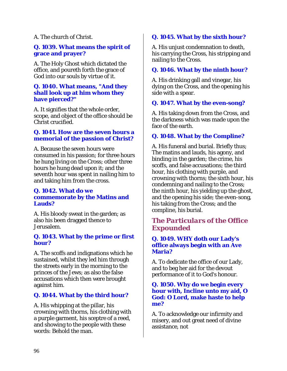A. The church of Christ.

## **Q. 1039. What means the spirit of grace and prayer?**

A. The Holy Ghost which dictated the office, and poureth forth the grace of God into our souls by virtue of it.

#### **Q. 1040. What means, "And they shall look up at him whom they have pierced?"**

A. It signifies that the whole order, scope, and object of the office should be Christ crucified.

# **Q. 1041. How are the seven hours a memorial of the passion of Christ?**

A. Because the seven hours were consumed in his passion; for three hours he hung living on the Cross; other three hours he hung dead upon it; and the seventh hour was spent in nailing him to and taking him from the cross.

# **Q. 1042. What do we commemorate by the Matins and Lauds?**

A. His bloody sweat in the garden; as also his been dragged thence to Jerusalem.

#### **Q. 1043. What by the prime or first hour?**

A. The scoffs and indignations which he sustained, whilst they led him through the streets early in the morning to the princes of the Jews; as also the false accusations which then were brought against him.

# **Q. 1044. What by the third hour?**

A. His whipping at the pillar, his crowning with thorns, his clothing with a purple garment, his sceptre of a reed, and showing to the people with these words: Behold the man.

# **Q. 1045. What by the sixth hour?**

A. His unjust condemnation to death, his carrying the Cross, his stripping and nailing to the Cross.

# **Q. 1046. What by the ninth hour?**

A. His drinking gall and vinegar, his dying on the Cross, and the opening his side with a spear.

# **Q. 1047. What by the even-song?**

A. His taking down from the Cross, and the darkness which was made upon the face of the earth.

# **Q. 1048. What by the Compline?**

A. His funeral and burial. Briefly thus; The matins and lauds, his agony, and binding in the garden; the crime, his scoffs, and false accusations; the third hour, his clothing with purple, and crowning with thorns; the sixth hour, his condemning and nailing to the Cross; the ninth hour, his yielding up the ghost, and the opening his side; the even-song, his taking from the Cross; and the compline, his burial.

# *The Particulars of the Office Expounded*

# **Q. 1049. WHY doth our Lady's office always begin with an Ave Maria?**

A. To dedicate the office of our Lady, and to beg her aid for the devout performance of it to God's honour.

#### **Q. 1050. Why do we begin every hour with, Incline unto my aid, O God: O Lord, make haste to help me?**

A. To acknowledge our infirmity and misery, and out great need of divine assistance, not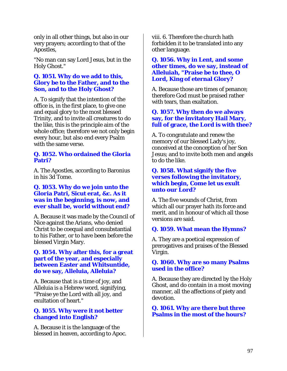only in all other things, but also in our very prayers; according to that of the Apostles,

"No man can say Lord Jesus, but in the Holy Ghost."

# **Q. 1051. Why do we add to this, Glory be to the Father, and to the Son, and to the Holy Ghost?**

A. To signify that the intention of the office is, in the first place, to give one and equal glory to the most blessed Trinity, and to invite all creatures to do the like, this is the principle aim of the whole office; therefore we not only begin every hour, but also end every Psalm with the same verse.

#### **Q. 1052. Who ordained the Gloria Patri?**

A. The Apostles, according to Baronius in his 3d Tome.

## **Q. 1053. Why do we join unto the Gloria Patri, Sicut erat, &c. As it was in the beginning, is now, and ever shall be, world without end?**

A. Because it was made by the Council of Nice against the Arians, who denied Christ to be coequal and consubstantial to his Father, or to have been before the blessed Virgin Mary.

#### **Q. 1054. Why after this, for a great part of the year, and especially between Easter and Whitsuntide, do we say, Alleluia, Alleluia?**

A. Because that is a time of joy, and Alleluia is a Hebrew word, signifying, "Praise ye the Lord with all joy, and exultation of heart."

# **Q. 1055. Why were it not better changed into English?**

A. Because it is the language of the blessed in heaven, according to Apoc. viii. 6. Therefore the church hath forbidden it to be translated into any other language.

#### **Q. 1056. Why in Lent, and some other times, do we say, instead of Alleluiah, "Praise be to thee, O Lord, King of eternal Glory?**

A. Because those are times of penance; therefore God must be praised rather with tears, than exaltation.

# **Q. 1057. Why then do we always say, for the invitatory Hail Mary, full of grace, the Lord is with thee?**

A. To congratulate and renew the memory of our blessed Lady's joy, conceived at the conception of her Son Jesus; and to invite both men and angels to do the like.

#### **Q. 1058. What signify the five verses following the invitatory, which begin, Come let us exult unto our Lord?**

A. The five wounds of Christ, from which all our prayer hath its force and merit, and in honour of which all those versions are said.

# **Q. 1059. What mean the Hymns?**

A. They are a poetical expression of prerogatives and praises of the Blessed Virgin.

#### **Q. 1060. Why are so many Psalms used in the office?**

A. Because they are directed by the Holy Ghost, and do contain in a most moving manner, all the affections of piety and devotion.

**Q. 1061. Why are there but three Psalms in the most of the hours?**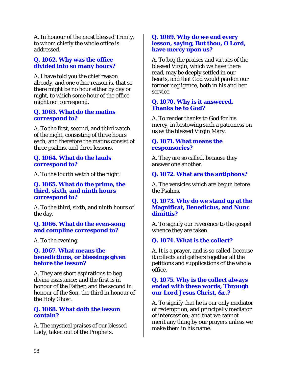A. In honour of the most blessed Trinity, to whom chiefly the whole office is addressed.

# **Q. 1062. Why was the office divided into so many hours?**

A. I have told you the chief reason already, and one other reason is, that so there might be no hour either by day or night, to which some hour of the office might not correspond.

# **Q. 1063. What do the matins correspond to?**

A. To the first, second, and third watch of the night, consisting of three hours each; and therefore the matins consist of three psalms, and three lessons.

# **Q. 1064. What do the lauds correspond to?**

A. To the fourth watch of the night.

### **Q. 1065. What do the prime, the third, sixth, and ninth hours correspond to?**

A. To the third, sixth, and ninth hours of the day.

#### **Q. 1066. What do the even-song and compline correspond to?**

A. To the evening.

#### **Q. 1067. What means the benedictions, or blessings given before the lesson?**

A. They are short aspirations to beg divine assistance; and the first is in honour of the Father, and the second in honour of the Son, the third in honour of the Holy Ghost.

#### **Q. 1068. What doth the lesson contain?**

A. The mystical praises of our blessed Lady, taken out of the Prophets.

# **Q. 1069. Why do we end every lesson, saying, But thou, O Lord, have mercy upon us?**

A. To beg the praises and virtues of the blessed Virgin, which we have there read, may be deeply settled in our hearts, and that God would pardon our former negligence, both in his and her service.

# **Q. 1070. Why is it answered, Thanks be to God?**

A. To render thanks to God for his mercy, in bestowing such a patroness on us as the blessed Virgin Mary.

# **Q. 1071. What means the responsories?**

A. They are so called, because they answer one another.

# **Q. 1072. What are the antiphons?**

A. The versicles which are begun before the Psalms.

#### **Q. 1073. Why do we stand up at the Magnificat, Benedictus, and Nunc dimittis?**

A. To signify our reverence to the gospel whence they are taken.

# **Q. 1074. What is the collect?**

A. It is a prayer, and is so called, because it collects and gathers together all the petitions and supplications of the whole office.

# **Q. 1075. Why is the collect always ended with these words, Through our Lord Jesus Christ, &c.?**

A. To signify that he is our only mediator of redemption, and principally mediator of intercession; and that we cannot merit any thing by our prayers unless we make them in his name.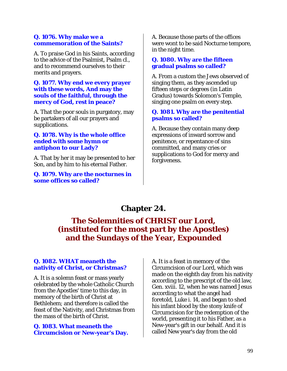#### **Q. 1076. Why make we a commemoration of the Saints?**

A. To praise God in his Saints, according to the advice of the Psalmist, Psalm cl., and to recommend ourselves to their merits and prayers.

#### **Q. 1077. Why end we every prayer with these words, And may the souls of the faithful, through the mercy of God, rest in peace?**

A. That the poor souls in purgatory, may be partakers of all our prayers and supplications.

#### **Q. 1078. Why is the whole office ended with some hymn or antiphon to our Lady?**

A. That by her it may be presented to her Son, and by him to his eternal Father.

**Q. 1079. Why are the nocturnes in some offices so called?** 

A. Because those parts of the offices were wont to be said Nocturne tempore, in the night time.

## **Q. 1080. Why are the fifteen gradual psalms so called?**

A. From a custom the Jews observed of singing them, as they ascended up fifteen steps or degrees (in Latin Gradus) towards Solomon's Temple, singing one psalm on every step.

# **Q. 1081. Why are the penitential psalms so called?**

A. Because they contain many deep expressions of inward sorrow and penitence, or repentance of sins committed, and many cries or supplications to God for mercy and forgiveness.

# **Chapter 24.**

# **The Solemnities of CHRIST our Lord, (instituted for the most part by the Apostles) and the Sundays of the Year, Expounded**

# **Q. 1082. WHAT meaneth the nativity of Christ, or Christmas?**

A. It is a solemn feast or mass yearly celebrated by the whole Catholic Church from the Apostles' time to this day, in memory of the birth of Christ at Bethlehem; and therefore is called the feast of the Nativity, and Christmas from the mass of the birth of Christ.

# **Q. 1083. What meaneth the Circumcision or New-year's Day.**

A. It is a feast in memory of the Circumcision of our Lord, which was made on the eighth day from his nativity according to the prescript of the old law, Gen. xviii. 12, when he was named Jesus according to what the angel had foretold, Luke i. 14, and began to shed his infant blood by the stony knife of Circumcision for the redemption of the world, presenting it to his Father, as a New-year's gift in our behalf. And it is called New year's day from the old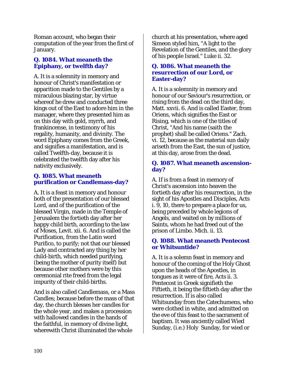Roman account, who began their computation of the year from the first of January.

# **Q. 1084. What meaneth the Epiphany, or twelfth day?**

A. It is a solemnity in memory and honour of Christ's manifestation or apparition made to the Gentiles by a miraculous blazing star, by virtue whereof he drew and conducted three kings out of the East to adore him in the manager, where they presented him as on this day with gold, myrrh, and frankincense, in testimony of his regality, humanity, and divinity. The word Epiphany comes from the Greek, and signifies a manifestation, and is called Twelfth-day, because it is celebrated the twelfth day after his nativity exclusively.

# **Q. 1085. What meaneth purification or Candlemass-day?**

A. It is a feast in memory and honour both of the presentation of our blessed Lord, and of the purification of the blessed Virgin, made in the Temple of Jerusalem the fortieth day after her happy child birth, according to the law of Moses, Levit. xii. 6. And is called the Purification, from the Latin word Purifico, to purify; not that our blessed Lady and contracted any thing by her child-birth, which needed purifying, (being the mother of purity itself) but because other mothers were by this ceremonial rite freed from the legal impurity of their child-births.

And is also called Candlemass, or a Mass Candles; because before the mass of that day, the church blesses her candles for the whole year, and makes a procession with hallowed candles in the hands of the faithful, in memory of divine light, wherewith Christ illuminated the whole

church at his presentation, where aged Simeon styled him, "A light to the Revelation of the Gentiles, and the glory of his people Israel." Luke ii. 32.

#### **Q. 1086. What meaneth the resurrection of our Lord, or Easter-day?**

A. It is a solemnity in memory and honour of our Saviour's resurrection, or rising from the dead on the third day, Matt. xxvii. 6. And is called Easter, from Oriens, which signifies the East or Rising, which is one of the titles of Christ, "And his name (saith the prophet) shall be called Oriens." Zach. vi. 12, because as the material sun daily ariseth from the East, the sun of justice, at this day, arose from the dead.

# **Q. 1087. What meaneth ascensionday?**

A. If is from a feast in memory of Christ's ascension into heaven the fortieth day after his resurrection, in the sight of his Apostles and Disciples, Acts i. 9, 10, there to prepare a place for us, being preceded by whole legions of Angels, and waited on by millions of Saints, whom he had freed out of the prison of Limbo. Mich. ii. 13.

# **Q. 1088. What meaneth Pentecost or Whitsuntide?**

A. It is a solemn feast in memory and honour of the coming of the Holy Ghost upon the heads of the Apostles, in tongues as it were of fire, Acts ii. 3. Pentecost in Greek signifieth the Fiftieth, it being the fiftieth day after the resurrection. If is also called Whitsunday from the Catechumens, who were clothed in white, and admitted on the eve of this feast to the sacrament of baptism. It was anciently called Wied Sunday, (i.e.) Holy Sunday, for wied or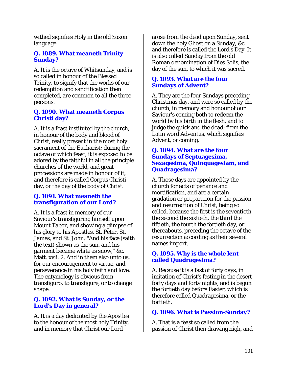withed signifies Holy in the old Saxon language.

# **Q. 1089. What meaneth Trinity Sunday?**

A. It is the octave of Whitsunday, and is so called in honour of the Blessed Trinity, to signify that the works of our redemption and sanctification then completed, are common to all the three persons.

# **Q. 1090. What meaneth Corpus Christi day?**

A. It is a feast instituted by the church, in honour of the body and blood of Christ, really present in the most holy sacrament of the Eucharist; during the octave of which feast, it is exposed to be adored by the faithful in all the principle churches of the world, and great processions are made in honour of it; and therefore is called Corpus Christi day, or the day of the body of Christ.

# **Q. 1091. What meaneth the transfiguration of our Lord?**

A. It is a feast in memory of our Saviour's transfiguring himself upon Mount Tabor, and showing a glimpse of his glory to his Apostles, St. Peter, St. James, and St. John. "And his face (saith the text) shown as the sun, and his garment became white as snow," &c. Matt. xvii. 2. And in them also unto us, for our encouragement to virtue, and perseverance in his holy faith and love. The entymology is obvious from transfiguro, to transfigure, or to change shape.

# **Q. 1092. What is Sunday, or the Lord's Day in general?**

A. It is a day dedicated by the Apostles to the honour of the most holy Trinity, and in memory that Christ our Lord

arose from the dead upon Sunday, sent down the holy Ghost on a Sunday, &c. and therefore is called the Lord's Day. It is also called Sunday from the old Roman denomination of Dies Solis, the day of the sun, to which it was sacred.

# **Q. 1093. What are the four Sundays of Advent?**

A. They are the four Sundays preceding Christmas day, and were so called by the church, in memory and honour of our Saviour's coming both to redeem the world by his birth in the flesh, and to judge the quick and the dead; from the Latin word Adventus, which signifies Advent, or coming.

#### **Q. 1094. What are the four Sundays of Septuagesima, Sexagesima, Quinquagesiam, and Quadragesima?**

A. Those days are appointed by the church for acts of penance and mortification, and are a certain gradation or preparation for the passion and resurrection of Christ, being so called, because the first is the seventieth, the second the sixtieth, the third the fiftieth, the fourth the fortieth day, or thereabouts, preceding the octave of the resurrection according as their several names import.

# **Q. 1095. Why is the whole lent called Quadragesima?**

A. Because it is a fast of forty days, in imitation of Christ's fasting in the desert forty days and forty nights, and is begun the fortieth day before Easter, which is therefore called Quadragesima, or the fortieth.

# **Q. 1096. What is Passion-Sunday?**

A. That is a feast so called from the passion of Christ then drawing nigh, and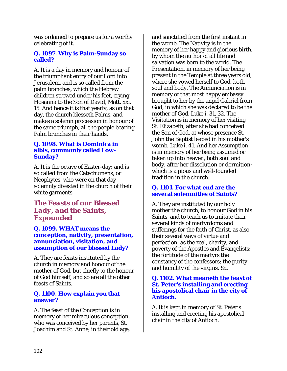was ordained to prepare us for a worthy celebrating of it.

# **Q. 1097. Why is Palm-Sunday so called?**

A. It is a day in memory and honour of the triumphant entry of our Lord into Jerusalem, and is so called from the palm branches, which the Hebrew children strewed under his feet, crying Hosanna to the Son of David, Matt. xxi. 15. And hence it is that yearly, as on that day, the church blesseth Palms, and makes a solemn procession in honour of the same triumph, all the people bearing Palm branches in their hands.

# **Q. 1098. What is Dominica in albis, commonly called Low-Sunday?**

A. It is the octave of Easter-day; and is so called from the Catechumens, or Neophytes, who were on that day solemnly divested in the church of their white garments.

# *The Feasts of our Blessed Lady, and the Saints, Expounded*

**Q. 1099. WHAT means the conception, nativity, presentation, annunciation, visitation, and assumption of our blessed Lady?** 

A. They are feasts instituted by the church in memory and honour of the mother of God, but chiefly to the honour of God himself; and so are all the other feasts of Saints.

# **Q. 1100. How explain you that answer?**

A. The feast of the Conception is in memory of her miraculous conception, who was conceived by her parents, St. Joachim and St. Anne, in their old age,

and sanctified from the first instant in the womb. The Nativity is in the memory of her happy and glorious birth, by whom the author of all life and salvation was born to the world. The Presentation, in memory of her being present in the Temple at three years old, where she vowed herself to God, both soul and body. The Annunciation is in memory of that most happy embassy brought to her by the angel Gabriel from God, in which she was declared to be the mother of God, Luke i. 31, 32. The Visitation is in memory of her visiting St. Elizabeth, after she had conceived the Son of God, at whose presence St. John the Baptist leaped in his mother's womb, Luke i. 41. And her Assumption is in memory of her being assumed or taken up into heaven, both soul and body, after her dissolution or dormition; which is a pious and well-founded tradition in the church.

# **Q. 1101. For what end are the several solemnities of Saints?**

A. They are instituted by our holy mother the church, to honour God in his Saints, and to teach us to imitate their several kinds of martyrdoms and sufferings for the faith of Christ, as also their several ways of virtue and perfection: as the zeal, charity, and poverty of the Apostles and Evangelists; the fortitude of the martyrs the constancy of the confessors; the purity and humility of the virgins, &c.

## **Q. 1102. What meaneth the feast of St. Peter's installing and erecting his apostolical chair in the city of Antioch.**

A. It is kept in memory of St. Peter's installing and erecting his apostolical chair in the city of Antioch.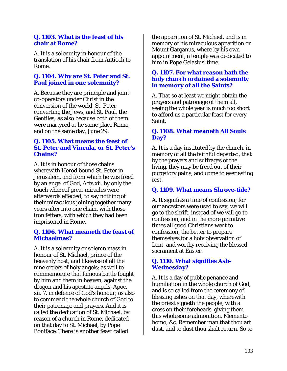#### **Q. 1103. What is the feast of his chair at Rome?**

A. It is a solemnity in honour of the translation of his chair from Antioch to Rome.

### **Q. 1104. Why are St. Peter and St. Paul joined in one solemnity?**

A. Because they are principle and joint co-operators under Christ in the conversion of the world, St. Peter converting the Jews, and St. Paul, the Gentiles; as also because both of them were martyred at he same place Rome, and on the same day, June 29.

#### **Q. 1105. What means the feast of St. Peter and Vincula, or St. Peter's Chains?**

A. It is in honour of those chains wherewith Herod bound St. Peter in Jerusalem, and from which he was freed by an angel of God, Acts xii. by only the touch whereof great miracles were afterwards effected; to say nothing of their miraculous joining together many years after into one chain, with those iron fetters, with which they had been imprisoned in Rome.

#### **Q. 1106. What meaneth the feast of Michaelmas?**

A. It is a solemnity or solemn mass in honour of St. Michael, prince of the heavenly host, and likewise of all the nine orders of holy angels; as well to commemorate that famous battle fought by him and them in heaven, against the dragon and his apostate angels, Apoc. xii. 7. in defence of God's honour; as also to commend the whole church of God to their patronage and prayers. And it is called the dedication of St. Michael, by reason of a church in Rome, dedicated on that day to St. Michael, by Pope Boniface. There is another feast called

the apparition of St. Michael, and is in memory of his miraculous apparition on Mount Garganus, where by his own appointment, a temple was dedicated to him in Pope Gelasius' time.

#### **Q. 1107. For what reason hath the holy church ordained a solemnity in memory of all the Saints?**

A. That so at least we might obtain the prayers and patronage of them all, seeing the whole year is much too short to afford us a particular feast for every Saint.

## **Q. 1108. What meaneth All Souls Day?**

A. It is a day instituted by the church, in memory of all the faithful departed, that by the prayers and suffrages of the living, they may be freed out of their purgatory pains, and come to everlasting rest.

#### **Q. 1109. What means Shrove-tide?**

A. It signifies a time of confession; for our ancestors were used to say, we will go to the shrift, instead of we will go to confession, and in the more primitive times all good Christians went to confession, the better to prepare themselves for a holy observation of Lent, and worthy receiving the blessed sacrament at Easter.

#### **Q. 1110. What signifies Ash-Wednesday?**

A. It is a day of public penance and humiliation in the whole church of God, and is so called from the ceremony of blessing ashes on that day, wherewith the priest signeth the people, with a cross on their foreheads, giving them this wholesome admonition, Memento homo, &c. Remember man that thou art dust, and to dust thou shalt return. So to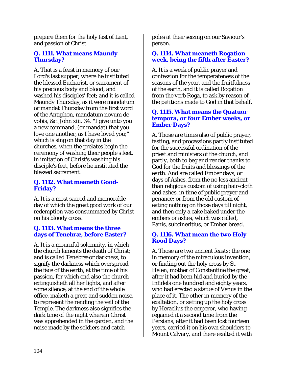prepare them for the holy fast of Lent, and passion of Christ.

# **Q. 1111. What means Maundy Thursday?**

A. That is a feast in memory of our Lord's last supper, where he instituted the blessed Eucharist, or sacrament of his precious body and blood, and washed his disciples' feet; and it is called Maundy Thursday, as it were mandatum or mandat Thursday from the first word of the Antiphon, mandatum novum de vobis, &c. John xiii. 34. "I give unto you a new command, (or mandat) that you love one another, as I have loved you;" which is sing on that day in the churches, when the prelates begin the ceremony of washing their people's feet, in imitation of Christ's washing his disciple's feet, before he instituted the blessed sacrament.

# **Q. 1112. What meaneth Good-Friday?**

A. It is a most sacred and memorable day of which the great good work of our redemption was consummated by Christ on his bloody cross.

## **Q. 1113. What means the three days of Tenebræ, before Easter?**

A. It is a mournful solemnity, in which the church laments the death of Christ; and is called Tenebræ or darkness, to signify the darkness which overspread the face of the earth, at the time of his passion, for which end also the church extinguisheth all her lights, and after some silence, at the end of the whole office, maketh a great and sudden noise, to represent the rending the veil of the Temple. The darkness also signifies the dark time of the night wherein Christ was apprehended in the garden, and the noise made by the soldiers and catch-

poles at their seizing on our Saviour's person.

## **Q. 1114. What meaneth Rogation week, being the fifth after Easter?**

A. It is a week of public prayer and confession for the temperateness of the seasons of the year, and the fruitfulness of the earth, and it is called Rogation from the verb Roga, to ask by reason of the petitions made to God in that behalf.

## **Q. 1115. What means the Quatuor tempora, or four Ember weeks, or Ember Days?**

A. Those are times also of public prayer, fasting, and processions partly instituted for the successful ordination of the priest and ministers of the church, and partly, both to beg and render thanks to God for the fruits and blessings of the earth. And are called Ember days, or days of Ashes, from the no less ancient than religious custom of using hair-cloth and ashes, in time of public prayer and penance; or from the old custom of eating nothing on those days till night, and then only a cake baked under the embers or ashes, which was called, Panis, subcineritius, or Ember bread.

## **Q. 1116. What mean the two Holy Rood Days?**

A. Those are two ancient feasts: the one in memory of the miraculous invention, or finding out the holy cross by St. Helen, mother of Constantine the great, after it had been hid and buried by the Infidels one hundred and eighty years, who had erected a statue of Venus in the place of it. The other in memory of the exaltation, or setting up the holy cross by Heraclius the emperor, who having regained it a second time from the Persians, after it had been lost fourteen years, carried it on his own shoulders to Mount Calvary, and there exalted it with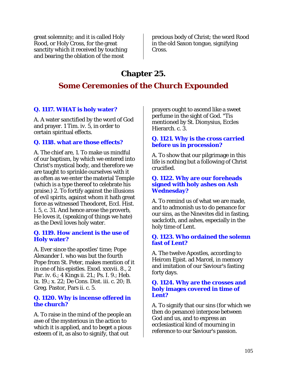great solemnity; and it is called Holy Rood, or Holy Cross, for the great sanctity which it received by touching and bearing the oblation of the most

precious body of Christ; the word Rood in the old Saxon tongue, signifying Cross.

# **Chapter 25.**

# **Some Ceremonies of the Church Expounded**

# **Q. 1117. WHAT is holy water?**

A. A water sanctified by the word of God and prayer. 1 Tim. iv. 5, in order to certain spiritual effects.

# **Q. 1118. what are those effects?**

A. The chief are, 1. To make us mindful of our baptism, by which we entered into Christ's mystical body, and therefore we are taught to sprinkle ourselves with it as often as we enter the material Temple (which is a type thereof to celebrate his praise.) 2. To fortify against the illusions of evil spirits, against whom it hath great force as witnessed Theodoret, Eccl. Hist. l. 5, c. 31. And hence arose the proverb, He loves it, (speaking of things we hate) as the Devil loves holy water.

#### **Q. 1119. How ancient is the use of Holy water?**

A. Ever since the apostles' time; Pope Alexander I. who was but the fourth Pope from St. Peter, makes mention of it in one of his epistles. Exod. xxxvii. 8., 2 Par. iv. 6.; 4 Kings ii. 21.; Ps. I. 9.; Heb. ix. 19.; x. 22; De Cons. Dist. iii. c. 20; B. Greg. Pastor, Pars ii. c. 5.

## **Q. 1120. Why is incense offered in the church?**

A. To raise in the mind of the people an awe of the mysterious in the action to which it is applied, and to beget a pious esteem of it, as also to signify, that out

prayers ought to ascend like a sweet perfume in the sight of God. "Tis mentioned by St. Dionysius, Eccles Hierarch. c. 3.

# **Q. 1121. Why is the cross carried before us in procession?**

A. To show that our pilgrimage in this life is nothing but a following of Christ crucified.

#### **Q. 1122. Why are our foreheads signed with holy ashes on Ash Wednesday?**

A. To remind us of what we are made, and to admonish us to do penance for our sins, as the Ninevites did in fasting, sackcloth, and ashes, especially in the holy time of Lent.

# **Q. 1123. Who ordained the solemn fast of Lent?**

A. The twelve Apostles, according to Heirom Epist. ad Marcel, in memory and imitation of our Saviour's fasting forty days.

#### **Q. 1124. Why are the crosses and holy images covered in time of Lent?**

A. To signify that our sins (for which we then do penance) interpose between God and us, and to express an ecclesiastical kind of mourning in reference to our Saviour's passion.